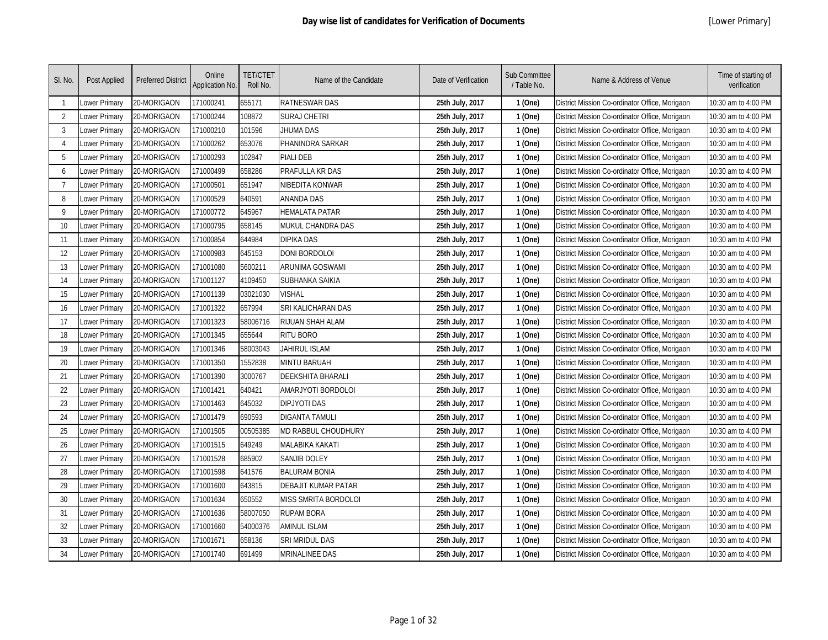| SI. No.  | Post Applied         | <b>Preferred District</b> | Online<br>Application No. | <b>TET/CTET</b><br>Roll No. | Name of the Candidate       | Date of Verification | Sub Committee<br>/ Table No. | Name & Address of Venue                        | Time of starting of<br>verification |
|----------|----------------------|---------------------------|---------------------------|-----------------------------|-----------------------------|----------------------|------------------------------|------------------------------------------------|-------------------------------------|
|          | Lower Primary        | 20-MORIGAON               | 171000241                 | 655171                      | <b>RATNESWAR DAS</b>        | 25th July, 2017      | 1 (One)                      | District Mission Co-ordinator Office, Morigaon | 10:30 am to 4:00 PM                 |
| 2        | Lower Primary        | 20-MORIGAON               | 171000244                 | 108872                      | <b>SURAJ CHETRI</b>         | 25th July, 2017      | 1 (One)                      | District Mission Co-ordinator Office, Morigaon | 10:30 am to 4:00 PM                 |
| 3        | Lower Primary        | 20-MORIGAON               | 171000210                 | 101596                      | JHUMA DAS                   | 25th July, 2017      | 1 (One)                      | District Mission Co-ordinator Office, Morigaon | 10:30 am to 4:00 PM                 |
| $\Delta$ | Lower Primary        | 20-MORIGAON               | 171000262                 | 653076                      | PHANINDRA SARKAR            | 25th July, 2017      | 1 (One)                      | District Mission Co-ordinator Office, Morigaon | 10:30 am to 4:00 PM                 |
| 5        | Lower Primary        | 20-MORIGAON               | 171000293                 | 102847                      | PIALI DEB                   | 25th July, 2017      | 1 (One)                      | District Mission Co-ordinator Office, Morigaon | 10:30 am to 4:00 PM                 |
| 6        | Lower Primary        | 20-MORIGAON               | 171000499                 | 658286                      | PRAFULLA KR DAS             | 25th July, 2017      | 1 (One)                      | District Mission Co-ordinator Office, Morigaon | 10:30 am to 4:00 PM                 |
| 7        | Lower Primary        | 20-MORIGAON               | 171000501                 | 651947                      | NIBEDITA KONWAR             | 25th July, 2017      | 1 (One)                      | District Mission Co-ordinator Office, Morigaon | 10:30 am to 4:00 PM                 |
| 8        | Lower Primary        | 20-MORIGAON               | 171000529                 | 640591                      | <b>ANANDA DAS</b>           | 25th July, 2017      | 1 (One)                      | District Mission Co-ordinator Office, Morigaon | 10:30 am to 4:00 PM                 |
| 9        | Lower Primary        | 20-MORIGAON               | 171000772                 | 645967                      | <b>HEMALATA PATAR</b>       | 25th July, 2017      | 1 (One)                      | District Mission Co-ordinator Office, Morigaon | 10:30 am to 4:00 PM                 |
| 10       | Lower Primary        | 20-MORIGAON               | 171000795                 | 658145                      | MUKUL CHANDRA DAS           | 25th July, 2017      | 1 (One)                      | District Mission Co-ordinator Office, Morigaon | 10:30 am to 4:00 PM                 |
| 11       | Lower Primary        | 20-MORIGAON               | 171000854                 | 644984                      | <b>DIPIKA DAS</b>           | 25th July, 2017      | 1 (One)                      | District Mission Co-ordinator Office, Morigaon | 10:30 am to 4:00 PM                 |
| 12       | Lower Primary        | 20-MORIGAON               | 171000983                 | 645153                      | <b>DONI BORDOLOI</b>        | 25th July, 2017      | 1 (One)                      | District Mission Co-ordinator Office, Morigaon | 10:30 am to 4:00 PM                 |
| 13       | Lower Primary        | 20-MORIGAON               | 171001080                 | 5600211                     | ARUNIMA GOSWAMI             | 25th July, 2017      | 1 (One)                      | District Mission Co-ordinator Office, Morigaon | 10:30 am to 4:00 PM                 |
| 14       | Lower Primary        | 20-MORIGAON               | 171001127                 | 4109450                     | SUBHANKA SAIKIA             | 25th July, 2017      | 1 (One)                      | District Mission Co-ordinator Office, Morigaon | 10:30 am to 4:00 PM                 |
| 15       | Lower Primary        | 20-MORIGAON               | 171001139                 | 03021030                    | <b>VISHAL</b>               | 25th July, 2017      | 1 (One)                      | District Mission Co-ordinator Office, Morigaon | 10:30 am to 4:00 PM                 |
| 16       | Lower Primary        | 20-MORIGAON               | 171001322                 | 657994                      | SRI KALICHARAN DAS          | 25th July, 2017      | 1 (One)                      | District Mission Co-ordinator Office, Morigaon | 10:30 am to 4:00 PM                 |
| 17       | Lower Primary        | 20-MORIGAON               | 171001323                 | 58006716                    | <b>RIJUAN SHAH ALAM</b>     | 25th July, 2017      | 1 (One)                      | District Mission Co-ordinator Office, Morigaon | 10:30 am to 4:00 PM                 |
| 18       | Lower Primary        | 20-MORIGAON               | 171001345                 | 655644                      | <b>RITU BORO</b>            | 25th July, 2017      | 1 (One)                      | District Mission Co-ordinator Office, Morigaon | 10:30 am to 4:00 PM                 |
| 19       | Lower Primary        | 20-MORIGAON               | 171001346                 | 58003043                    | <b>JAHIRUL ISLAM</b>        | 25th July, 2017      | 1 (One)                      | District Mission Co-ordinator Office, Morigaon | 10:30 am to 4:00 PM                 |
| 20       | Lower Primary        | 20-MORIGAON               | 171001350                 | 1552838                     | <b>MINTU BARUAH</b>         | 25th July, 2017      | 1 (One)                      | District Mission Co-ordinator Office, Morigaon | 10:30 am to 4:00 PM                 |
| 21       | Lower Primary        | 20-MORIGAON               | 171001390                 | 3000767                     | <b>DEEKSHITA BHARALI</b>    | 25th July, 2017      | 1 (One)                      | District Mission Co-ordinator Office, Morigaon | 10:30 am to 4:00 PM                 |
| 22       | Lower Primary        | 20-MORIGAON               | 171001421                 | 640421                      | AMARJYOTI BORDOLOI          | 25th July, 2017      | 1 (One)                      | District Mission Co-ordinator Office, Morigaon | 10:30 am to 4:00 PM                 |
| 23       | Lower Primary        | 20-MORIGAON               | 171001463                 | 645032                      | <b>DIPJYOTI DAS</b>         | 25th July, 2017      | 1 (One)                      | District Mission Co-ordinator Office, Morigaon | 10:30 am to 4:00 PM                 |
| 24       | Lower Primary        | 20-MORIGAON               | 171001479                 | 690593                      | <b>DIGANTA TAMULI</b>       | 25th July, 2017      | 1 (One)                      | District Mission Co-ordinator Office, Morigaon | 10:30 am to 4:00 PM                 |
| 25       | Lower Primary        | 20-MORIGAON               | 171001505                 | 00505385                    | MD RABBUL CHOUDHURY         | 25th July, 2017      | 1 (One)                      | District Mission Co-ordinator Office, Morigaon | 10:30 am to 4:00 PM                 |
| 26       | Lower Primary        | 20-MORIGAON               | 171001515                 | 649249                      | <b>MALABIKA KAKATI</b>      | 25th July, 2017      | 1 (One)                      | District Mission Co-ordinator Office, Morigaon | 10:30 am to 4:00 PM                 |
| 27       | Lower Primary        | 20-MORIGAON               | 171001528                 | 685902                      | <b>SANJIB DOLEY</b>         | 25th July, 2017      | 1 (One)                      | District Mission Co-ordinator Office, Morigaon | 10:30 am to 4:00 PM                 |
| 28       | Lower Primary        | 20-MORIGAON               | 171001598                 | 641576                      | <b>BALURAM BONIA</b>        | 25th July, 2017      | 1 (One)                      | District Mission Co-ordinator Office, Morigaon | 10:30 am to 4:00 PM                 |
| 29       | Lower Primary        | 20-MORIGAON               | 171001600                 | 643815                      | DEBAJIT KUMAR PATAR         | 25th July, 2017      | 1 (One)                      | District Mission Co-ordinator Office, Morigaon | 10:30 am to 4:00 PM                 |
| 30       | Lower Primary        | 20-MORIGAON               | 171001634                 | 650552                      | <b>MISS SMRITA BORDOLOI</b> | 25th July, 2017      | 1 (One)                      | District Mission Co-ordinator Office, Morigaon | 10:30 am to 4:00 PM                 |
| 31       | Lower Primary        | 20-MORIGAON               | 171001636                 | 58007050                    | <b>RUPAM BORA</b>           | 25th July, 2017      | 1 (One)                      | District Mission Co-ordinator Office, Morigaon | 10:30 am to 4:00 PM                 |
| 32       | Lower Primary        | 20-MORIGAON               | 171001660                 | 54000376                    | <b>AMINUL ISLAM</b>         | 25th July, 2017      | 1 (One)                      | District Mission Co-ordinator Office, Morigaon | 10:30 am to 4:00 PM                 |
| 33       | Lower Primary        | 20-MORIGAON               | 171001671                 | 658136                      | SRI MRIDUL DAS              | 25th July, 2017      | 1 (One)                      | District Mission Co-ordinator Office, Morigaon | 10:30 am to 4:00 PM                 |
| 34       | <b>Lower Primary</b> | 20-MORIGAON               | 171001740                 | 691499                      | <b>MRINALINEE DAS</b>       | 25th July, 2017      | 1 (One)                      | District Mission Co-ordinator Office, Morigaon | 10:30 am to 4:00 PM                 |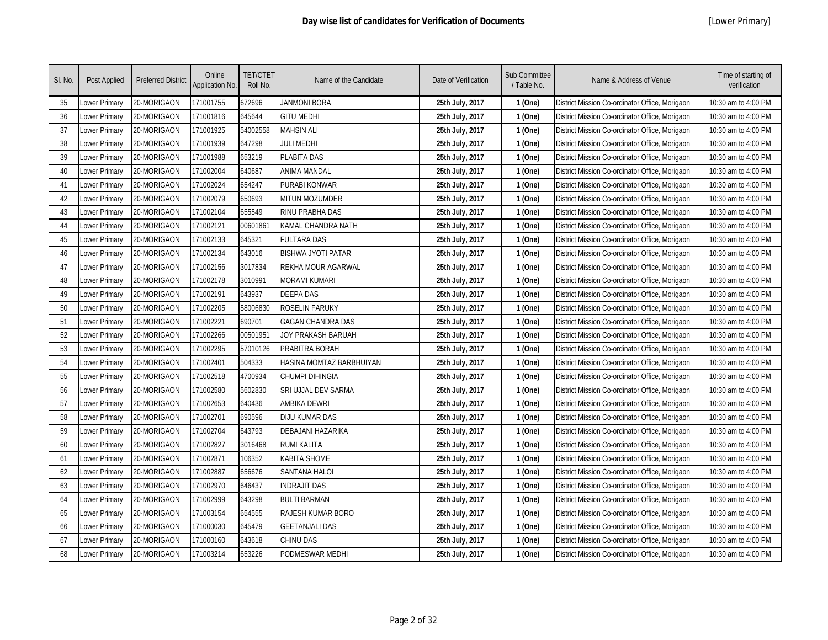| SI. No. | Post Applied         | <b>Preferred District</b> | Online<br>Application No. | <b>TET/CTET</b><br>Roll No. | Name of the Candidate     | Date of Verification | Sub Committee<br>/ Table No. | Name & Address of Venue                        | Time of starting of<br>verification |
|---------|----------------------|---------------------------|---------------------------|-----------------------------|---------------------------|----------------------|------------------------------|------------------------------------------------|-------------------------------------|
| 35      | Lower Primary        | 20-MORIGAON               | 171001755                 | 672696                      | JANMONI BORA              | 25th July, 2017      | 1 (One)                      | District Mission Co-ordinator Office, Morigaon | 10:30 am to 4:00 PM                 |
| 36      | Lower Primary        | 20-MORIGAON               | 171001816                 | 645644                      | <b>GITU MEDHI</b>         | 25th July, 2017      | 1 (One)                      | District Mission Co-ordinator Office, Morigaon | 10:30 am to 4:00 PM                 |
| 37      | Lower Primary        | 20-MORIGAON               | 171001925                 | 54002558                    | <b>MAHSIN ALI</b>         | 25th July, 2017      | 1 (One)                      | District Mission Co-ordinator Office, Morigaon | 10:30 am to 4:00 PM                 |
| 38      | Lower Primary        | 20-MORIGAON               | 171001939                 | 647298                      | JULI MEDHI                | 25th July, 2017      | 1 (One)                      | District Mission Co-ordinator Office, Morigaon | 10:30 am to 4:00 PM                 |
| 39      | Lower Primary        | 20-MORIGAON               | 171001988                 | 653219                      | <b>PLABITA DAS</b>        | 25th July, 2017      | 1 (One)                      | District Mission Co-ordinator Office, Morigaon | 10:30 am to 4:00 PM                 |
| 40      | Lower Primary        | 20-MORIGAON               | 171002004                 | 640687                      | <b>ANIMA MANDAL</b>       | 25th July, 2017      | 1 (One)                      | District Mission Co-ordinator Office, Morigaon | 10:30 am to 4:00 PM                 |
| 41      | Lower Primary        | 20-MORIGAON               | 171002024                 | 654247                      | PURABI KONWAR             | 25th July, 2017      | 1 (One)                      | District Mission Co-ordinator Office, Morigaon | 10:30 am to 4:00 PM                 |
| 42      | Lower Primary        | 20-MORIGAON               | 171002079                 | 650693                      | MITUN MOZUMDER            | 25th July, 2017      | 1 (One)                      | District Mission Co-ordinator Office, Morigaon | 10:30 am to 4:00 PM                 |
| 43      | Lower Primary        | 20-MORIGAON               | 171002104                 | 655549                      | RINU PRABHA DAS           | 25th July, 2017      | 1 (One)                      | District Mission Co-ordinator Office, Morigaon | 10:30 am to 4:00 PM                 |
| 44      | Lower Primary        | 20-MORIGAON               | 171002121                 | 00601861                    | KAMAL CHANDRA NATH        | 25th July, 2017      | 1 (One)                      | District Mission Co-ordinator Office, Morigaon | 10:30 am to 4:00 PM                 |
| 45      | Lower Primary        | 20-MORIGAON               | 171002133                 | 645321                      | <b>FULTARA DAS</b>        | 25th July, 2017      | 1 (One)                      | District Mission Co-ordinator Office, Morigaon | 10:30 am to 4:00 PM                 |
| 46      | Lower Primary        | 20-MORIGAON               | 171002134                 | 643016                      | <b>BISHWA JYOTI PATAR</b> | 25th July, 2017      | 1 (One)                      | District Mission Co-ordinator Office, Morigaon | 10:30 am to 4:00 PM                 |
| 47      | Lower Primary        | 20-MORIGAON               | 171002156                 | 3017834                     | REKHA MOUR AGARWAL        | 25th July, 2017      | 1 (One)                      | District Mission Co-ordinator Office, Morigaon | 10:30 am to 4:00 PM                 |
| 48      | Lower Primary        | 20-MORIGAON               | 171002178                 | 3010991                     | <b>MORAMI KUMARI</b>      | 25th July, 2017      | 1 (One)                      | District Mission Co-ordinator Office, Morigaon | 10:30 am to 4:00 PM                 |
| 49      | Lower Primary        | 20-MORIGAON               | 171002191                 | 643937                      | <b>DEEPA DAS</b>          | 25th July, 2017      | 1 (One)                      | District Mission Co-ordinator Office, Morigaon | 10:30 am to 4:00 PM                 |
| 50      | Lower Primary        | 20-MORIGAON               | 171002205                 | 58006830                    | <b>ROSELIN FARUKY</b>     | 25th July, 2017      | 1 (One)                      | District Mission Co-ordinator Office, Morigaon | 10:30 am to 4:00 PM                 |
| 51      | Lower Primary        | 20-MORIGAON               | 171002221                 | 690701                      | <b>GAGAN CHANDRA DAS</b>  | 25th July, 2017      | 1 (One)                      | District Mission Co-ordinator Office, Morigaon | 10:30 am to 4:00 PM                 |
| 52      | Lower Primary        | 20-MORIGAON               | 171002266                 | 00501951                    | JOY PRAKASH BARUAH        | 25th July, 2017      | 1 (One)                      | District Mission Co-ordinator Office, Morigaon | 10:30 am to 4:00 PM                 |
| 53      | Lower Primary        | 20-MORIGAON               | 171002295                 | 57010126                    | PRABITRA BORAH            | 25th July, 2017      | 1 (One)                      | District Mission Co-ordinator Office, Morigaon | 10:30 am to 4:00 PM                 |
| 54      | Lower Primary        | 20-MORIGAON               | 171002401                 | 504333                      | HASINA MOMTAZ BARBHUIYAN  | 25th July, 2017      | 1 (One)                      | District Mission Co-ordinator Office, Morigaon | 10:30 am to 4:00 PM                 |
| 55      | Lower Primary        | 20-MORIGAON               | 171002518                 | 4700934                     | <b>CHUMPI DIHINGIA</b>    | 25th July, 2017      | 1 (One)                      | District Mission Co-ordinator Office, Morigaon | 10:30 am to 4:00 PM                 |
| 56      | Lower Primary        | 20-MORIGAON               | 171002580                 | 5602830                     | SRI UJJAL DEV SARMA       | 25th July, 2017      | 1 (One)                      | District Mission Co-ordinator Office, Morigaon | 10:30 am to 4:00 PM                 |
| 57      | Lower Primary        | 20-MORIGAON               | 171002653                 | 640436                      | AMBIKA DEWRI              | 25th July, 2017      | 1 (One)                      | District Mission Co-ordinator Office, Morigaon | 10:30 am to 4:00 PM                 |
| 58      | Lower Primary        | 20-MORIGAON               | 171002701                 | 690596                      | <b>DIJU KUMAR DAS</b>     | 25th July, 2017      | 1 (One)                      | District Mission Co-ordinator Office, Morigaon | 10:30 am to 4:00 PM                 |
| 59      | Lower Primary        | 20-MORIGAON               | 171002704                 | 643793                      | DEBAJANI HAZARIKA         | 25th July, 2017      | 1 (One)                      | District Mission Co-ordinator Office, Morigaon | 10:30 am to 4:00 PM                 |
| 60      | Lower Primary        | 20-MORIGAON               | 171002827                 | 3016468                     | <b>RUMI KALITA</b>        | 25th July, 2017      | 1 (One)                      | District Mission Co-ordinator Office, Morigaon | 10:30 am to 4:00 PM                 |
| 61      | Lower Primary        | 20-MORIGAON               | 171002871                 | 106352                      | <b>KABITA SHOME</b>       | 25th July, 2017      | 1 (One)                      | District Mission Co-ordinator Office, Morigaon | 10:30 am to 4:00 PM                 |
| 62      | Lower Primary        | 20-MORIGAON               | 171002887                 | 656676                      | <b>SANTANA HALOI</b>      | 25th July, 2017      | 1 (One)                      | District Mission Co-ordinator Office, Morigaon | 10:30 am to 4:00 PM                 |
| 63      | Lower Primary        | 20-MORIGAON               | 171002970                 | 646437                      | <b>INDRAJIT DAS</b>       | 25th July, 2017      | 1 (One)                      | District Mission Co-ordinator Office, Morigaon | 10:30 am to 4:00 PM                 |
| 64      | Lower Primary        | 20-MORIGAON               | 171002999                 | 643298                      | <b>BULTI BARMAN</b>       | 25th July, 2017      | 1 (One)                      | District Mission Co-ordinator Office, Morigaon | 10:30 am to 4:00 PM                 |
| 65      | Lower Primary        | 20-MORIGAON               | 171003154                 | 654555                      | <b>RAJESH KUMAR BORO</b>  | 25th July, 2017      | 1 (One)                      | District Mission Co-ordinator Office, Morigaon | 10:30 am to 4:00 PM                 |
| 66      | Lower Primary        | 20-MORIGAON               | 171000030                 | 645479                      | <b>GEETANJALI DAS</b>     | 25th July, 2017      | 1 (One)                      | District Mission Co-ordinator Office, Morigaon | 10:30 am to 4:00 PM                 |
| 67      | Lower Primary        | 20-MORIGAON               | 171000160                 | 643618                      | <b>CHINU DAS</b>          | 25th July, 2017      | 1 (One)                      | District Mission Co-ordinator Office, Morigaon | 10:30 am to 4:00 PM                 |
| 68      | <b>Lower Primary</b> | 20-MORIGAON               | 171003214                 | 653226                      | PODMESWAR MEDHI           | 25th July, 2017      | 1 (One)                      | District Mission Co-ordinator Office, Morigaon | 10:30 am to 4:00 PM                 |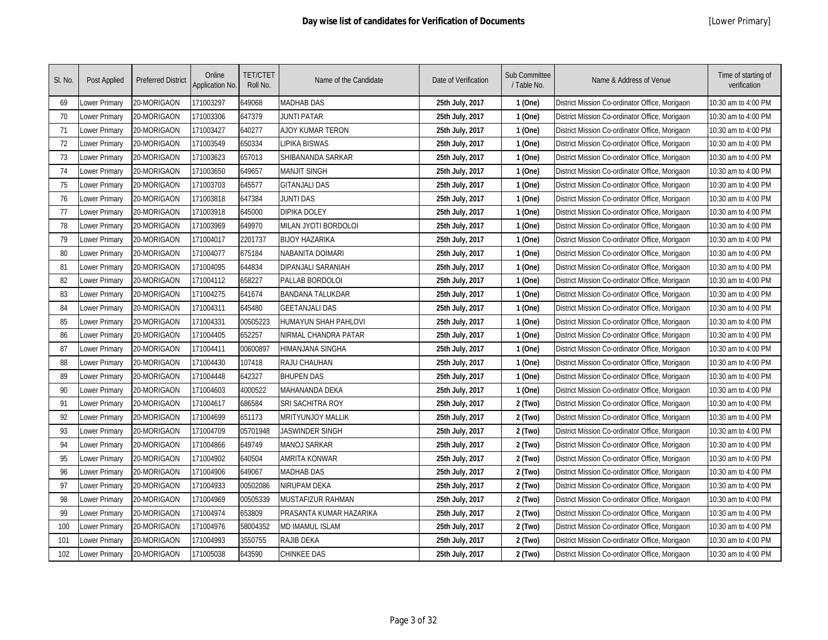| SI. No. | Post Applied         | <b>Preferred District</b> | Online<br>Application No. | <b>TET/CTET</b><br>Roll No. | Name of the Candidate       | Date of Verification | Sub Committee<br>/ Table No. | Name & Address of Venue                        | Time of starting of<br>verification |
|---------|----------------------|---------------------------|---------------------------|-----------------------------|-----------------------------|----------------------|------------------------------|------------------------------------------------|-------------------------------------|
| 69      | Lower Primary        | 20-MORIGAON               | 171003297                 | 649068                      | <b>MADHAB DAS</b>           | 25th July, 2017      | 1 (One)                      | District Mission Co-ordinator Office, Morigaon | 10:30 am to 4:00 PM                 |
| 70      | Lower Primary        | 20-MORIGAON               | 171003306                 | 647379                      | JUNTI PATAR                 | 25th July, 2017      | 1 (One)                      | District Mission Co-ordinator Office, Morigaon | 10:30 am to 4:00 PM                 |
| 71      | Lower Primary        | 20-MORIGAON               | 171003427                 | 640277                      | <b>AJOY KUMAR TERON</b>     | 25th July, 2017      | 1 (One)                      | District Mission Co-ordinator Office, Morigaon | 10:30 am to 4:00 PM                 |
| 72      | Lower Primary        | 20-MORIGAON               | 171003549                 | 650334                      | <b>LIPIKA BISWAS</b>        | 25th July, 2017      | 1 (One)                      | District Mission Co-ordinator Office, Morigaon | 10:30 am to 4:00 PM                 |
| 73      | Lower Primary        | 20-MORIGAON               | 171003623                 | 657013                      | SHIBANANDA SARKAR           | 25th July, 2017      | 1 (One)                      | District Mission Co-ordinator Office, Morigaon | 10:30 am to 4:00 PM                 |
| 74      | Lower Primary        | 20-MORIGAON               | 171003650                 | 649657                      | <b>MANJIT SINGH</b>         | 25th July, 2017      | 1 (One)                      | District Mission Co-ordinator Office, Morigaon | 10:30 am to 4:00 PM                 |
| 75      | Lower Primary        | 20-MORIGAON               | 171003703                 | 645577                      | <b>GITANJALI DAS</b>        | 25th July, 2017      | 1 (One)                      | District Mission Co-ordinator Office, Morigaon | 10:30 am to 4:00 PM                 |
| 76      | Lower Primary        | 20-MORIGAON               | 171003818                 | 647384                      | <b>JUNTI DAS</b>            | 25th July, 2017      | 1 (One)                      | District Mission Co-ordinator Office, Morigaon | 10:30 am to 4:00 PM                 |
| 77      | Lower Primary        | 20-MORIGAON               | 171003918                 | 645000                      | <b>DIPIKA DOLEY</b>         | 25th July, 2017      | 1 (One)                      | District Mission Co-ordinator Office, Morigaon | 10:30 am to 4:00 PM                 |
| 78      | Lower Primary        | 20-MORIGAON               | 171003969                 | 649970                      | MILAN JYOTI BORDOLOI        | 25th July, 2017      | 1 (One)                      | District Mission Co-ordinator Office, Morigaon | 10:30 am to 4:00 PM                 |
| 79      | Lower Primary        | 20-MORIGAON               | 171004017                 | 2201737                     | <b>BIJOY HAZARIKA</b>       | 25th July, 2017      | 1 (One)                      | District Mission Co-ordinator Office, Morigaon | 10:30 am to 4:00 PM                 |
| 80      | Lower Primary        | 20-MORIGAON               | 171004077                 | 675184                      | <b>NABANITA DOIMARI</b>     | 25th July, 2017      | 1 (One)                      | District Mission Co-ordinator Office, Morigaon | 10:30 am to 4:00 PM                 |
| 81      | Lower Primary        | 20-MORIGAON               | 171004095                 | 644834                      | DIPANJALI SARANIAH          | 25th July, 2017      | 1 (One)                      | District Mission Co-ordinator Office, Morigaon | 10:30 am to 4:00 PM                 |
| 82      | Lower Primary        | 20-MORIGAON               | 171004112                 | 658227                      | PALLAB BORDOLOI             | 25th July, 2017      | 1 (One)                      | District Mission Co-ordinator Office, Morigaon | 10:30 am to 4:00 PM                 |
| 83      | Lower Primary        | 20-MORIGAON               | 171004275                 | 641674                      | <b>BANDANA TALUKDAR</b>     | 25th July, 2017      | 1 (One)                      | District Mission Co-ordinator Office, Morigaon | 10:30 am to 4:00 PM                 |
| 84      | Lower Primary        | 20-MORIGAON               | 171004311                 | 645480                      | <b>GEETANJALI DAS</b>       | 25th July, 2017      | 1 (One)                      | District Mission Co-ordinator Office, Morigaon | 10:30 am to 4:00 PM                 |
| 85      | Lower Primary        | 20-MORIGAON               | 171004331                 | 00505223                    | <b>HUMAYUN SHAH PAHLOVI</b> | 25th July, 2017      | 1 (One)                      | District Mission Co-ordinator Office, Morigaon | 10:30 am to 4:00 PM                 |
| 86      | Lower Primary        | 20-MORIGAON               | 171004405                 | 652257                      | NIRMAL CHANDRA PATAR        | 25th July, 2017      | 1 (One)                      | District Mission Co-ordinator Office, Morigaon | 10:30 am to 4:00 PM                 |
| 87      | Lower Primary        | 20-MORIGAON               | 171004411                 | 00600897                    | <b>HIMANJANA SINGHA</b>     | 25th July, 2017      | 1 (One)                      | District Mission Co-ordinator Office, Morigaon | 10:30 am to 4:00 PM                 |
| 88      | Lower Primary        | 20-MORIGAON               | 171004430                 | 107418                      | RAJU CHAUHAN                | 25th July, 2017      | 1 (One)                      | District Mission Co-ordinator Office, Morigaon | 10:30 am to 4:00 PM                 |
| 89      | Lower Primary        | 20-MORIGAON               | 171004448                 | 642327                      | <b>BHUPEN DAS</b>           | 25th July, 2017      | 1 (One)                      | District Mission Co-ordinator Office, Morigaon | 10:30 am to 4:00 PM                 |
| 90      | Lower Primary        | 20-MORIGAON               | 171004603                 | 4000522                     | <b>MAHANANDA DEKA</b>       | 25th July, 2017      | 1 (One)                      | District Mission Co-ordinator Office, Morigaon | 10:30 am to 4:00 PM                 |
| 91      | Lower Primary        | 20-MORIGAON               | 171004617                 | 686584                      | SRI SACHITRA ROY            | 25th July, 2017      | 2 (Two)                      | District Mission Co-ordinator Office, Morigaon | 10:30 am to 4:00 PM                 |
| 92      | Lower Primary        | 20-MORIGAON               | 171004699                 | 651173                      | <b>MRITYUNJOY MALLIK</b>    | 25th July, 2017      | 2 (Two)                      | District Mission Co-ordinator Office, Morigaon | 10:30 am to 4:00 PM                 |
| 93      | Lower Primary        | 20-MORIGAON               | 171004709                 | 05701948                    | JASWINDER SINGH             | 25th July, 2017      | 2 (Two)                      | District Mission Co-ordinator Office, Morigaon | 10:30 am to 4:00 PM                 |
| 94      | Lower Primary        | 20-MORIGAON               | 171004866                 | 649749                      | <b>MANOJ SARKAR</b>         | 25th July, 2017      | 2 (Two)                      | District Mission Co-ordinator Office, Morigaon | 10:30 am to 4:00 PM                 |
| 95      | Lower Primary        | 20-MORIGAON               | 171004902                 | 640504                      | AMRITA KONWAR               | 25th July, 2017      | 2 (Two)                      | District Mission Co-ordinator Office, Morigaon | 10:30 am to 4:00 PM                 |
| 96      | Lower Primary        | 20-MORIGAON               | 171004906                 | 649067                      | <b>MADHAB DAS</b>           | 25th July, 2017      | 2 (Two)                      | District Mission Co-ordinator Office, Morigaon | 10:30 am to 4:00 PM                 |
| 97      | Lower Primary        | 20-MORIGAON               | 171004933                 | 00502086                    | <b>NIRUPAM DEKA</b>         | 25th July, 2017      | 2 (Two)                      | District Mission Co-ordinator Office, Morigaon | 10:30 am to 4:00 PM                 |
| 98      | Lower Primary        | 20-MORIGAON               | 171004969                 | 00505339                    | MUSTAFIZUR RAHMAN           | 25th July, 2017      | 2 (Two)                      | District Mission Co-ordinator Office, Morigaon | 10:30 am to 4:00 PM                 |
| 99      | Lower Primary        | 20-MORIGAON               | 171004974                 | 653809                      | PRASANTA KUMAR HAZARIKA     | 25th July, 2017      | 2 (Two)                      | District Mission Co-ordinator Office, Morigaon | 10:30 am to 4:00 PM                 |
| 100     | Lower Primary        | 20-MORIGAON               | 171004976                 | 58004352                    | <b>MD IMAMUL ISLAM</b>      | 25th July, 2017      | 2 (Two)                      | District Mission Co-ordinator Office, Morigaon | 10:30 am to 4:00 PM                 |
| 101     | Lower Primary        | 20-MORIGAON               | 171004993                 | 3550755                     | <b>RAJIB DEKA</b>           | 25th July, 2017      | 2 (Two)                      | District Mission Co-ordinator Office, Morigaon | 10:30 am to 4:00 PM                 |
| 102     | <b>Lower Primary</b> | 20-MORIGAON               | 171005038                 | 643590                      | <b>CHINKEE DAS</b>          | 25th July, 2017      | 2 (Two)                      | District Mission Co-ordinator Office, Morigaon | 10:30 am to 4:00 PM                 |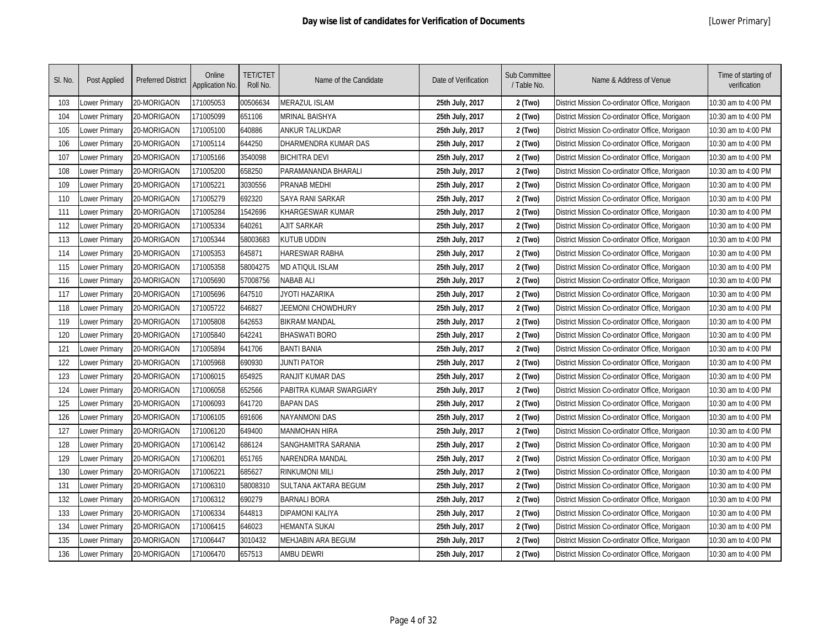| SI. No. | Post Applied  | <b>Preferred District</b> | Online<br>Application No. | <b>TET/CTET</b><br>Roll No. | Name of the Candidate   | Date of Verification | Sub Committee<br>/ Table No. | Name & Address of Venue                        | Time of starting of<br>verification |
|---------|---------------|---------------------------|---------------------------|-----------------------------|-------------------------|----------------------|------------------------------|------------------------------------------------|-------------------------------------|
| 103     | ower Primary  | 20-MORIGAON               | 171005053                 | 00506634                    | <b>MERAZUL ISLAM</b>    | 25th July, 2017      | 2 (Two)                      | District Mission Co-ordinator Office, Morigaon | 10:30 am to 4:00 PM                 |
| 104     | Lower Primary | 20-MORIGAON               | 171005099                 | 651106                      | MRINAL BAISHYA          | 25th July, 2017      | 2 (Two)                      | District Mission Co-ordinator Office, Morigaon | 10:30 am to 4:00 PM                 |
| 105     | Lower Primary | 20-MORIGAON               | 171005100                 | 640886                      | ANKUR TALUKDAR          | 25th July, 2017      | 2 (Two)                      | District Mission Co-ordinator Office, Morigaon | 10:30 am to 4:00 PM                 |
| 106     | Lower Primary | 20-MORIGAON               | 171005114                 | 644250                      | DHARMENDRA KUMAR DAS    | 25th July, 2017      | 2 (Two)                      | District Mission Co-ordinator Office, Morigaon | 10:30 am to 4:00 PM                 |
| 107     | Lower Primary | 20-MORIGAON               | 171005166                 | 3540098                     | <b>BICHITRA DEVI</b>    | 25th July, 2017      | 2 (Two)                      | District Mission Co-ordinator Office, Morigaon | 10:30 am to 4:00 PM                 |
| 108     | Lower Primary | 20-MORIGAON               | 171005200                 | 658250                      | PARAMANANDA BHARALI     | 25th July, 2017      | 2 (Two)                      | District Mission Co-ordinator Office, Morigaon | 10:30 am to 4:00 PM                 |
| 109     | Lower Primary | 20-MORIGAON               | 171005221                 | 3030556                     | <b>PRANAB MEDHI</b>     | 25th July, 2017      | 2 (Two)                      | District Mission Co-ordinator Office, Morigaon | 10:30 am to 4:00 PM                 |
| 110     | Lower Primary | 20-MORIGAON               | 171005279                 | 692320                      | SAYA RANI SARKAR        | 25th July, 2017      | 2 (Two)                      | District Mission Co-ordinator Office, Morigaon | 10:30 am to 4:00 PM                 |
| 111     | Lower Primary | 20-MORIGAON               | 171005284                 | 1542696                     | <b>KHARGESWAR KUMAR</b> | 25th July, 2017      | 2 (Two)                      | District Mission Co-ordinator Office, Morigaon | 10:30 am to 4:00 PM                 |
| 112     | Lower Primary | 20-MORIGAON               | 171005334                 | 640261                      | <b>AJIT SARKAR</b>      | 25th July, 2017      | 2 (Two)                      | District Mission Co-ordinator Office, Morigaon | 10:30 am to 4:00 PM                 |
| 113     | Lower Primary | 20-MORIGAON               | 171005344                 | 58003683                    | <b>KUTUB UDDIN</b>      | 25th July, 2017      | 2 (Two)                      | District Mission Co-ordinator Office, Morigaon | 10:30 am to 4:00 PM                 |
| 114     | Lower Primary | 20-MORIGAON               | 171005353                 | 645871                      | HARESWAR RABHA          | 25th July, 2017      | 2 (Two)                      | District Mission Co-ordinator Office, Morigaon | 10:30 am to 4:00 PM                 |
| 115     | Lower Primary | 20-MORIGAON               | 171005358                 | 58004275                    | <b>MD ATIQUL ISLAM</b>  | 25th July, 2017      | 2 (Two)                      | District Mission Co-ordinator Office, Morigaon | 10:30 am to 4:00 PM                 |
| 116     | Lower Primary | 20-MORIGAON               | 171005690                 | 57008756                    | <b>NABAB ALI</b>        | 25th July, 2017      | 2 (Two)                      | District Mission Co-ordinator Office, Morigaon | 10:30 am to 4:00 PM                 |
| 117     | Lower Primary | 20-MORIGAON               | 171005696                 | 647510                      | JYOTI HAZARIKA          | 25th July, 2017      | 2 (Two)                      | District Mission Co-ordinator Office, Morigaon | 10:30 am to 4:00 PM                 |
| 118     | Lower Primary | 20-MORIGAON               | 171005722                 | 646827                      | JEEMONI CHOWDHURY       | 25th July, 2017      | 2 (Two)                      | District Mission Co-ordinator Office, Morigaon | 10:30 am to 4:00 PM                 |
| 119     | Lower Primary | 20-MORIGAON               | 171005808                 | 642653                      | <b>BIKRAM MANDAL</b>    | 25th July, 2017      | 2 (Two)                      | District Mission Co-ordinator Office, Morigaon | 10:30 am to 4:00 PM                 |
| 120     | Lower Primary | 20-MORIGAON               | 171005840                 | 642241                      | <b>BHASWATI BORO</b>    | 25th July, 2017      | 2 (Two)                      | District Mission Co-ordinator Office, Morigaon | 10:30 am to 4:00 PM                 |
| 121     | Lower Primary | 20-MORIGAON               | 171005894                 | 641706                      | <b>BANTI BANIA</b>      | 25th July, 2017      | 2 (Two)                      | District Mission Co-ordinator Office, Morigaon | 10:30 am to 4:00 PM                 |
| 122     | Lower Primary | 20-MORIGAON               | 171005968                 | 690930                      | JUNTI PATOR             | 25th July, 2017      | 2 (Two)                      | District Mission Co-ordinator Office, Morigaon | 10:30 am to 4:00 PM                 |
| 123     | Lower Primary | 20-MORIGAON               | 171006015                 | 654925                      | RANJIT KUMAR DAS        | 25th July, 2017      | 2 (Two)                      | District Mission Co-ordinator Office, Morigaon | 10:30 am to 4:00 PM                 |
| 124     | Lower Primary | 20-MORIGAON               | 171006058                 | 652566                      | PABITRA KUMAR SWARGIARY | 25th July, 2017      | 2 (Two)                      | District Mission Co-ordinator Office, Morigaon | 10:30 am to 4:00 PM                 |
| 125     | Lower Primary | 20-MORIGAON               | 171006093                 | 641720                      | <b>BAPAN DAS</b>        | 25th July, 2017      | 2 (Two)                      | District Mission Co-ordinator Office, Morigaon | 10:30 am to 4:00 PM                 |
| 126     | Lower Primary | 20-MORIGAON               | 171006105                 | 691606                      | NAYANMONI DAS           | 25th July, 2017      | 2 (Two)                      | District Mission Co-ordinator Office, Morigaon | 10:30 am to 4:00 PM                 |
| 127     | Lower Primary | 20-MORIGAON               | 171006120                 | 649400                      | <b>MANMOHAN HIRA</b>    | 25th July, 2017      | 2 (Two)                      | District Mission Co-ordinator Office, Morigaon | 10:30 am to 4:00 PM                 |
| 128     | Lower Primary | 20-MORIGAON               | 171006142                 | 686124                      | SANGHAMITRA SARANIA     | 25th July, 2017      | 2 (Two)                      | District Mission Co-ordinator Office, Morigaon | 10:30 am to 4:00 PM                 |
| 129     | Lower Primary | 20-MORIGAON               | 171006201                 | 651765                      | NARENDRA MANDAL         | 25th July, 2017      | 2 (Two)                      | District Mission Co-ordinator Office, Morigaon | 10:30 am to 4:00 PM                 |
| 130     | Lower Primary | 20-MORIGAON               | 171006221                 | 685627                      | <b>RINKUMONI MILI</b>   | 25th July, 2017      | 2 (Two)                      | District Mission Co-ordinator Office, Morigaon | 10:30 am to 4:00 PM                 |
| 131     | Lower Primary | 20-MORIGAON               | 171006310                 | 58008310                    | SULTANA AKTARA BEGUM    | 25th July, 2017      | 2 (Two)                      | District Mission Co-ordinator Office, Morigaon | 10:30 am to 4:00 PM                 |
| 132     | Lower Primary | 20-MORIGAON               | 171006312                 | 690279                      | <b>BARNALI BORA</b>     | 25th July, 2017      | 2 (Two)                      | District Mission Co-ordinator Office, Morigaon | 10:30 am to 4:00 PM                 |
| 133     | Lower Primary | 20-MORIGAON               | 171006334                 | 644813                      | <b>DIPAMONI KALIYA</b>  | 25th July, 2017      | 2 (Two)                      | District Mission Co-ordinator Office, Morigaon | 10:30 am to 4:00 PM                 |
| 134     | Lower Primary | 20-MORIGAON               | 171006415                 | 646023                      | HEMANTA SUKAI           | 25th July, 2017      | 2 (Two)                      | District Mission Co-ordinator Office, Morigaon | 10:30 am to 4:00 PM                 |
| 135     | Lower Primary | 20-MORIGAON               | 171006447                 | 3010432                     | MEHJABIN ARA BEGUM      | 25th July, 2017      | 2 (Two)                      | District Mission Co-ordinator Office, Morigaon | 10:30 am to 4:00 PM                 |
| 136     | Lower Primary | 20-MORIGAON               | 171006470                 | 657513                      | <b>AMBU DEWRI</b>       | 25th July, 2017      | 2 (Two)                      | District Mission Co-ordinator Office, Morigaon | 10:30 am to 4:00 PM                 |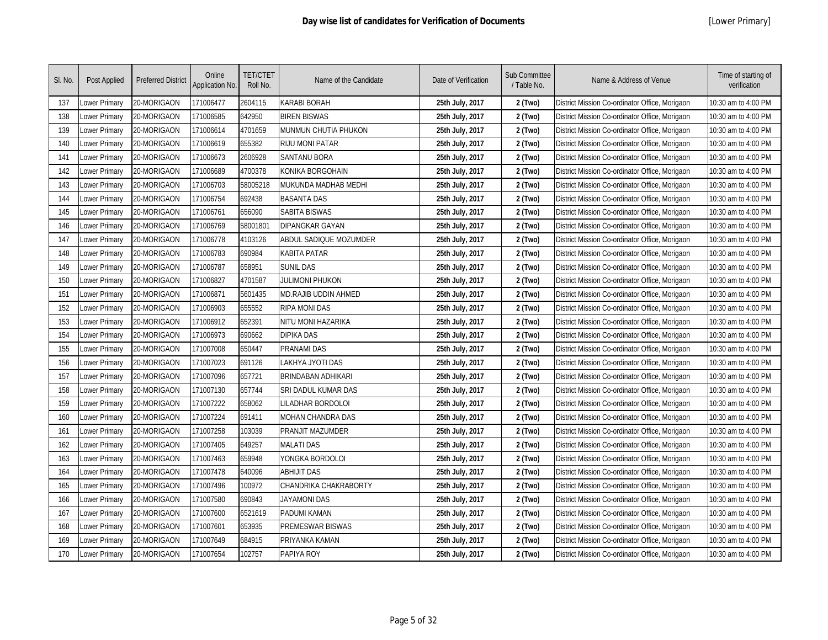| SI. No. | Post Applied  | <b>Preferred District</b> | Online<br>Application No. | <b>TET/CTET</b><br>Roll No. | Name of the Candidate     | Date of Verification | Sub Committee<br>/ Table No. | Name & Address of Venue                        | Time of starting of<br>verification |
|---------|---------------|---------------------------|---------------------------|-----------------------------|---------------------------|----------------------|------------------------------|------------------------------------------------|-------------------------------------|
| 137     | ower Primary  | 20-MORIGAON               | 171006477                 | 2604115                     | KARABI BORAH              | 25th July, 2017      | 2 (Two)                      | District Mission Co-ordinator Office, Morigaon | 10:30 am to 4:00 PM                 |
| 138     | Lower Primary | 20-MORIGAON               | 171006585                 | 642950                      | <b>BIREN BISWAS</b>       | 25th July, 2017      | 2 (Two)                      | District Mission Co-ordinator Office, Morigaon | 10:30 am to 4:00 PM                 |
| 139     | Lower Primary | 20-MORIGAON               | 171006614                 | 4701659                     | MUNMUN CHUTIA PHUKON      | 25th July, 2017      | 2 (Two)                      | District Mission Co-ordinator Office, Morigaon | 10:30 am to 4:00 PM                 |
| 140     | Lower Primary | 20-MORIGAON               | 171006619                 | 655382                      | <b>RIJU MONI PATAR</b>    | 25th July, 2017      | 2 (Two)                      | District Mission Co-ordinator Office, Morigaon | 10:30 am to 4:00 PM                 |
| 141     | Lower Primary | 20-MORIGAON               | 171006673                 | 2606928                     | <b>SANTANU BORA</b>       | 25th July, 2017      | 2 (Two)                      | District Mission Co-ordinator Office, Morigaon | 10:30 am to 4:00 PM                 |
| 142     | Lower Primary | 20-MORIGAON               | 171006689                 | 4700378                     | KONIKA BORGOHAIN          | 25th July, 2017      | 2 (Two)                      | District Mission Co-ordinator Office, Morigaon | 10:30 am to 4:00 PM                 |
| 143     | Lower Primary | 20-MORIGAON               | 171006703                 | 58005218                    | MUKUNDA MADHAB MEDHI      | 25th July, 2017      | 2 (Two)                      | District Mission Co-ordinator Office, Morigaon | 10:30 am to 4:00 PM                 |
| 144     | Lower Primary | 20-MORIGAON               | 171006754                 | 692438                      | <b>BASANTA DAS</b>        | 25th July, 2017      | 2 (Two)                      | District Mission Co-ordinator Office, Morigaon | 10:30 am to 4:00 PM                 |
| 145     | Lower Primary | 20-MORIGAON               | 171006761                 | 656090                      | <b>SABITA BISWAS</b>      | 25th July, 2017      | 2 (Two)                      | District Mission Co-ordinator Office, Morigaon | 10:30 am to 4:00 PM                 |
| 146     | Lower Primary | 20-MORIGAON               | 171006769                 | 58001801                    | <b>DIPANGKAR GAYAN</b>    | 25th July, 2017      | 2 (Two)                      | District Mission Co-ordinator Office, Morigaon | 10:30 am to 4:00 PM                 |
| 147     | Lower Primary | 20-MORIGAON               | 171006778                 | 4103126                     | ABDUL SADIQUE MOZUMDER    | 25th July, 2017      | 2 (Two)                      | District Mission Co-ordinator Office, Morigaon | 10:30 am to 4:00 PM                 |
| 148     | Lower Primary | 20-MORIGAON               | 171006783                 | 690984                      | KABITA PATAR              | 25th July, 2017      | 2 (Two)                      | District Mission Co-ordinator Office, Morigaon | 10:30 am to 4:00 PM                 |
| 149     | Lower Primary | 20-MORIGAON               | 171006787                 | 658951                      | <b>SUNIL DAS</b>          | 25th July, 2017      | 2 (Two)                      | District Mission Co-ordinator Office, Morigaon | 10:30 am to 4:00 PM                 |
| 150     | Lower Primary | 20-MORIGAON               | 171006827                 | 4701587                     | <b>JULIMONI PHUKON</b>    | 25th July, 2017      | 2 (Two)                      | District Mission Co-ordinator Office, Morigaon | 10:30 am to 4:00 PM                 |
| 151     | Lower Primary | 20-MORIGAON               | 171006871                 | 5601435                     | MD.RAJIB UDDIN AHMED      | 25th July, 2017      | 2 (Two)                      | District Mission Co-ordinator Office, Morigaon | 10:30 am to 4:00 PM                 |
| 152     | Lower Primary | 20-MORIGAON               | 171006903                 | 655552                      | <b>RIPA MONI DAS</b>      | 25th July, 2017      | 2 (Two)                      | District Mission Co-ordinator Office, Morigaon | 10:30 am to 4:00 PM                 |
| 153     | Lower Primary | 20-MORIGAON               | 171006912                 | 652391                      | NITU MONI HAZARIKA        | 25th July, 2017      | 2 (Two)                      | District Mission Co-ordinator Office, Morigaon | 10:30 am to 4:00 PM                 |
| 154     | Lower Primary | 20-MORIGAON               | 171006973                 | 690662                      | <b>DIPIKA DAS</b>         | 25th July, 2017      | 2 (Two)                      | District Mission Co-ordinator Office, Morigaon | 10:30 am to 4:00 PM                 |
| 155     | Lower Primary | 20-MORIGAON               | 171007008                 | 650447                      | <b>PRANAMI DAS</b>        | 25th July, 2017      | 2 (Two)                      | District Mission Co-ordinator Office, Morigaon | 10:30 am to 4:00 PM                 |
| 156     | Lower Primary | 20-MORIGAON               | 171007023                 | 691126                      | LAKHYA JYOTI DAS          | 25th July, 2017      | 2 (Two)                      | District Mission Co-ordinator Office, Morigaon | 10:30 am to 4:00 PM                 |
| 157     | Lower Primary | 20-MORIGAON               | 171007096                 | 657721                      | <b>BRINDABAN ADHIKARI</b> | 25th July, 2017      | 2 (Two)                      | District Mission Co-ordinator Office, Morigaon | 10:30 am to 4:00 PM                 |
| 158     | Lower Primary | 20-MORIGAON               | 171007130                 | 657744                      | SRI DADUL KUMAR DAS       | 25th July, 2017      | 2 (Two)                      | District Mission Co-ordinator Office, Morigaon | 10:30 am to 4:00 PM                 |
| 159     | Lower Primary | 20-MORIGAON               | 171007222                 | 658062                      | LILADHAR BORDOLOI         | 25th July, 2017      | 2 (Two)                      | District Mission Co-ordinator Office, Morigaon | 10:30 am to 4:00 PM                 |
| 160     | Lower Primary | 20-MORIGAON               | 171007224                 | 691411                      | MOHAN CHANDRA DAS         | 25th July, 2017      | 2 (Two)                      | District Mission Co-ordinator Office, Morigaon | 10:30 am to 4:00 PM                 |
| 161     | Lower Primary | 20-MORIGAON               | 171007258                 | 103039                      | PRANJIT MAZUMDER          | 25th July, 2017      | 2 (Two)                      | District Mission Co-ordinator Office, Morigaon | 10:30 am to 4:00 PM                 |
| 162     | Lower Primary | 20-MORIGAON               | 171007405                 | 649257                      | <b>MALATI DAS</b>         | 25th July, 2017      | 2 (Two)                      | District Mission Co-ordinator Office, Morigaon | 10:30 am to 4:00 PM                 |
| 163     | Lower Primary | 20-MORIGAON               | 171007463                 | 659948                      | YONGKA BORDOLOI           | 25th July, 2017      | 2 (Two)                      | District Mission Co-ordinator Office, Morigaon | 10:30 am to 4:00 PM                 |
| 164     | Lower Primary | 20-MORIGAON               | 171007478                 | 640096                      | <b>ABHIJIT DAS</b>        | 25th July, 2017      | 2 (Two)                      | District Mission Co-ordinator Office, Morigaon | 10:30 am to 4:00 PM                 |
| 165     | Lower Primary | 20-MORIGAON               | 171007496                 | 100972                      | CHANDRIKA CHAKRABORTY     | 25th July, 2017      | 2 (Two)                      | District Mission Co-ordinator Office, Morigaon | 10:30 am to 4:00 PM                 |
| 166     | Lower Primary | 20-MORIGAON               | 171007580                 | 690843                      | JAYAMONI DAS              | 25th July, 2017      | 2 (Two)                      | District Mission Co-ordinator Office, Morigaon | 10:30 am to 4:00 PM                 |
| 167     | Lower Primary | 20-MORIGAON               | 171007600                 | 6521619                     | <b>PADUMI KAMAN</b>       | 25th July, 2017      | 2 (Two)                      | District Mission Co-ordinator Office, Morigaon | 10:30 am to 4:00 PM                 |
| 168     | Lower Primary | 20-MORIGAON               | 171007601                 | 653935                      | PREMESWAR BISWAS          | 25th July, 2017      | 2 (Two)                      | District Mission Co-ordinator Office, Morigaon | 10:30 am to 4:00 PM                 |
| 169     | Lower Primary | 20-MORIGAON               | 171007649                 | 684915                      | PRIYANKA KAMAN            | 25th July, 2017      | 2 (Two)                      | District Mission Co-ordinator Office, Morigaon | 10:30 am to 4:00 PM                 |
| 170     | Lower Primary | 20-MORIGAON               | 171007654                 | 102757                      | PAPIYA ROY                | 25th July, 2017      | 2 (Two)                      | District Mission Co-ordinator Office, Morigaon | 10:30 am to 4:00 PM                 |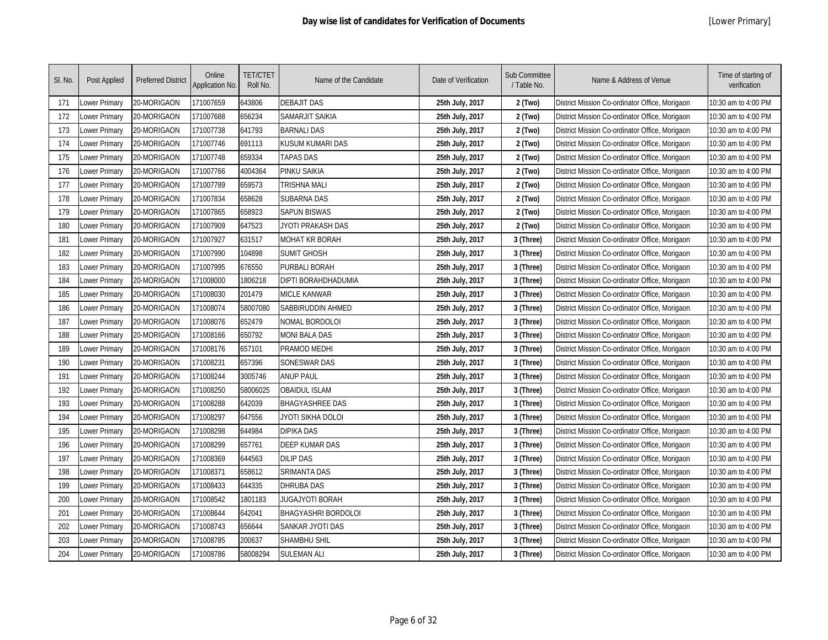| SI. No. | Post Applied  | <b>Preferred District</b> | Online<br>Application No. | <b>TET/CTET</b><br>Roll No. | Name of the Candidate      | Date of Verification | Sub Committee<br>/ Table No. | Name & Address of Venue                        | Time of starting of<br>verification |
|---------|---------------|---------------------------|---------------------------|-----------------------------|----------------------------|----------------------|------------------------------|------------------------------------------------|-------------------------------------|
| 171     | ower Primary  | 20-MORIGAON               | 171007659                 | 643806                      | <b>DEBAJIT DAS</b>         | 25th July, 2017      | 2 (Two)                      | District Mission Co-ordinator Office, Morigaon | 10:30 am to 4:00 PM                 |
| 172     | Lower Primary | 20-MORIGAON               | 171007688                 | 656234                      | SAMARJIT SAIKIA            | 25th July, 2017      | 2 (Two)                      | District Mission Co-ordinator Office, Morigaon | 10:30 am to 4:00 PM                 |
| 173     | Lower Primary | 20-MORIGAON               | 171007738                 | 641793                      | <b>BARNALI DAS</b>         | 25th July, 2017      | 2 (Two)                      | District Mission Co-ordinator Office, Morigaon | 10:30 am to 4:00 PM                 |
| 174     | Lower Primary | 20-MORIGAON               | 171007746                 | 691113                      | KUSUM KUMARI DAS           | 25th July, 2017      | 2 (Two)                      | District Mission Co-ordinator Office, Morigaon | 10:30 am to 4:00 PM                 |
| 175     | Lower Primary | 20-MORIGAON               | 171007748                 | 659334                      | <b>TAPAS DAS</b>           | 25th July, 2017      | 2 (Two)                      | District Mission Co-ordinator Office, Morigaon | 10:30 am to 4:00 PM                 |
| 176     | Lower Primary | 20-MORIGAON               | 171007766                 | 4004364                     | <b>PINKU SAIKIA</b>        | 25th July, 2017      | 2 (Two)                      | District Mission Co-ordinator Office, Morigaon | 10:30 am to 4:00 PM                 |
| 177     | Lower Primary | 20-MORIGAON               | 171007789                 | 659573                      | TRISHNA MALI               | 25th July, 2017      | 2 (Two)                      | District Mission Co-ordinator Office, Morigaon | 10:30 am to 4:00 PM                 |
| 178     | Lower Primary | 20-MORIGAON               | 171007834                 | 658628                      | <b>SUBARNA DAS</b>         | 25th July, 2017      | 2 (Two)                      | District Mission Co-ordinator Office, Morigaon | 10:30 am to 4:00 PM                 |
| 179     | Lower Primary | 20-MORIGAON               | 171007865                 | 658923                      | <b>SAPUN BISWAS</b>        | 25th July, 2017      | 2 (Two)                      | District Mission Co-ordinator Office, Morigaon | 10:30 am to 4:00 PM                 |
| 180     | Lower Primary | 20-MORIGAON               | 171007909                 | 647523                      | JYOTI PRAKASH DAS          | 25th July, 2017      | 2 (Two)                      | District Mission Co-ordinator Office, Morigaon | 10:30 am to 4:00 PM                 |
| 181     | Lower Primary | 20-MORIGAON               | 171007927                 | 631517                      | <b>MOHAT KR BORAH</b>      | 25th July, 2017      | 3 (Three)                    | District Mission Co-ordinator Office, Morigaon | 10:30 am to 4:00 PM                 |
| 182     | Lower Primary | 20-MORIGAON               | 171007990                 | 104898                      | <b>SUMIT GHOSH</b>         | 25th July, 2017      | 3 (Three)                    | District Mission Co-ordinator Office, Morigaon | 10:30 am to 4:00 PM                 |
| 183     | Lower Primary | 20-MORIGAON               | 171007995                 | 676550                      | PURBALI BORAH              | 25th July, 2017      | 3 (Three)                    | District Mission Co-ordinator Office, Morigaon | 10:30 am to 4:00 PM                 |
| 184     | Lower Primary | 20-MORIGAON               | 171008000                 | 1806218                     | DIPTI BORAHDHADUMIA        | 25th July, 2017      | 3 (Three)                    | District Mission Co-ordinator Office, Morigaon | 10:30 am to 4:00 PM                 |
| 185     | Lower Primary | 20-MORIGAON               | 171008030                 | 201479                      | <b>MICLE KANWAR</b>        | 25th July, 2017      | 3 (Three)                    | District Mission Co-ordinator Office, Morigaon | 10:30 am to 4:00 PM                 |
| 186     | Lower Primary | 20-MORIGAON               | 171008074                 | 58007080                    | SABBIRUDDIN AHMED          | 25th July, 2017      | 3 (Three)                    | District Mission Co-ordinator Office, Morigaon | 10:30 am to 4:00 PM                 |
| 187     | Lower Primary | 20-MORIGAON               | 171008076                 | 652479                      | NOMAL BORDOLOI             | 25th July, 2017      | 3 (Three)                    | District Mission Co-ordinator Office, Morigaon | 10:30 am to 4:00 PM                 |
| 188     | Lower Primary | 20-MORIGAON               | 171008166                 | 650792                      | <b>MONI BALA DAS</b>       | 25th July, 2017      | 3 (Three)                    | District Mission Co-ordinator Office, Morigaon | 10:30 am to 4:00 PM                 |
| 189     | Lower Primary | 20-MORIGAON               | 171008176                 | 657101                      | PRAMOD MEDHI               | 25th July, 2017      | 3 (Three)                    | District Mission Co-ordinator Office, Morigaon | 10:30 am to 4:00 PM                 |
| 190     | Lower Primary | 20-MORIGAON               | 171008231                 | 657396                      | <b>SONESWAR DAS</b>        | 25th July, 2017      | 3 (Three)                    | District Mission Co-ordinator Office, Morigaon | 10:30 am to 4:00 PM                 |
| 191     | Lower Primary | 20-MORIGAON               | 171008244                 | 3005746                     | <b>ANUP PAUL</b>           | 25th July, 2017      | 3 (Three)                    | District Mission Co-ordinator Office, Morigaon | 10:30 am to 4:00 PM                 |
| 192     | Lower Primary | 20-MORIGAON               | 171008250                 | 58006025                    | <b>OBAIDUL ISLAM</b>       | 25th July, 2017      | 3 (Three)                    | District Mission Co-ordinator Office, Morigaon | 10:30 am to 4:00 PM                 |
| 193     | Lower Primary | 20-MORIGAON               | 171008288                 | 642039                      | <b>BHAGYASHREE DAS</b>     | 25th July, 2017      | 3 (Three)                    | District Mission Co-ordinator Office, Morigaon | 10:30 am to 4:00 PM                 |
| 194     | Lower Primary | 20-MORIGAON               | 171008297                 | 647556                      | JYOTI SIKHA DOLOI          | 25th July, 2017      | 3 (Three)                    | District Mission Co-ordinator Office, Morigaon | 10:30 am to 4:00 PM                 |
| 195     | Lower Primary | 20-MORIGAON               | 171008298                 | 644984                      | <b>DIPIKA DAS</b>          | 25th July, 2017      | 3 (Three)                    | District Mission Co-ordinator Office, Morigaon | 10:30 am to 4:00 PM                 |
| 196     | Lower Primary | 20-MORIGAON               | 171008299                 | 657761                      | <b>DEEP KUMAR DAS</b>      | 25th July, 2017      | 3 (Three)                    | District Mission Co-ordinator Office, Morigaon | 10:30 am to 4:00 PM                 |
| 197     | Lower Primary | 20-MORIGAON               | 171008369                 | 644563                      | <b>DILIP DAS</b>           | 25th July, 2017      | 3 (Three)                    | District Mission Co-ordinator Office, Morigaon | 10:30 am to 4:00 PM                 |
| 198     | Lower Primary | 20-MORIGAON               | 171008371                 | 658612                      | <b>SRIMANTA DAS</b>        | 25th July, 2017      | 3 (Three)                    | District Mission Co-ordinator Office, Morigaon | 10:30 am to 4:00 PM                 |
| 199     | Lower Primary | 20-MORIGAON               | 171008433                 | 644335                      | <b>DHRUBA DAS</b>          | 25th July, 2017      | 3 (Three)                    | District Mission Co-ordinator Office, Morigaon | 10:30 am to 4:00 PM                 |
| 200     | Lower Primary | 20-MORIGAON               | 171008542                 | 1801183                     | JUGAJYOTI BORAH            | 25th July, 2017      | 3 (Three)                    | District Mission Co-ordinator Office, Morigaon | 10:30 am to 4:00 PM                 |
| 201     | Lower Primary | 20-MORIGAON               | 171008644                 | 642041                      | <b>BHAGYASHRI BORDOLOI</b> | 25th July, 2017      | 3 (Three)                    | District Mission Co-ordinator Office, Morigaon | 10:30 am to 4:00 PM                 |
| 202     | Lower Primary | 20-MORIGAON               | 171008743                 | 656644                      | <b>SANKAR JYOTI DAS</b>    | 25th July, 2017      | 3 (Three)                    | District Mission Co-ordinator Office, Morigaon | 10:30 am to 4:00 PM                 |
| 203     | ower Primary  | 20-MORIGAON               | 171008785                 | 200637                      | SHAMBHU SHIL               | 25th July, 2017      | 3 (Three)                    | District Mission Co-ordinator Office, Morigaon | 10:30 am to 4:00 PM                 |
| 204     | Lower Primary | 20-MORIGAON               | 171008786                 | 58008294                    | <b>SULEMAN ALI</b>         | 25th July, 2017      | 3 (Three)                    | District Mission Co-ordinator Office, Morigaon | 10:30 am to 4:00 PM                 |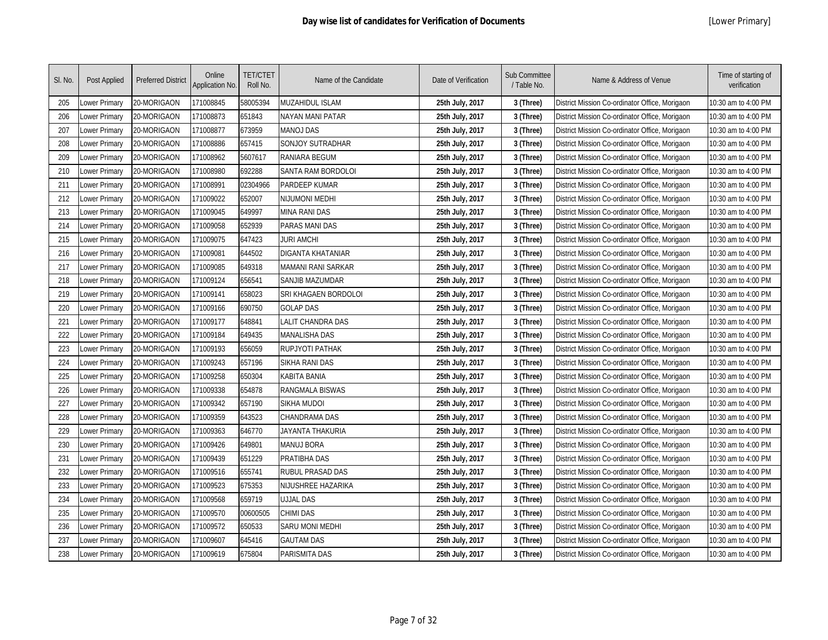| SI. No. | Post Applied  | <b>Preferred District</b> | Online<br>Application No. | <b>TET/CTET</b><br>Roll No. | Name of the Candidate     | Date of Verification | Sub Committee<br>/ Table No. | Name & Address of Venue                        | Time of starting of<br>verification |
|---------|---------------|---------------------------|---------------------------|-----------------------------|---------------------------|----------------------|------------------------------|------------------------------------------------|-------------------------------------|
| 205     | Lower Primary | 20-MORIGAON               | 171008845                 | 58005394                    | MUZAHIDUL ISLAM           | 25th July, 2017      | 3 (Three)                    | District Mission Co-ordinator Office, Morigaon | 10:30 am to 4:00 PM                 |
| 206     | Lower Primary | 20-MORIGAON               | 171008873                 | 651843                      | NAYAN MANI PATAR          | 25th July, 2017      | 3 (Three)                    | District Mission Co-ordinator Office, Morigaon | 10:30 am to 4:00 PM                 |
| 207     | Lower Primary | 20-MORIGAON               | 171008877                 | 673959                      | <b>MANOJ DAS</b>          | 25th July, 2017      | 3 (Three)                    | District Mission Co-ordinator Office, Morigaon | 10:30 am to 4:00 PM                 |
| 208     | Lower Primary | 20-MORIGAON               | 171008886                 | 657415                      | <b>SONJOY SUTRADHAR</b>   | 25th July, 2017      | 3 (Three)                    | District Mission Co-ordinator Office, Morigaon | 10:30 am to 4:00 PM                 |
| 209     | Lower Primary | 20-MORIGAON               | 171008962                 | 5607617                     | RANIARA BEGUM             | 25th July, 2017      | 3 (Three)                    | District Mission Co-ordinator Office, Morigaon | 10:30 am to 4:00 PM                 |
| 210     | Lower Primary | 20-MORIGAON               | 171008980                 | 692288                      | <b>SANTA RAM BORDOLOI</b> | 25th July, 2017      | 3 (Three)                    | District Mission Co-ordinator Office, Morigaon | 10:30 am to 4:00 PM                 |
| 211     | Lower Primary | 20-MORIGAON               | 171008991                 | 02304966                    | PARDEEP KUMAR             | 25th July, 2017      | 3 (Three)                    | District Mission Co-ordinator Office, Morigaon | 10:30 am to 4:00 PM                 |
| 212     | Lower Primary | 20-MORIGAON               | 171009022                 | 652007                      | NIJUMONI MEDHI            | 25th July, 2017      | 3 (Three)                    | District Mission Co-ordinator Office, Morigaon | 10:30 am to 4:00 PM                 |
| 213     | Lower Primary | 20-MORIGAON               | 171009045                 | 649997                      | <b>MINA RANI DAS</b>      | 25th July, 2017      | 3 (Three)                    | District Mission Co-ordinator Office, Morigaon | 10:30 am to 4:00 PM                 |
| 214     | Lower Primary | 20-MORIGAON               | 171009058                 | 652939                      | PARAS MANI DAS            | 25th July, 2017      | 3 (Three)                    | District Mission Co-ordinator Office, Morigaon | 10:30 am to 4:00 PM                 |
| 215     | Lower Primary | 20-MORIGAON               | 171009075                 | 647423                      | <b>JURI AMCHI</b>         | 25th July, 2017      | 3 (Three)                    | District Mission Co-ordinator Office, Morigaon | 10:30 am to 4:00 PM                 |
| 216     | Lower Primary | 20-MORIGAON               | 171009081                 | 644502                      | <b>DIGANTA KHATANIAR</b>  | 25th July, 2017      | 3 (Three)                    | District Mission Co-ordinator Office, Morigaon | 10:30 am to 4:00 PM                 |
| 217     | Lower Primary | 20-MORIGAON               | 171009085                 | 649318                      | MAMANI RANI SARKAR        | 25th July, 2017      | 3 (Three)                    | District Mission Co-ordinator Office, Morigaon | 10:30 am to 4:00 PM                 |
| 218     | Lower Primary | 20-MORIGAON               | 171009124                 | 656541                      | <b>SANJIB MAZUMDAR</b>    | 25th July, 2017      | 3 (Three)                    | District Mission Co-ordinator Office, Morigaon | 10:30 am to 4:00 PM                 |
| 219     | Lower Primary | 20-MORIGAON               | 171009141                 | 658023                      | SRI KHAGAEN BORDOLOI      | 25th July, 2017      | 3 (Three)                    | District Mission Co-ordinator Office, Morigaon | 10:30 am to 4:00 PM                 |
| 220     | Lower Primary | 20-MORIGAON               | 171009166                 | 690750                      | <b>GOLAP DAS</b>          | 25th July, 2017      | 3 (Three)                    | District Mission Co-ordinator Office, Morigaon | 10:30 am to 4:00 PM                 |
| 221     | Lower Primary | 20-MORIGAON               | 171009177                 | 648841                      | LALIT CHANDRA DAS         | 25th July, 2017      | 3 (Three)                    | District Mission Co-ordinator Office, Morigaon | 10:30 am to 4:00 PM                 |
| 222     | Lower Primary | 20-MORIGAON               | 171009184                 | 649435                      | <b>MANALISHA DAS</b>      | 25th July, 2017      | 3 (Three)                    | District Mission Co-ordinator Office, Morigaon | 10:30 am to 4:00 PM                 |
| 223     | Lower Primary | 20-MORIGAON               | 171009193                 | 656059                      | <b>RUPJYOTI PATHAK</b>    | 25th July, 2017      | 3 (Three)                    | District Mission Co-ordinator Office, Morigaon | 10:30 am to 4:00 PM                 |
| 224     | Lower Primary | 20-MORIGAON               | 171009243                 | 657196                      | <b>SIKHA RANI DAS</b>     | 25th July, 2017      | 3 (Three)                    | District Mission Co-ordinator Office, Morigaon | 10:30 am to 4:00 PM                 |
| 225     | Lower Primary | 20-MORIGAON               | 171009258                 | 650304                      | KABITA BANIA              | 25th July, 2017      | 3 (Three)                    | District Mission Co-ordinator Office, Morigaon | 10:30 am to 4:00 PM                 |
| 226     | Lower Primary | 20-MORIGAON               | 171009338                 | 654878                      | RANGMALA BISWAS           | 25th July, 2017      | 3 (Three)                    | District Mission Co-ordinator Office, Morigaon | 10:30 am to 4:00 PM                 |
| 227     | Lower Primary | 20-MORIGAON               | 171009342                 | 657190                      | SIKHA MUDOI               | 25th July, 2017      | 3 (Three)                    | District Mission Co-ordinator Office, Morigaon | 10:30 am to 4:00 PM                 |
| 228     | Lower Primary | 20-MORIGAON               | 171009359                 | 643523                      | CHANDRAMA DAS             | 25th July, 2017      | 3 (Three)                    | District Mission Co-ordinator Office, Morigaon | 10:30 am to 4:00 PM                 |
| 229     | Lower Primary | 20-MORIGAON               | 171009363                 | 646770                      | JAYANTA THAKURIA          | 25th July, 2017      | 3 (Three)                    | District Mission Co-ordinator Office, Morigaon | 10:30 am to 4:00 PM                 |
| 230     | Lower Primary | 20-MORIGAON               | 171009426                 | 649801                      | <b>MANUJ BORA</b>         | 25th July, 2017      | 3 (Three)                    | District Mission Co-ordinator Office, Morigaon | 10:30 am to 4:00 PM                 |
| 231     | Lower Primary | 20-MORIGAON               | 171009439                 | 651229                      | PRATIBHA DAS              | 25th July, 2017      | 3 (Three)                    | District Mission Co-ordinator Office, Morigaon | 10:30 am to 4:00 PM                 |
| 232     | Lower Primary | 20-MORIGAON               | 171009516                 | 655741                      | RUBUL PRASAD DAS          | 25th July, 2017      | 3 (Three)                    | District Mission Co-ordinator Office, Morigaon | 10:30 am to 4:00 PM                 |
| 233     | Lower Primary | 20-MORIGAON               | 171009523                 | 675353                      | NIJUSHREE HAZARIKA        | 25th July, 2017      | 3 (Three)                    | District Mission Co-ordinator Office, Morigaon | 10:30 am to 4:00 PM                 |
| 234     | Lower Primary | 20-MORIGAON               | 171009568                 | 659719                      | <b>UJJAL DAS</b>          | 25th July, 2017      | 3 (Three)                    | District Mission Co-ordinator Office, Morigaon | 10:30 am to 4:00 PM                 |
| 235     | Lower Primary | 20-MORIGAON               | 171009570                 | 00600505                    | CHIMI DAS                 | 25th July, 2017      | 3 (Three)                    | District Mission Co-ordinator Office, Morigaon | 10:30 am to 4:00 PM                 |
| 236     | Lower Primary | 20-MORIGAON               | 171009572                 | 650533                      | <b>SARU MONI MEDHI</b>    | 25th July, 2017      | 3 (Three)                    | District Mission Co-ordinator Office, Morigaon | 10:30 am to 4:00 PM                 |
| 237     | Lower Primary | 20-MORIGAON               | 171009607                 | 645416                      | <b>GAUTAM DAS</b>         | 25th July, 2017      | 3 (Three)                    | District Mission Co-ordinator Office, Morigaon | 10:30 am to 4:00 PM                 |
| 238     | Lower Primary | 20-MORIGAON               | 171009619                 | 675804                      | <b>PARISMITA DAS</b>      | 25th July, 2017      | 3 (Three)                    | District Mission Co-ordinator Office, Morigaon | 10:30 am to 4:00 PM                 |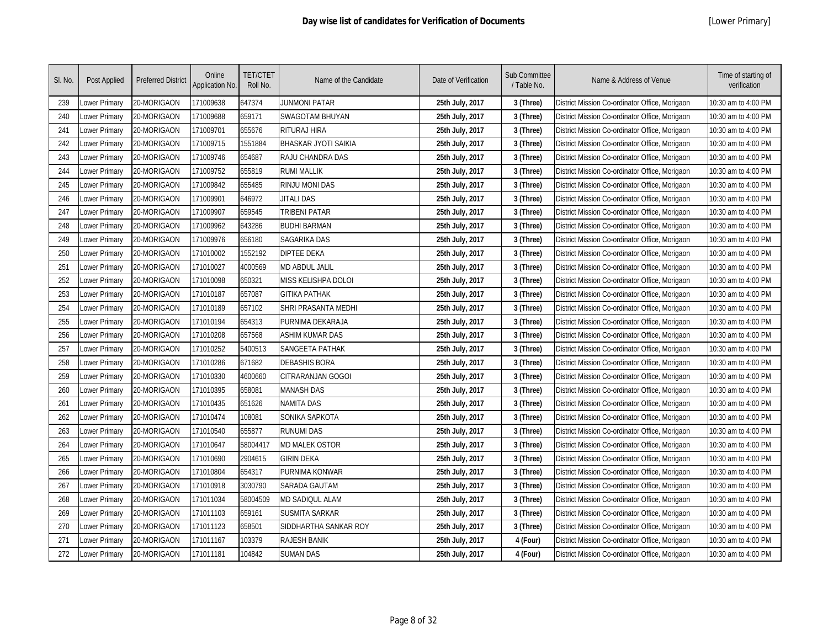| SI. No. | Post Applied  | <b>Preferred District</b> | Online<br><b>Application No.</b> | <b>TET/CTET</b><br>Roll No. | Name of the Candidate       | Date of Verification | Sub Committee<br>/ Table No. | Name & Address of Venue                        | Time of starting of<br>verification |
|---------|---------------|---------------------------|----------------------------------|-----------------------------|-----------------------------|----------------------|------------------------------|------------------------------------------------|-------------------------------------|
| 239     | Lower Primary | 20-MORIGAON               | 171009638                        | 647374                      | <b>JUNMONI PATAR</b>        | 25th July, 2017      | 3 (Three)                    | District Mission Co-ordinator Office, Morigaon | 10:30 am to 4:00 PM                 |
| 240     | Lower Primary | 20-MORIGAON               | 171009688                        | 659171                      | <b>SWAGOTAM BHUYAN</b>      | 25th July, 2017      | 3 (Three)                    | District Mission Co-ordinator Office, Morigaon | 10:30 am to 4:00 PM                 |
| 241     | Lower Primary | 20-MORIGAON               | 171009701                        | 655676                      | <b>RITURAJ HIRA</b>         | 25th July, 2017      | 3 (Three)                    | District Mission Co-ordinator Office, Morigaon | 10:30 am to 4:00 PM                 |
| 242     | Lower Primary | 20-MORIGAON               | 171009715                        | 1551884                     | <b>BHASKAR JYOTI SAIKIA</b> | 25th July, 2017      | 3 (Three)                    | District Mission Co-ordinator Office, Morigaon | 10:30 am to 4:00 PM                 |
| 243     | Lower Primary | 20-MORIGAON               | 171009746                        | 654687                      | RAJU CHANDRA DAS            | 25th July, 2017      | 3 (Three)                    | District Mission Co-ordinator Office, Morigaon | 10:30 am to 4:00 PM                 |
| 244     | Lower Primary | 20-MORIGAON               | 171009752                        | 655819                      | <b>RUMI MALLIK</b>          | 25th July, 2017      | 3 (Three)                    | District Mission Co-ordinator Office, Morigaon | 10:30 am to 4:00 PM                 |
| 245     | Lower Primary | 20-MORIGAON               | 171009842                        | 655485                      | <b>RINJU MONI DAS</b>       | 25th July, 2017      | 3 (Three)                    | District Mission Co-ordinator Office, Morigaon | 10:30 am to 4:00 PM                 |
| 246     | Lower Primary | 20-MORIGAON               | 171009901                        | 646972                      | <b>JITALI DAS</b>           | 25th July, 2017      | 3 (Three)                    | District Mission Co-ordinator Office, Morigaon | 10:30 am to 4:00 PM                 |
| 247     | Lower Primary | 20-MORIGAON               | 171009907                        | 659545                      | <b>TRIBENI PATAR</b>        | 25th July, 2017      | 3 (Three)                    | District Mission Co-ordinator Office, Morigaon | 10:30 am to 4:00 PM                 |
| 248     | Lower Primary | 20-MORIGAON               | 171009962                        | 643286                      | <b>BUDHI BARMAN</b>         | 25th July, 2017      | 3 (Three)                    | District Mission Co-ordinator Office, Morigaon | 10:30 am to 4:00 PM                 |
| 249     | Lower Primary | 20-MORIGAON               | 171009976                        | 656180                      | <b>SAGARIKA DAS</b>         | 25th July, 2017      | 3 (Three)                    | District Mission Co-ordinator Office, Morigaon | 10:30 am to 4:00 PM                 |
| 250     | Lower Primary | 20-MORIGAON               | 171010002                        | 1552192                     | <b>DIPTEE DEKA</b>          | 25th July, 2017      | 3 (Three)                    | District Mission Co-ordinator Office, Morigaon | 10:30 am to 4:00 PM                 |
| 251     | Lower Primary | 20-MORIGAON               | 171010027                        | 4000569                     | <b>MD ABDUL JALIL</b>       | 25th July, 2017      | 3 (Three)                    | District Mission Co-ordinator Office, Morigaon | 10:30 am to 4:00 PM                 |
| 252     | Lower Primary | 20-MORIGAON               | 171010098                        | 650321                      | MISS KELISHPA DOLOI         | 25th July, 2017      | 3 (Three)                    | District Mission Co-ordinator Office, Morigaon | 10:30 am to 4:00 PM                 |
| 253     | Lower Primary | 20-MORIGAON               | 171010187                        | 657087                      | <b>GITIKA PATHAK</b>        | 25th July, 2017      | 3 (Three)                    | District Mission Co-ordinator Office, Morigaon | 10:30 am to 4:00 PM                 |
| 254     | Lower Primary | 20-MORIGAON               | 171010189                        | 657102                      | SHRI PRASANTA MEDHI         | 25th July, 2017      | 3 (Three)                    | District Mission Co-ordinator Office, Morigaon | 10:30 am to 4:00 PM                 |
| 255     | Lower Primary | 20-MORIGAON               | 171010194                        | 654313                      | PURNIMA DEKARAJA            | 25th July, 2017      | 3 (Three)                    | District Mission Co-ordinator Office, Morigaon | 10:30 am to 4:00 PM                 |
| 256     | Lower Primary | 20-MORIGAON               | 171010208                        | 657568                      | <b>ASHIM KUMAR DAS</b>      | 25th July, 2017      | 3 (Three)                    | District Mission Co-ordinator Office, Morigaon | 10:30 am to 4:00 PM                 |
| 257     | Lower Primary | 20-MORIGAON               | 171010252                        | 5400513                     | <b>SANGEETA PATHAK</b>      | 25th July, 2017      | 3 (Three)                    | District Mission Co-ordinator Office, Morigaon | 10:30 am to 4:00 PM                 |
| 258     | Lower Primary | 20-MORIGAON               | 171010286                        | 671682                      | <b>DEBASHIS BORA</b>        | 25th July, 2017      | 3 (Three)                    | District Mission Co-ordinator Office, Morigaon | 10:30 am to 4:00 PM                 |
| 259     | Lower Primary | 20-MORIGAON               | 171010330                        | 4600660                     | CITRARANJAN GOGOI           | 25th July, 2017      | 3 (Three)                    | District Mission Co-ordinator Office, Morigaon | 10:30 am to 4:00 PM                 |
| 260     | Lower Primary | 20-MORIGAON               | 171010395                        | 658081                      | <b>MANASH DAS</b>           | 25th July, 2017      | 3 (Three)                    | District Mission Co-ordinator Office, Morigaon | 10:30 am to 4:00 PM                 |
| 261     | Lower Primary | 20-MORIGAON               | 171010435                        | 651626                      | NAMITA DAS                  | 25th July, 2017      | 3 (Three)                    | District Mission Co-ordinator Office, Morigaon | 10:30 am to 4:00 PM                 |
| 262     | Lower Primary | 20-MORIGAON               | 171010474                        | 108081                      | SONIKA SAPKOTA              | 25th July, 2017      | 3 (Three)                    | District Mission Co-ordinator Office, Morigaon | 10:30 am to 4:00 PM                 |
| 263     | Lower Primary | 20-MORIGAON               | 171010540                        | 655877                      | <b>RUNUMI DAS</b>           | 25th July, 2017      | 3 (Three)                    | District Mission Co-ordinator Office, Morigaon | 10:30 am to 4:00 PM                 |
| 264     | Lower Primary | 20-MORIGAON               | 171010647                        | 58004417                    | <b>MD MALEK OSTOR</b>       | 25th July, 2017      | 3 (Three)                    | District Mission Co-ordinator Office, Morigaon | 10:30 am to 4:00 PM                 |
| 265     | Lower Primary | 20-MORIGAON               | 171010690                        | 2904615                     | GIRIN DEKA                  | 25th July, 2017      | 3 (Three)                    | District Mission Co-ordinator Office, Morigaon | 10:30 am to 4:00 PM                 |
| 266     | Lower Primary | 20-MORIGAON               | 171010804                        | 654317                      | PURNIMA KONWAR              | 25th July, 2017      | 3 (Three)                    | District Mission Co-ordinator Office, Morigaon | 10:30 am to 4:00 PM                 |
| 267     | Lower Primary | 20-MORIGAON               | 171010918                        | 3030790                     | SARADA GAUTAM               | 25th July, 2017      | 3 (Three)                    | District Mission Co-ordinator Office, Morigaon | 10:30 am to 4:00 PM                 |
| 268     | Lower Primary | 20-MORIGAON               | 171011034                        | 58004509                    | MD SADIQUL ALAM             | 25th July, 2017      | 3 (Three)                    | District Mission Co-ordinator Office, Morigaon | 10:30 am to 4:00 PM                 |
| 269     | Lower Primary | 20-MORIGAON               | 171011103                        | 659161                      | <b>SUSMITA SARKAR</b>       | 25th July, 2017      | 3 (Three)                    | District Mission Co-ordinator Office, Morigaon | 10:30 am to 4:00 PM                 |
| 270     | Lower Primary | 20-MORIGAON               | 171011123                        | 658501                      | SIDDHARTHA SANKAR ROY       | 25th July, 2017      | 3 (Three)                    | District Mission Co-ordinator Office, Morigaon | 10:30 am to 4:00 PM                 |
| 271     | Lower Primary | 20-MORIGAON               | 171011167                        | 103379                      | <b>RAJESH BANIK</b>         | 25th July, 2017      | 4 (Four)                     | District Mission Co-ordinator Office, Morigaon | 10:30 am to 4:00 PM                 |
| 272     | Lower Primary | 20-MORIGAON               | 171011181                        | 104842                      | <b>SUMAN DAS</b>            | 25th July, 2017      | 4 (Four)                     | District Mission Co-ordinator Office, Morigaon | 10:30 am to 4:00 PM                 |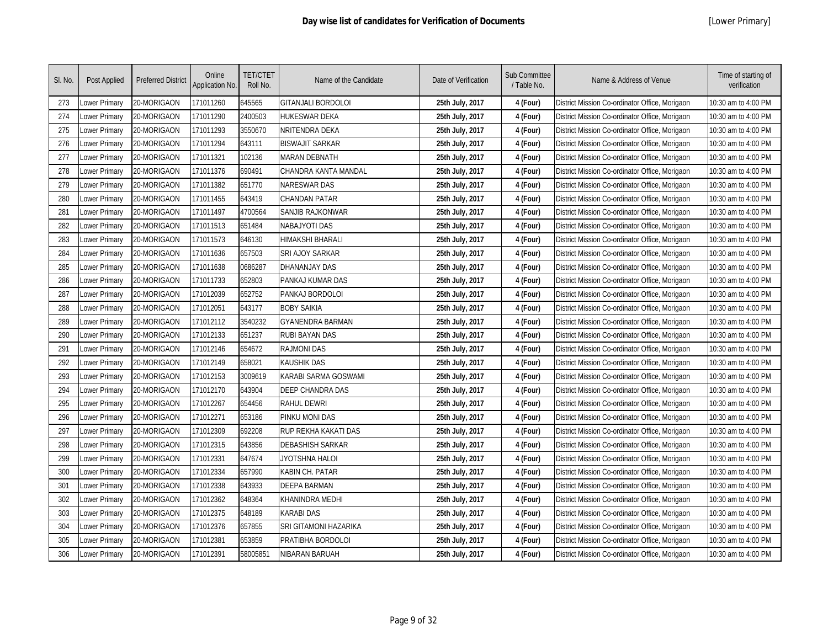| SI. No. | Post Applied  | <b>Preferred District</b> | Online<br>Application No. | <b>TET/CTET</b><br>Roll No. | Name of the Candidate   | Date of Verification | Sub Committee<br>/ Table No. | Name & Address of Venue                        | Time of starting of<br>verification |
|---------|---------------|---------------------------|---------------------------|-----------------------------|-------------------------|----------------------|------------------------------|------------------------------------------------|-------------------------------------|
| 273     | ower Primary  | 20-MORIGAON               | 171011260                 | 645565                      | GITANJALI BORDOLOI      | 25th July, 2017      | 4 (Four)                     | District Mission Co-ordinator Office, Morigaon | 10:30 am to 4:00 PM                 |
| 274     | ower Primary  | 20-MORIGAON               | 171011290                 | 2400503                     | HUKESWAR DEKA           | 25th July, 2017      | 4 (Four)                     | District Mission Co-ordinator Office, Morigaon | 10:30 am to 4:00 PM                 |
| 275     | Lower Primary | 20-MORIGAON               | 171011293                 | 3550670                     | NRITENDRA DEKA          | 25th July, 2017      | 4 (Four)                     | District Mission Co-ordinator Office, Morigaon | 10:30 am to 4:00 PM                 |
| 276     | Lower Primary | 20-MORIGAON               | 171011294                 | 643111                      | <b>BISWAJIT SARKAR</b>  | 25th July, 2017      | 4 (Four)                     | District Mission Co-ordinator Office, Morigaon | 10:30 am to 4:00 PM                 |
| 277     | Lower Primary | 20-MORIGAON               | 171011321                 | 102136                      | <b>MARAN DEBNATH</b>    | 25th July, 2017      | 4 (Four)                     | District Mission Co-ordinator Office, Morigaon | 10:30 am to 4:00 PM                 |
| 278     | Lower Primary | 20-MORIGAON               | 171011376                 | 690491                      | CHANDRA KANTA MANDAL    | 25th July, 2017      | 4 (Four)                     | District Mission Co-ordinator Office, Morigaon | 10:30 am to 4:00 PM                 |
| 279     | Lower Primary | 20-MORIGAON               | 171011382                 | 651770                      | <b>NARESWAR DAS</b>     | 25th July, 2017      | 4 (Four)                     | District Mission Co-ordinator Office, Morigaon | 10:30 am to 4:00 PM                 |
| 280     | Lower Primary | 20-MORIGAON               | 171011455                 | 643419                      | CHANDAN PATAR           | 25th July, 2017      | 4 (Four)                     | District Mission Co-ordinator Office, Morigaon | 10:30 am to 4:00 PM                 |
| 281     | Lower Primary | 20-MORIGAON               | 171011497                 | 4700564                     | SANJIB RAJKONWAR        | 25th July, 2017      | 4 (Four)                     | District Mission Co-ordinator Office, Morigaon | 10:30 am to 4:00 PM                 |
| 282     | Lower Primary | 20-MORIGAON               | 171011513                 | 651484                      | <b>NABAJYOTI DAS</b>    | 25th July, 2017      | 4 (Four)                     | District Mission Co-ordinator Office, Morigaon | 10:30 am to 4:00 PM                 |
| 283     | Lower Primary | 20-MORIGAON               | 171011573                 | 646130                      | <b>HIMAKSHI BHARALI</b> | 25th July, 2017      | 4 (Four)                     | District Mission Co-ordinator Office, Morigaon | 10:30 am to 4:00 PM                 |
| 284     | Lower Primary | 20-MORIGAON               | 171011636                 | 657503                      | SRI AJOY SARKAR         | 25th July, 2017      | 4 (Four)                     | District Mission Co-ordinator Office, Morigaon | 10:30 am to 4:00 PM                 |
| 285     | Lower Primary | 20-MORIGAON               | 171011638                 | 0686287                     | DHANANJAY DAS           | 25th July, 2017      | 4 (Four)                     | District Mission Co-ordinator Office, Morigaon | 10:30 am to 4:00 PM                 |
| 286     | Lower Primary | 20-MORIGAON               | 171011733                 | 652803                      | PANKAJ KUMAR DAS        | 25th July, 2017      | 4 (Four)                     | District Mission Co-ordinator Office, Morigaon | 10:30 am to 4:00 PM                 |
| 287     | Lower Primary | 20-MORIGAON               | 171012039                 | 652752                      | PANKAJ BORDOLOI         | 25th July, 2017      | 4 (Four)                     | District Mission Co-ordinator Office, Morigaon | 10:30 am to 4:00 PM                 |
| 288     | Lower Primary | 20-MORIGAON               | 171012051                 | 643177                      | <b>BOBY SAIKIA</b>      | 25th July, 2017      | 4 (Four)                     | District Mission Co-ordinator Office, Morigaon | 10:30 am to 4:00 PM                 |
| 289     | Lower Primary | 20-MORIGAON               | 171012112                 | 3540232                     | <b>GYANENDRA BARMAN</b> | 25th July, 2017      | 4 (Four)                     | District Mission Co-ordinator Office, Morigaon | 10:30 am to 4:00 PM                 |
| 290     | Lower Primary | 20-MORIGAON               | 171012133                 | 651237                      | <b>RUBI BAYAN DAS</b>   | 25th July, 2017      | 4 (Four)                     | District Mission Co-ordinator Office, Morigaon | 10:30 am to 4:00 PM                 |
| 291     | Lower Primary | 20-MORIGAON               | 171012146                 | 654672                      | <b>RAJMONI DAS</b>      | 25th July, 2017      | 4 (Four)                     | District Mission Co-ordinator Office, Morigaon | 10:30 am to 4:00 PM                 |
| 292     | Lower Primary | 20-MORIGAON               | 171012149                 | 658021                      | <b>KAUSHIK DAS</b>      | 25th July, 2017      | 4 (Four)                     | District Mission Co-ordinator Office, Morigaon | 10:30 am to 4:00 PM                 |
| 293     | Lower Primary | 20-MORIGAON               | 171012153                 | 3009619                     | KARABI SARMA GOSWAMI    | 25th July, 2017      | 4 (Four)                     | District Mission Co-ordinator Office, Morigaon | 10:30 am to 4:00 PM                 |
| 294     | Lower Primary | 20-MORIGAON               | 171012170                 | 643904                      | <b>DEEP CHANDRA DAS</b> | 25th July, 2017      | 4 (Four)                     | District Mission Co-ordinator Office, Morigaon | 10:30 am to 4:00 PM                 |
| 295     | Lower Primary | 20-MORIGAON               | 171012267                 | 654456                      | <b>RAHUL DEWRI</b>      | 25th July, 2017      | 4 (Four)                     | District Mission Co-ordinator Office, Morigaon | 10:30 am to 4:00 PM                 |
| 296     | Lower Primary | 20-MORIGAON               | 171012271                 | 653186                      | PINKU MONI DAS          | 25th July, 2017      | 4 (Four)                     | District Mission Co-ordinator Office, Morigaon | 10:30 am to 4:00 PM                 |
| 297     | Lower Primary | 20-MORIGAON               | 171012309                 | 692208                      | RUP REKHA KAKATI DAS    | 25th July, 2017      | 4 (Four)                     | District Mission Co-ordinator Office, Morigaon | 10:30 am to 4:00 PM                 |
| 298     | Lower Primary | 20-MORIGAON               | 171012315                 | 643856                      | <b>DEBASHISH SARKAR</b> | 25th July, 2017      | 4 (Four)                     | District Mission Co-ordinator Office, Morigaon | 10:30 am to 4:00 PM                 |
| 299     | Lower Primary | 20-MORIGAON               | 171012331                 | 647674                      | JYOTSHNA HALOI          | 25th July, 2017      | 4 (Four)                     | District Mission Co-ordinator Office, Morigaon | 10:30 am to 4:00 PM                 |
| 300     | Lower Primary | 20-MORIGAON               | 171012334                 | 657990                      | KABIN CH. PATAR         | 25th July, 2017      | 4 (Four)                     | District Mission Co-ordinator Office, Morigaon | 10:30 am to 4:00 PM                 |
| 301     | Lower Primary | 20-MORIGAON               | 171012338                 | 643933                      | <b>DEEPA BARMAN</b>     | 25th July, 2017      | 4 (Four)                     | District Mission Co-ordinator Office, Morigaon | 10:30 am to 4:00 PM                 |
| 302     | Lower Primary | 20-MORIGAON               | 171012362                 | 648364                      | KHANINDRA MEDHI         | 25th July, 2017      | 4 (Four)                     | District Mission Co-ordinator Office, Morigaon | 10:30 am to 4:00 PM                 |
| 303     | Lower Primary | 20-MORIGAON               | 171012375                 | 648189                      | <b>KARABI DAS</b>       | 25th July, 2017      | 4 (Four)                     | District Mission Co-ordinator Office, Morigaon | 10:30 am to 4:00 PM                 |
| 304     | Lower Primary | 20-MORIGAON               | 171012376                 | 657855                      | SRI GITAMONI HAZARIKA   | 25th July, 2017      | 4 (Four)                     | District Mission Co-ordinator Office, Morigaon | 10:30 am to 4:00 PM                 |
| 305     | ower Primary  | 20-MORIGAON               | 171012381                 | 653859                      | PRATIBHA BORDOLOI       | 25th July, 2017      | 4 (Four)                     | District Mission Co-ordinator Office, Morigaon | 10:30 am to 4:00 PM                 |
| 306     | Lower Primary | 20-MORIGAON               | 171012391                 | 58005851                    | NIBARAN BARUAH          | 25th July, 2017      | 4 (Four)                     | District Mission Co-ordinator Office, Morigaon | 10:30 am to 4:00 PM                 |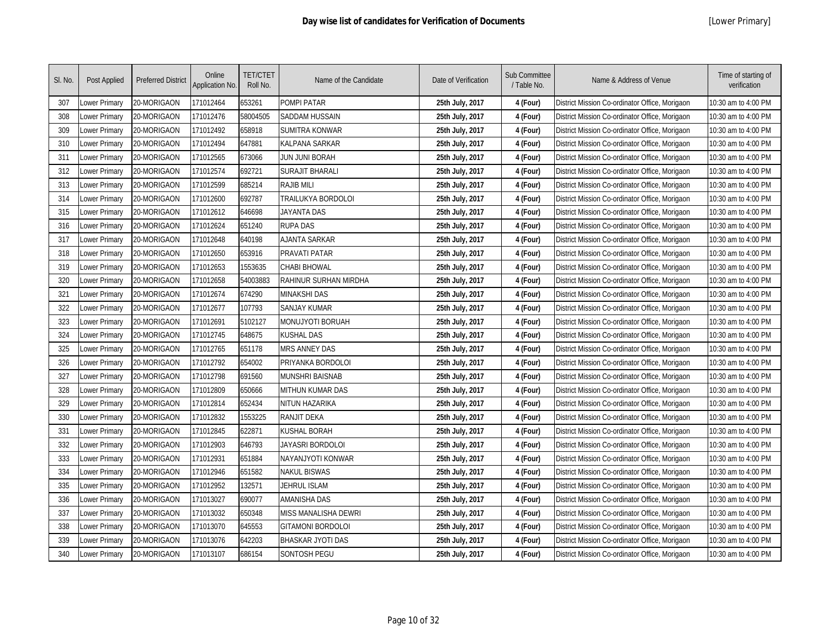| SI. No. | Post Applied         | <b>Preferred District</b> | Online<br>Application No. | <b>TET/CTET</b><br>Roll No. | Name of the Candidate    | Date of Verification | Sub Committee<br>/ Table No. | Name & Address of Venue                        | Time of starting of<br>verification |
|---------|----------------------|---------------------------|---------------------------|-----------------------------|--------------------------|----------------------|------------------------------|------------------------------------------------|-------------------------------------|
| 307     | Lower Primary        | 20-MORIGAON               | 171012464                 | 653261                      | POMPI PATAR              | 25th July, 2017      | 4 (Four)                     | District Mission Co-ordinator Office, Morigaon | 10:30 am to 4:00 PM                 |
| 308     | Lower Primary        | 20-MORIGAON               | 171012476                 | 58004505                    | SADDAM HUSSAIN           | 25th July, 2017      | 4 (Four)                     | District Mission Co-ordinator Office, Morigaon | 10:30 am to 4:00 PM                 |
| 309     | Lower Primary        | 20-MORIGAON               | 171012492                 | 658918                      | SUMITRA KONWAR           | 25th July, 2017      | 4 (Four)                     | District Mission Co-ordinator Office, Morigaon | 10:30 am to 4:00 PM                 |
| 310     | Lower Primary        | 20-MORIGAON               | 171012494                 | 647881                      | <b>KALPANA SARKAR</b>    | 25th July, 2017      | 4 (Four)                     | District Mission Co-ordinator Office, Morigaon | 10:30 am to 4:00 PM                 |
| 311     | Lower Primary        | 20-MORIGAON               | 171012565                 | 673066                      | JUN JUNI BORAH           | 25th July, 2017      | 4 (Four)                     | District Mission Co-ordinator Office, Morigaon | 10:30 am to 4:00 PM                 |
| 312     | Lower Primary        | 20-MORIGAON               | 171012574                 | 692721                      | <b>SURAJIT BHARALI</b>   | 25th July, 2017      | 4 (Four)                     | District Mission Co-ordinator Office, Morigaon | 10:30 am to 4:00 PM                 |
| 313     | Lower Primary        | 20-MORIGAON               | 171012599                 | 685214                      | <b>RAJIB MILI</b>        | 25th July, 2017      | 4 (Four)                     | District Mission Co-ordinator Office, Morigaon | 10:30 am to 4:00 PM                 |
| 314     | Lower Primary        | 20-MORIGAON               | 171012600                 | 692787                      | TRAILUKYA BORDOLOI       | 25th July, 2017      | 4 (Four)                     | District Mission Co-ordinator Office, Morigaon | 10:30 am to 4:00 PM                 |
| 315     | Lower Primary        | 20-MORIGAON               | 171012612                 | 646698                      | JAYANTA DAS              | 25th July, 2017      | 4 (Four)                     | District Mission Co-ordinator Office, Morigaon | 10:30 am to 4:00 PM                 |
| 316     | Lower Primary        | 20-MORIGAON               | 171012624                 | 651240                      | <b>RUPA DAS</b>          | 25th July, 2017      | 4 (Four)                     | District Mission Co-ordinator Office, Morigaon | 10:30 am to 4:00 PM                 |
| 317     | Lower Primary        | 20-MORIGAON               | 171012648                 | 640198                      | <b>AJANTA SARKAR</b>     | 25th July, 2017      | 4 (Four)                     | District Mission Co-ordinator Office, Morigaon | 10:30 am to 4:00 PM                 |
| 318     | Lower Primary        | 20-MORIGAON               | 171012650                 | 653916                      | PRAVATI PATAR            | 25th July, 2017      | 4 (Four)                     | District Mission Co-ordinator Office, Morigaon | 10:30 am to 4:00 PM                 |
| 319     | Lower Primary        | 20-MORIGAON               | 171012653                 | 1553635                     | <b>CHABI BHOWAL</b>      | 25th July, 2017      | 4 (Four)                     | District Mission Co-ordinator Office, Morigaon | 10:30 am to 4:00 PM                 |
| 320     | <b>Lower Primary</b> | 20-MORIGAON               | 171012658                 | 54003883                    | RAHINUR SURHAN MIRDHA    | 25th July, 2017      | 4 (Four)                     | District Mission Co-ordinator Office, Morigaon | 10:30 am to 4:00 PM                 |
| 321     | <b>Lower Primary</b> | 20-MORIGAON               | 171012674                 | 674290                      | <b>MINAKSHI DAS</b>      | 25th July, 2017      | 4 (Four)                     | District Mission Co-ordinator Office, Morigaon | 10:30 am to 4:00 PM                 |
| 322     | Lower Primary        | 20-MORIGAON               | 171012677                 | 107793                      | <b>SANJAY KUMAR</b>      | 25th July, 2017      | 4 (Four)                     | District Mission Co-ordinator Office, Morigaon | 10:30 am to 4:00 PM                 |
| 323     | Lower Primary        | 20-MORIGAON               | 171012691                 | 5102127                     | MONUJYOTI BORUAH         | 25th July, 2017      | 4 (Four)                     | District Mission Co-ordinator Office, Morigaon | 10:30 am to 4:00 PM                 |
| 324     | Lower Primary        | 20-MORIGAON               | 171012745                 | 648675                      | <b>KUSHAL DAS</b>        | 25th July, 2017      | 4 (Four)                     | District Mission Co-ordinator Office, Morigaon | 10:30 am to 4:00 PM                 |
| 325     | <b>Lower Primary</b> | 20-MORIGAON               | 171012765                 | 651178                      | <b>MRS ANNEY DAS</b>     | 25th July, 2017      | 4 (Four)                     | District Mission Co-ordinator Office, Morigaon | 10:30 am to 4:00 PM                 |
| 326     | <b>Lower Primary</b> | 20-MORIGAON               | 171012792                 | 654002                      | PRIYANKA BORDOLOI        | 25th July, 2017      | 4 (Four)                     | District Mission Co-ordinator Office, Morigaon | 10:30 am to 4:00 PM                 |
| 327     | Lower Primary        | 20-MORIGAON               | 171012798                 | 691560                      | <b>MUNSHRI BAISNAB</b>   | 25th July, 2017      | 4 (Four)                     | District Mission Co-ordinator Office, Morigaon | 10:30 am to 4:00 PM                 |
| 328     | Lower Primary        | 20-MORIGAON               | 171012809                 | 650666                      | <b>MITHUN KUMAR DAS</b>  | 25th July, 2017      | 4 (Four)                     | District Mission Co-ordinator Office, Morigaon | 10:30 am to 4:00 PM                 |
| 329     | Lower Primary        | 20-MORIGAON               | 171012814                 | 652434                      | <b>NITUN HAZARIKA</b>    | 25th July, 2017      | 4 (Four)                     | District Mission Co-ordinator Office, Morigaon | 10:30 am to 4:00 PM                 |
| 330     | Lower Primary        | 20-MORIGAON               | 171012832                 | 1553225                     | <b>RANJIT DEKA</b>       | 25th July, 2017      | 4 (Four)                     | District Mission Co-ordinator Office, Morigaon | 10:30 am to 4:00 PM                 |
| 331     | Lower Primary        | 20-MORIGAON               | 171012845                 | 622871                      | KUSHAL BORAH             | 25th July, 2017      | 4 (Four)                     | District Mission Co-ordinator Office, Morigaon | 10:30 am to 4:00 PM                 |
| 332     | Lower Primary        | 20-MORIGAON               | 171012903                 | 646793                      | JAYASRI BORDOLOI         | 25th July, 2017      | 4 (Four)                     | District Mission Co-ordinator Office, Morigaon | 10:30 am to 4:00 PM                 |
| 333     | Lower Primary        | 20-MORIGAON               | 171012931                 | 651884                      | NAYANJYOTI KONWAR        | 25th July, 2017      | 4 (Four)                     | District Mission Co-ordinator Office, Morigaon | 10:30 am to 4:00 PM                 |
| 334     | Lower Primary        | 20-MORIGAON               | 171012946                 | 651582                      | <b>NAKUL BISWAS</b>      | 25th July, 2017      | 4 (Four)                     | District Mission Co-ordinator Office, Morigaon | 10:30 am to 4:00 PM                 |
| 335     | Lower Primary        | 20-MORIGAON               | 171012952                 | 132571                      | JEHRUL ISLAM             | 25th July, 2017      | 4 (Four)                     | District Mission Co-ordinator Office, Morigaon | 10:30 am to 4:00 PM                 |
| 336     | Lower Primary        | 20-MORIGAON               | 171013027                 | 690077                      | <b>AMANISHA DAS</b>      | 25th July, 2017      | 4 (Four)                     | District Mission Co-ordinator Office, Morigaon | 10:30 am to 4:00 PM                 |
| 337     | Lower Primary        | 20-MORIGAON               | 171013032                 | 650348                      | MISS MANALISHA DEWRI     | 25th July, 2017      | 4 (Four)                     | District Mission Co-ordinator Office, Morigaon | 10:30 am to 4:00 PM                 |
| 338     | Lower Primary        | 20-MORIGAON               | 171013070                 | 645553                      | <b>GITAMONI BORDOLOI</b> | 25th July, 2017      | 4 (Four)                     | District Mission Co-ordinator Office, Morigaon | 10:30 am to 4:00 PM                 |
| 339     | Lower Primary        | 20-MORIGAON               | 171013076                 | 642203                      | <b>BHASKAR JYOTI DAS</b> | 25th July, 2017      | 4 (Four)                     | District Mission Co-ordinator Office, Morigaon | 10:30 am to 4:00 PM                 |
| 340     | <b>Lower Primary</b> | 20-MORIGAON               | 171013107                 | 686154                      | <b>SONTOSH PEGU</b>      | 25th July, 2017      | 4 (Four)                     | District Mission Co-ordinator Office, Morigaon | 10:30 am to 4:00 PM                 |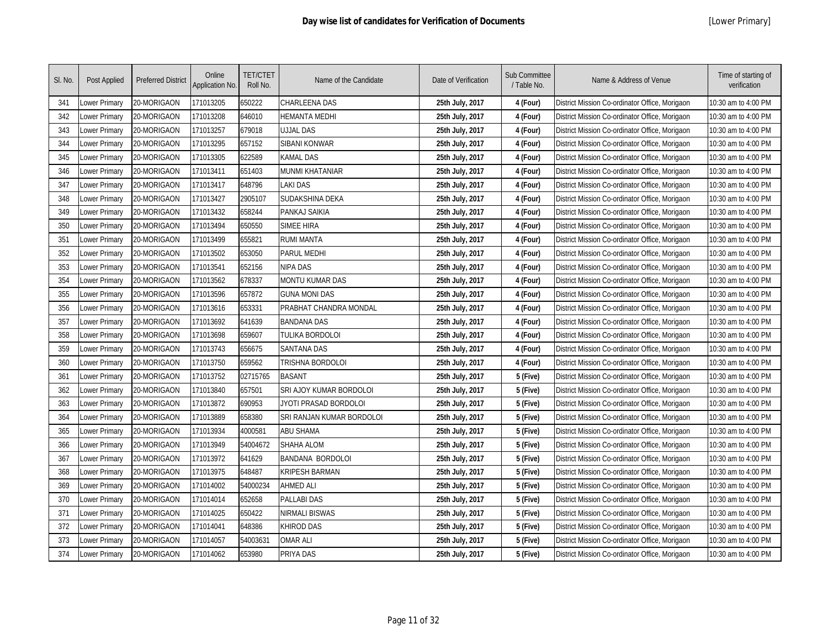| SI. No. | Post Applied  | <b>Preferred District</b> | Online<br><b>Application No.</b> | <b>TET/CTET</b><br>Roll No. | Name of the Candidate     | Date of Verification | Sub Committee<br>/ Table No. | Name & Address of Venue                        | Time of starting of<br>verification |
|---------|---------------|---------------------------|----------------------------------|-----------------------------|---------------------------|----------------------|------------------------------|------------------------------------------------|-------------------------------------|
| 341     | Lower Primary | 20-MORIGAON               | 171013205                        | 650222                      | CHARLEENA DAS             | 25th July, 2017      | 4 (Four)                     | District Mission Co-ordinator Office, Morigaon | 10:30 am to 4:00 PM                 |
| 342     | Lower Primary | 20-MORIGAON               | 171013208                        | 646010                      | HEMANTA MEDHI             | 25th July, 2017      | 4 (Four)                     | District Mission Co-ordinator Office, Morigaon | 10:30 am to 4:00 PM                 |
| 343     | Lower Primary | 20-MORIGAON               | 171013257                        | 679018                      | <b>UJJAL DAS</b>          | 25th July, 2017      | 4 (Four)                     | District Mission Co-ordinator Office, Morigaon | 10:30 am to 4:00 PM                 |
| 344     | Lower Primary | 20-MORIGAON               | 171013295                        | 657152                      | SIBANI KONWAR             | 25th July, 2017      | 4 (Four)                     | District Mission Co-ordinator Office, Morigaon | 10:30 am to 4:00 PM                 |
| 345     | Lower Primary | 20-MORIGAON               | 171013305                        | 622589                      | KAMAL DAS                 | 25th July, 2017      | 4 (Four)                     | District Mission Co-ordinator Office, Morigaon | 10:30 am to 4:00 PM                 |
| 346     | Lower Primary | 20-MORIGAON               | 171013411                        | 651403                      | MUNMI KHATANIAR           | 25th July, 2017      | 4 (Four)                     | District Mission Co-ordinator Office, Morigaon | 10:30 am to 4:00 PM                 |
| 347     | Lower Primary | 20-MORIGAON               | 171013417                        | 648796                      | LAKI DAS                  | 25th July, 2017      | 4 (Four)                     | District Mission Co-ordinator Office, Morigaon | 10:30 am to 4:00 PM                 |
| 348     | Lower Primary | 20-MORIGAON               | 171013427                        | 2905107                     | SUDAKSHINA DEKA           | 25th July, 2017      | 4 (Four)                     | District Mission Co-ordinator Office, Morigaon | 10:30 am to 4:00 PM                 |
| 349     | Lower Primary | 20-MORIGAON               | 171013432                        | 658244                      | PANKAJ SAIKIA             | 25th July, 2017      | 4 (Four)                     | District Mission Co-ordinator Office, Morigaon | 10:30 am to 4:00 PM                 |
| 350     | Lower Primary | 20-MORIGAON               | 171013494                        | 650550                      | <b>SIMEE HIRA</b>         | 25th July, 2017      | 4 (Four)                     | District Mission Co-ordinator Office, Morigaon | 10:30 am to 4:00 PM                 |
| 351     | Lower Primary | 20-MORIGAON               | 171013499                        | 655821                      | <b>RUMI MANTA</b>         | 25th July, 2017      | 4 (Four)                     | District Mission Co-ordinator Office, Morigaon | 10:30 am to 4:00 PM                 |
| 352     | Lower Primary | 20-MORIGAON               | 171013502                        | 653050                      | PARUL MEDHI               | 25th July, 2017      | 4 (Four)                     | District Mission Co-ordinator Office, Morigaon | 10:30 am to 4:00 PM                 |
| 353     | Lower Primary | 20-MORIGAON               | 171013541                        | 652156                      | <b>NIPA DAS</b>           | 25th July, 2017      | 4 (Four)                     | District Mission Co-ordinator Office, Morigaon | 10:30 am to 4:00 PM                 |
| 354     | Lower Primary | 20-MORIGAON               | 171013562                        | 678337                      | MONTU KUMAR DAS           | 25th July, 2017      | 4 (Four)                     | District Mission Co-ordinator Office, Morigaon | 10:30 am to 4:00 PM                 |
| 355     | Lower Primary | 20-MORIGAON               | 171013596                        | 657872                      | <b>GUNA MONI DAS</b>      | 25th July, 2017      | 4 (Four)                     | District Mission Co-ordinator Office, Morigaon | 10:30 am to 4:00 PM                 |
| 356     | Lower Primary | 20-MORIGAON               | 171013616                        | 653331                      | PRABHAT CHANDRA MONDAL    | 25th July, 2017      | 4 (Four)                     | District Mission Co-ordinator Office, Morigaon | 10:30 am to 4:00 PM                 |
| 357     | Lower Primary | 20-MORIGAON               | 171013692                        | 641639                      | <b>BANDANA DAS</b>        | 25th July, 2017      | 4 (Four)                     | District Mission Co-ordinator Office, Morigaon | 10:30 am to 4:00 PM                 |
| 358     | Lower Primary | 20-MORIGAON               | 171013698                        | 659607                      | <b>TULIKA BORDOLOI</b>    | 25th July, 2017      | 4 (Four)                     | District Mission Co-ordinator Office, Morigaon | 10:30 am to 4:00 PM                 |
| 359     | Lower Primary | 20-MORIGAON               | 171013743                        | 656675                      | <b>SANTANA DAS</b>        | 25th July, 2017      | 4 (Four)                     | District Mission Co-ordinator Office, Morigaon | 10:30 am to 4:00 PM                 |
| 360     | Lower Primary | 20-MORIGAON               | 171013750                        | 659562                      | TRISHNA BORDOLOI          | 25th July, 2017      | 4 (Four)                     | District Mission Co-ordinator Office, Morigaon | 10:30 am to 4:00 PM                 |
| 361     | Lower Primary | 20-MORIGAON               | 171013752                        | 02715765                    | <b>BASANT</b>             | 25th July, 2017      | 5 (Five)                     | District Mission Co-ordinator Office, Morigaon | 10:30 am to 4:00 PM                 |
| 362     | Lower Primary | 20-MORIGAON               | 171013840                        | 657501                      | SRI AJOY KUMAR BORDOLOI   | 25th July, 2017      | 5 (Five)                     | District Mission Co-ordinator Office, Morigaon | 10:30 am to 4:00 PM                 |
| 363     | Lower Primary | 20-MORIGAON               | 171013872                        | 690953                      | JYOTI PRASAD BORDOLOI     | 25th July, 2017      | 5 (Five)                     | District Mission Co-ordinator Office, Morigaon | 10:30 am to 4:00 PM                 |
| 364     | Lower Primary | 20-MORIGAON               | 171013889                        | 658380                      | SRI RANJAN KUMAR BORDOLOI | 25th July, 2017      | 5 (Five)                     | District Mission Co-ordinator Office, Morigaon | 10:30 am to 4:00 PM                 |
| 365     | Lower Primary | 20-MORIGAON               | 171013934                        | 4000581                     | <b>ABU SHAMA</b>          | 25th July, 2017      | 5 (Five)                     | District Mission Co-ordinator Office, Morigaon | 10:30 am to 4:00 PM                 |
| 366     | Lower Primary | 20-MORIGAON               | 171013949                        | 54004672                    | <b>SHAHA ALOM</b>         | 25th July, 2017      | 5 (Five)                     | District Mission Co-ordinator Office, Morigaon | 10:30 am to 4:00 PM                 |
| 367     | Lower Primary | 20-MORIGAON               | 171013972                        | 641629                      | <b>BANDANA BORDOLOI</b>   | 25th July, 2017      | 5 (Five)                     | District Mission Co-ordinator Office, Morigaon | 10:30 am to 4:00 PM                 |
| 368     | Lower Primary | 20-MORIGAON               | 171013975                        | 648487                      | KRIPESH BARMAN            | 25th July, 2017      | 5 (Five)                     | District Mission Co-ordinator Office, Morigaon | 10:30 am to 4:00 PM                 |
| 369     | Lower Primary | 20-MORIGAON               | 171014002                        | 54000234                    | <b>AHMED ALI</b>          | 25th July, 2017      | 5 (Five)                     | District Mission Co-ordinator Office, Morigaon | 10:30 am to 4:00 PM                 |
| 370     | Lower Primary | 20-MORIGAON               | 171014014                        | 652658                      | <b>PALLABI DAS</b>        | 25th July, 2017      | 5 (Five)                     | District Mission Co-ordinator Office, Morigaon | 10:30 am to 4:00 PM                 |
| 371     | Lower Primary | 20-MORIGAON               | 171014025                        | 650422                      | NIRMALI BISWAS            | 25th July, 2017      | 5 (Five)                     | District Mission Co-ordinator Office, Morigaon | 10:30 am to 4:00 PM                 |
| 372     | Lower Primary | 20-MORIGAON               | 171014041                        | 648386                      | KHIROD DAS                | 25th July, 2017      | 5 (Five)                     | District Mission Co-ordinator Office, Morigaon | 10:30 am to 4:00 PM                 |
| 373     | Lower Primary | 20-MORIGAON               | 171014057                        | 54003631                    | <b>OMAR ALI</b>           | 25th July, 2017      | 5 (Five)                     | District Mission Co-ordinator Office, Morigaon | 10:30 am to 4:00 PM                 |
| 374     | Lower Primary | 20-MORIGAON               | 171014062                        | 653980                      | PRIYA DAS                 | 25th July, 2017      | 5 (Five)                     | District Mission Co-ordinator Office, Morigaon | 10:30 am to 4:00 PM                 |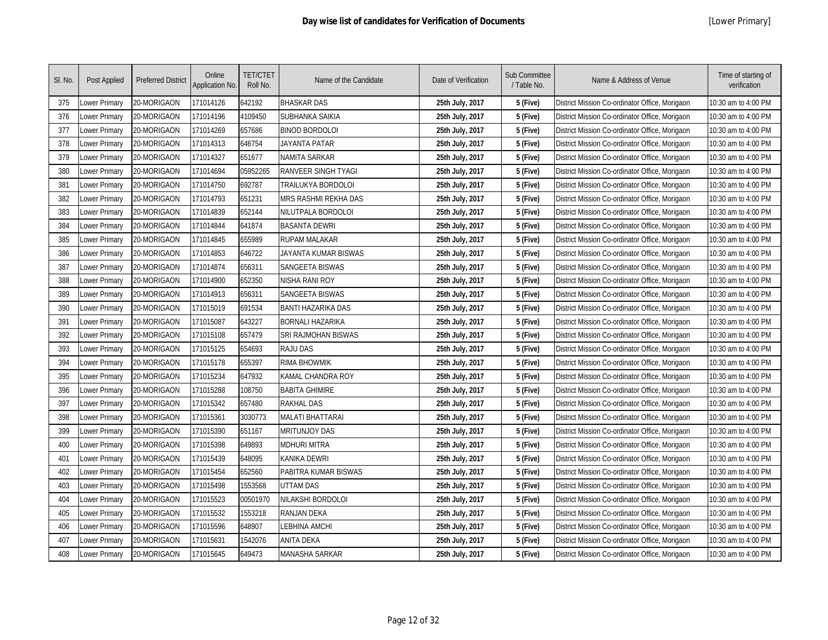| SI. No. | Post Applied  | <b>Preferred District</b> | Online<br><b>Application No.</b> | <b>TET/CTET</b><br>Roll No. | Name of the Candidate     | Date of Verification | Sub Committee<br>/ Table No. | Name & Address of Venue                        | Time of starting of<br>verification |
|---------|---------------|---------------------------|----------------------------------|-----------------------------|---------------------------|----------------------|------------------------------|------------------------------------------------|-------------------------------------|
| 375     | Lower Primary | 20-MORIGAON               | 171014126                        | 642192                      | <b>BHASKAR DAS</b>        | 25th July, 2017      | 5 (Five)                     | District Mission Co-ordinator Office, Morigaon | 10:30 am to 4:00 PM                 |
| 376     | Lower Primary | 20-MORIGAON               | 171014196                        | 4109450                     | SUBHANKA SAIKIA           | 25th July, 2017      | 5 (Five)                     | District Mission Co-ordinator Office, Morigaon | 10:30 am to 4:00 PM                 |
| 377     | Lower Primary | 20-MORIGAON               | 171014269                        | 657686                      | <b>BINOD BORDOLOI</b>     | 25th July, 2017      | 5 (Five)                     | District Mission Co-ordinator Office, Morigaon | 10:30 am to 4:00 PM                 |
| 378     | Lower Primary | 20-MORIGAON               | 171014313                        | 646754                      | JAYANTA PATAR             | 25th July, 2017      | 5 (Five)                     | District Mission Co-ordinator Office, Morigaon | 10:30 am to 4:00 PM                 |
| 379     | Lower Primary | 20-MORIGAON               | 171014327                        | 651677                      | NAMITA SARKAR             | 25th July, 2017      | 5 (Five)                     | District Mission Co-ordinator Office, Morigaon | 10:30 am to 4:00 PM                 |
| 380     | Lower Primary | 20-MORIGAON               | 171014694                        | 05952265                    | RANVEER SINGH TYAGI       | 25th July, 2017      | 5 (Five)                     | District Mission Co-ordinator Office, Morigaon | 10:30 am to 4:00 PM                 |
| 381     | Lower Primary | 20-MORIGAON               | 171014750                        | 692787                      | TRAILUKYA BORDOLOI        | 25th July, 2017      | 5 (Five)                     | District Mission Co-ordinator Office, Morigaon | 10:30 am to 4:00 PM                 |
| 382     | Lower Primary | 20-MORIGAON               | 171014793                        | 651231                      | MRS RASHMI REKHA DAS      | 25th July, 2017      | 5 (Five)                     | District Mission Co-ordinator Office, Morigaon | 10:30 am to 4:00 PM                 |
| 383     | Lower Primary | 20-MORIGAON               | 171014839                        | 652144                      | NILUTPALA BORDOLOI        | 25th July, 2017      | 5 (Five)                     | District Mission Co-ordinator Office, Morigaon | 10:30 am to 4:00 PM                 |
| 384     | Lower Primary | 20-MORIGAON               | 171014844                        | 641874                      | <b>BASANTA DEWRI</b>      | 25th July, 2017      | 5 (Five)                     | District Mission Co-ordinator Office, Morigaon | 10:30 am to 4:00 PM                 |
| 385     | Lower Primary | 20-MORIGAON               | 171014845                        | 655989                      | <b>RUPAM MALAKAR</b>      | 25th July, 2017      | 5 (Five)                     | District Mission Co-ordinator Office, Morigaon | 10:30 am to 4:00 PM                 |
| 386     | Lower Primary | 20-MORIGAON               | 171014853                        | 646722                      | JAYANTA KUMAR BISWAS      | 25th July, 2017      | 5 (Five)                     | District Mission Co-ordinator Office, Morigaon | 10:30 am to 4:00 PM                 |
| 387     | Lower Primary | 20-MORIGAON               | 171014874                        | 656311                      | <b>SANGEETA BISWAS</b>    | 25th July, 2017      | 5 (Five)                     | District Mission Co-ordinator Office, Morigaon | 10:30 am to 4:00 PM                 |
| 388     | Lower Primary | 20-MORIGAON               | 171014900                        | 652350                      | NISHA RANI ROY            | 25th July, 2017      | 5 (Five)                     | District Mission Co-ordinator Office, Morigaon | 10:30 am to 4:00 PM                 |
| 389     | Lower Primary | 20-MORIGAON               | 171014913                        | 656311                      | <b>SANGEETA BISWAS</b>    | 25th July, 2017      | 5 (Five)                     | District Mission Co-ordinator Office, Morigaon | 10:30 am to 4:00 PM                 |
| 390     | Lower Primary | 20-MORIGAON               | 171015019                        | 691534                      | <b>BANTI HAZARIKA DAS</b> | 25th July, 2017      | 5 (Five)                     | District Mission Co-ordinator Office, Morigaon | 10:30 am to 4:00 PM                 |
| 391     | Lower Primary | 20-MORIGAON               | 171015087                        | 643227                      | <b>BORNALI HAZARIKA</b>   | 25th July, 2017      | 5 (Five)                     | District Mission Co-ordinator Office, Morigaon | 10:30 am to 4:00 PM                 |
| 392     | Lower Primary | 20-MORIGAON               | 171015108                        | 657479                      | SRI RAJMOHAN BISWAS       | 25th July, 2017      | 5 (Five)                     | District Mission Co-ordinator Office, Morigaon | 10:30 am to 4:00 PM                 |
| 393     | Lower Primary | 20-MORIGAON               | 171015125                        | 654693                      | <b>RAJU DAS</b>           | 25th July, 2017      | 5 (Five)                     | District Mission Co-ordinator Office, Morigaon | 10:30 am to 4:00 PM                 |
| 394     | Lower Primary | 20-MORIGAON               | 171015178                        | 655397                      | <b>RIMA BHOWMIK</b>       | 25th July, 2017      | 5 (Five)                     | District Mission Co-ordinator Office, Morigaon | 10:30 am to 4:00 PM                 |
| 395     | Lower Primary | 20-MORIGAON               | 171015234                        | 647932                      | KAMAL CHANDRA ROY         | 25th July, 2017      | 5 (Five)                     | District Mission Co-ordinator Office, Morigaon | 10:30 am to 4:00 PM                 |
| 396     | Lower Primary | 20-MORIGAON               | 171015288                        | 108750                      | <b>BABITA GHIMIRE</b>     | 25th July, 2017      | 5 (Five)                     | District Mission Co-ordinator Office, Morigaon | 10:30 am to 4:00 PM                 |
| 397     | Lower Primary | 20-MORIGAON               | 171015342                        | 657480                      | <b>RAKHAL DAS</b>         | 25th July, 2017      | 5 (Five)                     | District Mission Co-ordinator Office, Morigaon | 10:30 am to 4:00 PM                 |
| 398     | Lower Primary | 20-MORIGAON               | 171015361                        | 3030773                     | <b>MALATI BHATTARAI</b>   | 25th July, 2017      | 5 (Five)                     | District Mission Co-ordinator Office, Morigaon | 10:30 am to 4:00 PM                 |
| 399     | Lower Primary | 20-MORIGAON               | 171015390                        | 651167                      | <b>MRITUNJOY DAS</b>      | 25th July, 2017      | 5 (Five)                     | District Mission Co-ordinator Office, Morigaon | 10:30 am to 4:00 PM                 |
| 400     | Lower Primary | 20-MORIGAON               | 171015398                        | 649893                      | MDHURI MITRA              | 25th July, 2017      | 5 (Five)                     | District Mission Co-ordinator Office, Morigaon | 10:30 am to 4:00 PM                 |
| 401     | Lower Primary | 20-MORIGAON               | 171015439                        | 648095                      | KANIKA DEWRI              | 25th July, 2017      | 5 (Five)                     | District Mission Co-ordinator Office, Morigaon | 10:30 am to 4:00 PM                 |
| 402     | Lower Primary | 20-MORIGAON               | 171015454                        | 652560                      | PABITRA KUMAR BISWAS      | 25th July, 2017      | 5 (Five)                     | District Mission Co-ordinator Office, Morigaon | 10:30 am to 4:00 PM                 |
| 403     | Lower Primary | 20-MORIGAON               | 171015498                        | 1553568                     | <b>UTTAM DAS</b>          | 25th July, 2017      | 5 (Five)                     | District Mission Co-ordinator Office, Morigaon | 10:30 am to 4:00 PM                 |
| 404     | Lower Primary | 20-MORIGAON               | 171015523                        | 00501970                    | NILAKSHI BORDOLOI         | 25th July, 2017      | 5 (Five)                     | District Mission Co-ordinator Office, Morigaon | 10:30 am to 4:00 PM                 |
| 405     | Lower Primary | 20-MORIGAON               | 171015532                        | 1553218                     | <b>RANJAN DEKA</b>        | 25th July, 2017      | 5 (Five)                     | District Mission Co-ordinator Office, Morigaon | 10:30 am to 4:00 PM                 |
| 406     | Lower Primary | 20-MORIGAON               | 171015596                        | 648907                      | LEBHINA AMCHI             | 25th July, 2017      | 5 (Five)                     | District Mission Co-ordinator Office, Morigaon | 10:30 am to 4:00 PM                 |
| 407     | Lower Primary | 20-MORIGAON               | 171015631                        | 1542076                     | <b>ANITA DEKA</b>         | 25th July, 2017      | 5 (Five)                     | District Mission Co-ordinator Office, Morigaon | 10:30 am to 4:00 PM                 |
| 408     | Lower Primary | 20-MORIGAON               | 171015645                        | 649473                      | MANASHA SARKAR            | 25th July, 2017      | 5 (Five)                     | District Mission Co-ordinator Office, Morigaon | 10:30 am to 4:00 PM                 |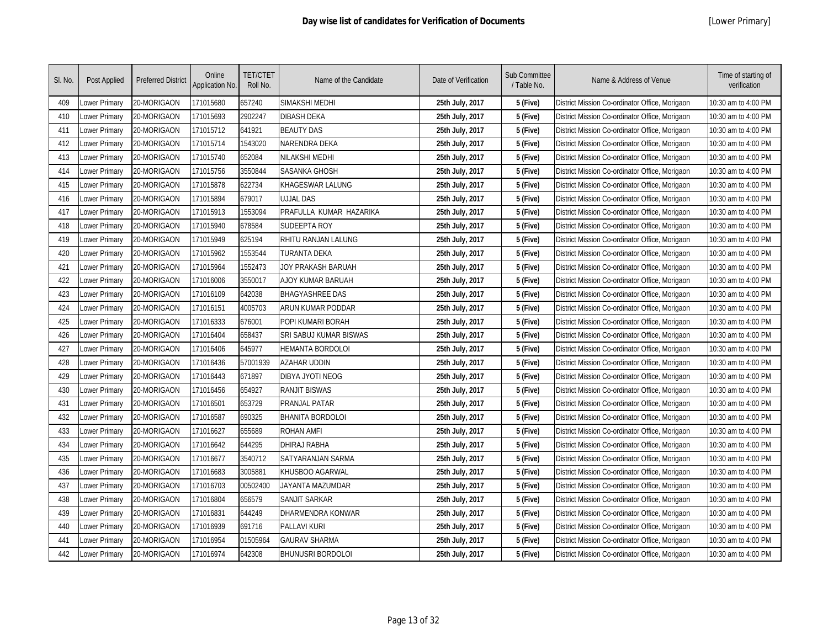| SI. No. | Post Applied  | <b>Preferred District</b> | Online<br><b>Application No.</b> | <b>TET/CTET</b><br>Roll No. | Name of the Candidate         | Date of Verification | Sub Committee<br>/ Table No. | Name & Address of Venue                        | Time of starting of<br>verification |
|---------|---------------|---------------------------|----------------------------------|-----------------------------|-------------------------------|----------------------|------------------------------|------------------------------------------------|-------------------------------------|
| 409     | Lower Primary | 20-MORIGAON               | 171015680                        | 657240                      | SIMAKSHI MEDHI                | 25th July, 2017      | 5 (Five)                     | District Mission Co-ordinator Office, Morigaon | 10:30 am to 4:00 PM                 |
| 410     | Lower Primary | 20-MORIGAON               | 171015693                        | 2902247                     | <b>DIBASH DEKA</b>            | 25th July, 2017      | 5 (Five)                     | District Mission Co-ordinator Office, Morigaon | 10:30 am to 4:00 PM                 |
| 411     | Lower Primary | 20-MORIGAON               | 171015712                        | 641921                      | <b>BEAUTY DAS</b>             | 25th July, 2017      | 5 (Five)                     | District Mission Co-ordinator Office, Morigaon | 10:30 am to 4:00 PM                 |
| 412     | Lower Primary | 20-MORIGAON               | 171015714                        | 1543020                     | NARENDRA DEKA                 | 25th July, 2017      | 5 (Five)                     | District Mission Co-ordinator Office, Morigaon | 10:30 am to 4:00 PM                 |
| 413     | Lower Primary | 20-MORIGAON               | 171015740                        | 652084                      | NILAKSHI MEDHI                | 25th July, 2017      | 5 (Five)                     | District Mission Co-ordinator Office, Morigaon | 10:30 am to 4:00 PM                 |
| 414     | Lower Primary | 20-MORIGAON               | 171015756                        | 3550844                     | <b>SASANKA GHOSH</b>          | 25th July, 2017      | 5 (Five)                     | District Mission Co-ordinator Office, Morigaon | 10:30 am to 4:00 PM                 |
| 415     | Lower Primary | 20-MORIGAON               | 171015878                        | 622734                      | KHAGESWAR LALUNG              | 25th July, 2017      | 5 (Five)                     | District Mission Co-ordinator Office, Morigaon | 10:30 am to 4:00 PM                 |
| 416     | Lower Primary | 20-MORIGAON               | 171015894                        | 679017                      | <b>UJJAL DAS</b>              | 25th July, 2017      | 5 (Five)                     | District Mission Co-ordinator Office, Morigaon | 10:30 am to 4:00 PM                 |
| 417     | Lower Primary | 20-MORIGAON               | 171015913                        | 1553094                     | PRAFULLA KUMAR HAZARIKA       | 25th July, 2017      | 5 (Five)                     | District Mission Co-ordinator Office, Morigaon | 10:30 am to 4:00 PM                 |
| 418     | Lower Primary | 20-MORIGAON               | 171015940                        | 678584                      | <b>SUDEEPTA ROY</b>           | 25th July, 2017      | 5 (Five)                     | District Mission Co-ordinator Office, Morigaon | 10:30 am to 4:00 PM                 |
| 419     | Lower Primary | 20-MORIGAON               | 171015949                        | 625194                      | RHITU RANJAN LALUNG           | 25th July, 2017      | 5 (Five)                     | District Mission Co-ordinator Office, Morigaon | 10:30 am to 4:00 PM                 |
| 420     | Lower Primary | 20-MORIGAON               | 171015962                        | 1553544                     | <b>TURANTA DEKA</b>           | 25th July, 2017      | 5 (Five)                     | District Mission Co-ordinator Office, Morigaon | 10:30 am to 4:00 PM                 |
| 421     | Lower Primary | 20-MORIGAON               | 171015964                        | 1552473                     | JOY PRAKASH BARUAH            | 25th July, 2017      | 5 (Five)                     | District Mission Co-ordinator Office, Morigaon | 10:30 am to 4:00 PM                 |
| 422     | Lower Primary | 20-MORIGAON               | 171016006                        | 3550017                     | AJOY KUMAR BARUAH             | 25th July, 2017      | 5 (Five)                     | District Mission Co-ordinator Office, Morigaon | 10:30 am to 4:00 PM                 |
| 423     | Lower Primary | 20-MORIGAON               | 171016109                        | 642038                      | <b>BHAGYASHREE DAS</b>        | 25th July, 2017      | 5 (Five)                     | District Mission Co-ordinator Office, Morigaon | 10:30 am to 4:00 PM                 |
| 424     | Lower Primary | 20-MORIGAON               | 171016151                        | 4005703                     | ARUN KUMAR PODDAR             | 25th July, 2017      | 5 (Five)                     | District Mission Co-ordinator Office, Morigaon | 10:30 am to 4:00 PM                 |
| 425     | Lower Primary | 20-MORIGAON               | 171016333                        | 676001                      | POPI KUMARI BORAH             | 25th July, 2017      | 5 (Five)                     | District Mission Co-ordinator Office, Morigaon | 10:30 am to 4:00 PM                 |
| 426     | Lower Primary | 20-MORIGAON               | 171016404                        | 658437                      | <b>SRI SABUJ KUMAR BISWAS</b> | 25th July, 2017      | 5 (Five)                     | District Mission Co-ordinator Office, Morigaon | 10:30 am to 4:00 PM                 |
| 427     | Lower Primary | 20-MORIGAON               | 171016406                        | 645977                      | HEMANTA BORDOLOI              | 25th July, 2017      | 5 (Five)                     | District Mission Co-ordinator Office, Morigaon | 10:30 am to 4:00 PM                 |
| 428     | Lower Primary | 20-MORIGAON               | 171016436                        | 57001939                    | <b>AZAHAR UDDIN</b>           | 25th July, 2017      | 5 (Five)                     | District Mission Co-ordinator Office, Morigaon | 10:30 am to 4:00 PM                 |
| 429     | Lower Primary | 20-MORIGAON               | 171016443                        | 671897                      | DIBYA JYOTI NEOG              | 25th July, 2017      | 5 (Five)                     | District Mission Co-ordinator Office, Morigaon | 10:30 am to 4:00 PM                 |
| 430     | Lower Primary | 20-MORIGAON               | 171016456                        | 654927                      | <b>RANJIT BISWAS</b>          | 25th July, 2017      | 5 (Five)                     | District Mission Co-ordinator Office, Morigaon | 10:30 am to 4:00 PM                 |
| 431     | Lower Primary | 20-MORIGAON               | 171016501                        | 653729                      | PRANJAL PATAR                 | 25th July, 2017      | 5 (Five)                     | District Mission Co-ordinator Office, Morigaon | 10:30 am to 4:00 PM                 |
| 432     | Lower Primary | 20-MORIGAON               | 171016587                        | 690325                      | <b>BHANITA BORDOLOI</b>       | 25th July, 2017      | 5 (Five)                     | District Mission Co-ordinator Office, Morigaon | 10:30 am to 4:00 PM                 |
| 433     | Lower Primary | 20-MORIGAON               | 171016627                        | 655689                      | <b>ROHAN AMFI</b>             | 25th July, 2017      | 5 (Five)                     | District Mission Co-ordinator Office, Morigaon | 10:30 am to 4:00 PM                 |
| 434     | Lower Primary | 20-MORIGAON               | 171016642                        | 644295                      | <b>DHIRAJ RABHA</b>           | 25th July, 2017      | 5 (Five)                     | District Mission Co-ordinator Office, Morigaon | 10:30 am to 4:00 PM                 |
| 435     | Lower Primary | 20-MORIGAON               | 171016677                        | 3540712                     | SATYARANJAN SARMA             | 25th July, 2017      | 5 (Five)                     | District Mission Co-ordinator Office, Morigaon | 10:30 am to 4:00 PM                 |
| 436     | Lower Primary | 20-MORIGAON               | 171016683                        | 3005881                     | KHUSBOO AGARWAL               | 25th July, 2017      | 5 (Five)                     | District Mission Co-ordinator Office, Morigaon | 10:30 am to 4:00 PM                 |
| 437     | Lower Primary | 20-MORIGAON               | 171016703                        | 00502400                    | JAYANTA MAZUMDAR              | 25th July, 2017      | 5 (Five)                     | District Mission Co-ordinator Office, Morigaon | 10:30 am to 4:00 PM                 |
| 438     | Lower Primary | 20-MORIGAON               | 171016804                        | 656579                      | SANJIT SARKAR                 | 25th July, 2017      | 5 (Five)                     | District Mission Co-ordinator Office, Morigaon | 10:30 am to 4:00 PM                 |
| 439     | Lower Primary | 20-MORIGAON               | 171016831                        | 644249                      | DHARMENDRA KONWAR             | 25th July, 2017      | 5 (Five)                     | District Mission Co-ordinator Office, Morigaon | 10:30 am to 4:00 PM                 |
| 440     | Lower Primary | 20-MORIGAON               | 171016939                        | 691716                      | <b>PALLAVI KURI</b>           | 25th July, 2017      | 5 (Five)                     | District Mission Co-ordinator Office, Morigaon | 10:30 am to 4:00 PM                 |
| 441     | Lower Primary | 20-MORIGAON               | 171016954                        | 01505964                    | <b>GAURAV SHARMA</b>          | 25th July, 2017      | 5 (Five)                     | District Mission Co-ordinator Office, Morigaon | 10:30 am to 4:00 PM                 |
| 442     | Lower Primary | 20-MORIGAON               | 171016974                        | 642308                      | <b>BHUNUSRI BORDOLOI</b>      | 25th July, 2017      | 5 (Five)                     | District Mission Co-ordinator Office, Morigaon | 10:30 am to 4:00 PM                 |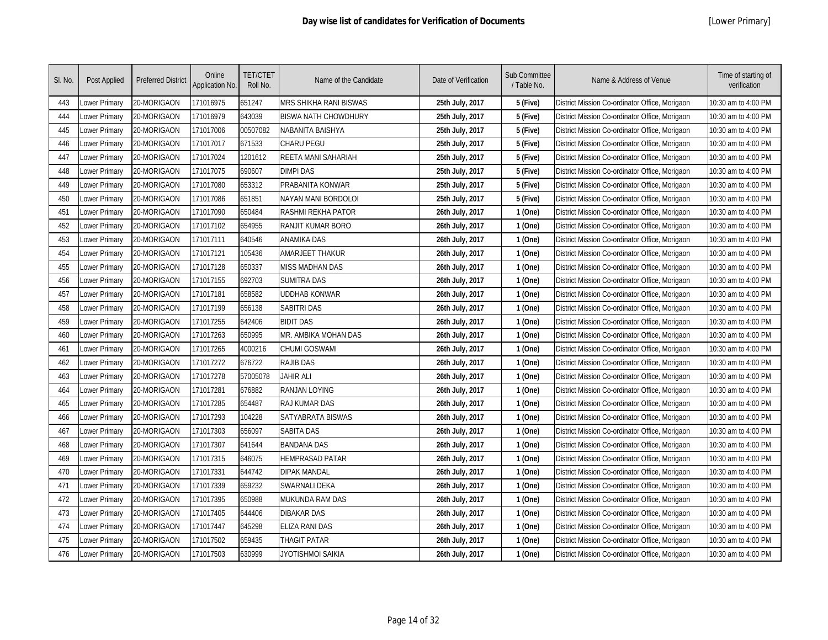| SI. No. | Post Applied  | <b>Preferred District</b> | Online<br>Application No. | <b>TET/CTET</b><br>Roll No. | Name of the Candidate       | Date of Verification | Sub Committee<br>/ Table No. | Name & Address of Venue                        | Time of starting of<br>verification |
|---------|---------------|---------------------------|---------------------------|-----------------------------|-----------------------------|----------------------|------------------------------|------------------------------------------------|-------------------------------------|
| 443     | Lower Primary | 20-MORIGAON               | 171016975                 | 651247                      | MRS SHIKHA RANI BISWAS      | 25th July, 2017      | 5 (Five)                     | District Mission Co-ordinator Office, Morigaon | 10:30 am to 4:00 PM                 |
| 444     | Lower Primary | 20-MORIGAON               | 171016979                 | 643039                      | <b>BISWA NATH CHOWDHURY</b> | 25th July, 2017      | 5 (Five)                     | District Mission Co-ordinator Office, Morigaon | 10:30 am to 4:00 PM                 |
| 445     | Lower Primary | 20-MORIGAON               | 171017006                 | 00507082                    | NABANITA BAISHYA            | 25th July, 2017      | 5 (Five)                     | District Mission Co-ordinator Office, Morigaon | 10:30 am to 4:00 PM                 |
| 446     | Lower Primary | 20-MORIGAON               | 171017017                 | 671533                      | CHARU PEGU                  | 25th July, 2017      | 5 (Five)                     | District Mission Co-ordinator Office, Morigaon | 10:30 am to 4:00 PM                 |
| 447     | Lower Primary | 20-MORIGAON               | 171017024                 | 1201612                     | REETA MANI SAHARIAH         | 25th July, 2017      | 5 (Five)                     | District Mission Co-ordinator Office, Morigaon | 10:30 am to 4:00 PM                 |
| 448     | Lower Primary | 20-MORIGAON               | 171017075                 | 690607                      | <b>DIMPI DAS</b>            | 25th July, 2017      | 5 (Five)                     | District Mission Co-ordinator Office, Morigaon | 10:30 am to 4:00 PM                 |
| 449     | Lower Primary | 20-MORIGAON               | 171017080                 | 653312                      | PRABANITA KONWAR            | 25th July, 2017      | 5 (Five)                     | District Mission Co-ordinator Office, Morigaon | 10:30 am to 4:00 PM                 |
| 450     | Lower Primary | 20-MORIGAON               | 171017086                 | 651851                      | NAYAN MANI BORDOLOI         | 25th July, 2017      | 5 (Five)                     | District Mission Co-ordinator Office, Morigaon | 10:30 am to 4:00 PM                 |
| 451     | Lower Primary | 20-MORIGAON               | 171017090                 | 650484                      | RASHMI REKHA PATOR          | 26th July, 2017      | 1 (One)                      | District Mission Co-ordinator Office, Morigaon | 10:30 am to 4:00 PM                 |
| 452     | Lower Primary | 20-MORIGAON               | 171017102                 | 654955                      | RANJIT KUMAR BORO           | 26th July, 2017      | 1 (One)                      | District Mission Co-ordinator Office, Morigaon | 10:30 am to 4:00 PM                 |
| 453     | Lower Primary | 20-MORIGAON               | 171017111                 | 640546                      | <b>ANAMIKA DAS</b>          | 26th July, 2017      | 1 (One)                      | District Mission Co-ordinator Office, Morigaon | 10:30 am to 4:00 PM                 |
| 454     | Lower Primary | 20-MORIGAON               | 171017121                 | 105436                      | AMARJEET THAKUR             | 26th July, 2017      | 1 (One)                      | District Mission Co-ordinator Office, Morigaon | 10:30 am to 4:00 PM                 |
| 455     | Lower Primary | 20-MORIGAON               | 171017128                 | 650337                      | <b>MISS MADHAN DAS</b>      | 26th July, 2017      | 1 (One)                      | District Mission Co-ordinator Office, Morigaon | 10:30 am to 4:00 PM                 |
| 456     | Lower Primary | 20-MORIGAON               | 171017155                 | 692703                      | <b>SUMITRA DAS</b>          | 26th July, 2017      | 1 (One)                      | District Mission Co-ordinator Office, Morigaon | 10:30 am to 4:00 PM                 |
| 457     | Lower Primary | 20-MORIGAON               | 171017181                 | 658582                      | UDDHAB KONWAR               | 26th July, 2017      | 1 (One)                      | District Mission Co-ordinator Office, Morigaon | 10:30 am to 4:00 PM                 |
| 458     | Lower Primary | 20-MORIGAON               | 171017199                 | 656138                      | <b>SABITRI DAS</b>          | 26th July, 2017      | 1 (One)                      | District Mission Co-ordinator Office, Morigaon | 10:30 am to 4:00 PM                 |
| 459     | Lower Primary | 20-MORIGAON               | 171017255                 | 642406                      | <b>BIDIT DAS</b>            | 26th July, 2017      | 1 (One)                      | District Mission Co-ordinator Office, Morigaon | 10:30 am to 4:00 PM                 |
| 460     | Lower Primary | 20-MORIGAON               | 171017263                 | 650995                      | MR. AMBIKA MOHAN DAS        | 26th July, 2017      | 1 (One)                      | District Mission Co-ordinator Office, Morigaon | 10:30 am to 4:00 PM                 |
| 461     | Lower Primary | 20-MORIGAON               | 171017265                 | 4000216                     | <b>CHUMI GOSWAMI</b>        | 26th July, 2017      | 1 (One)                      | District Mission Co-ordinator Office, Morigaon | 10:30 am to 4:00 PM                 |
| 462     | Lower Primary | 20-MORIGAON               | 171017272                 | 676722                      | <b>RAJIB DAS</b>            | 26th July, 2017      | 1 (One)                      | District Mission Co-ordinator Office, Morigaon | 10:30 am to 4:00 PM                 |
| 463     | Lower Primary | 20-MORIGAON               | 171017278                 | 57005078                    | <b>JAHIR ALI</b>            | 26th July, 2017      | 1 (One)                      | District Mission Co-ordinator Office, Morigaon | 10:30 am to 4:00 PM                 |
| 464     | Lower Primary | 20-MORIGAON               | 171017281                 | 676882                      | <b>RANJAN LOYING</b>        | 26th July, 2017      | 1 (One)                      | District Mission Co-ordinator Office, Morigaon | 10:30 am to 4:00 PM                 |
| 465     | Lower Primary | 20-MORIGAON               | 171017285                 | 654487                      | <b>RAJ KUMAR DAS</b>        | 26th July, 2017      | 1 (One)                      | District Mission Co-ordinator Office, Morigaon | 10:30 am to 4:00 PM                 |
| 466     | Lower Primary | 20-MORIGAON               | 171017293                 | 104228                      | SATYABRATA BISWAS           | 26th July, 2017      | 1 (One)                      | District Mission Co-ordinator Office, Morigaon | 10:30 am to 4:00 PM                 |
| 467     | Lower Primary | 20-MORIGAON               | 171017303                 | 656097                      | <b>SABITA DAS</b>           | 26th July, 2017      | 1 (One)                      | District Mission Co-ordinator Office, Morigaon | 10:30 am to 4:00 PM                 |
| 468     | Lower Primary | 20-MORIGAON               | 171017307                 | 641644                      | <b>BANDANA DAS</b>          | 26th July, 2017      | 1 (One)                      | District Mission Co-ordinator Office, Morigaon | 10:30 am to 4:00 PM                 |
| 469     | Lower Primary | 20-MORIGAON               | 171017315                 | 646075                      | HEMPRASAD PATAR             | 26th July, 2017      | 1 (One)                      | District Mission Co-ordinator Office, Morigaon | 10:30 am to 4:00 PM                 |
| 470     | Lower Primary | 20-MORIGAON               | 171017331                 | 644742                      | DIPAK MANDAL                | 26th July, 2017      | 1 (One)                      | District Mission Co-ordinator Office, Morigaon | 10:30 am to 4:00 PM                 |
| 471     | Lower Primary | 20-MORIGAON               | 171017339                 | 659232                      | SWARNALI DEKA               | 26th July, 2017      | 1 (One)                      | District Mission Co-ordinator Office, Morigaon | 10:30 am to 4:00 PM                 |
| 472     | Lower Primary | 20-MORIGAON               | 171017395                 | 650988                      | MUKUNDA RAM DAS             | 26th July, 2017      | 1 (One)                      | District Mission Co-ordinator Office, Morigaon | 0:30 am to 4:00 PM                  |
| 473     | Lower Primary | 20-MORIGAON               | 171017405                 | 644406                      | DIBAKAR DAS                 | 26th July, 2017      | 1 (One)                      | District Mission Co-ordinator Office, Morigaon | 10:30 am to 4:00 PM                 |
| 474     | Lower Primary | 20-MORIGAON               | 171017447                 | 645298                      | <b>ELIZA RANI DAS</b>       | 26th July, 2017      | 1 (One)                      | District Mission Co-ordinator Office, Morigaon | 10:30 am to 4:00 PM                 |
| 475     | Lower Primary | 20-MORIGAON               | 171017502                 | 659435                      | <b>THAGIT PATAR</b>         | 26th July, 2017      | 1 (One)                      | District Mission Co-ordinator Office, Morigaon | 10:30 am to 4:00 PM                 |
| 476     | Lower Primary | 20-MORIGAON               | 171017503                 | 630999                      | jyotishmoi saikia           | 26th July, 2017      | 1 (One)                      | District Mission Co-ordinator Office, Morigaon | 10:30 am to 4:00 PM                 |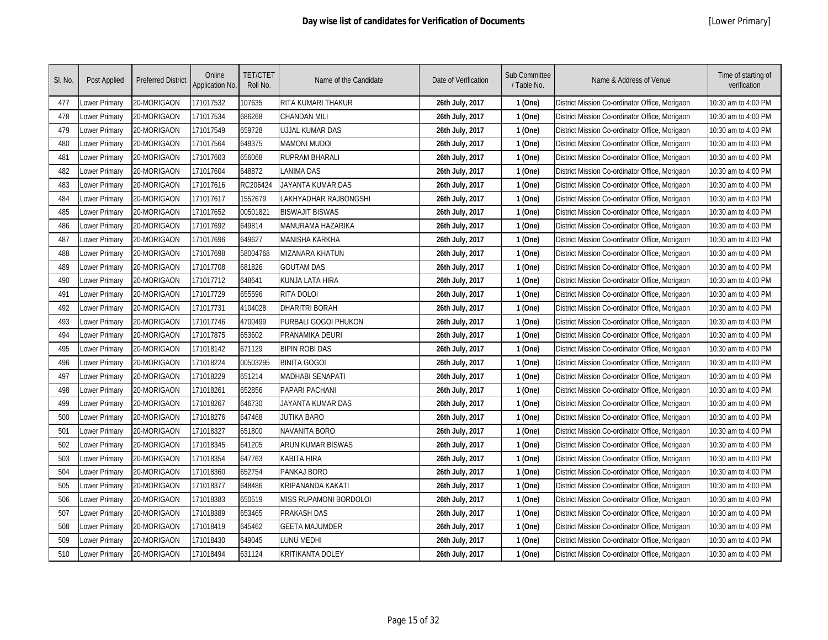| SI. No. | Post Applied  | <b>Preferred District</b> | Online<br>Application No. | <b>TET/CTET</b><br>Roll No. | Name of the Candidate  | Date of Verification | Sub Committee<br>/ Table No. | Name & Address of Venue                        | Time of starting of<br>verification |
|---------|---------------|---------------------------|---------------------------|-----------------------------|------------------------|----------------------|------------------------------|------------------------------------------------|-------------------------------------|
| 477     | Lower Primary | 20-MORIGAON               | 171017532                 | 107635                      | RITA KUMARI THAKUR     | 26th July, 2017      | 1 (One)                      | District Mission Co-ordinator Office, Morigaon | 10:30 am to 4:00 PM                 |
| 478     | Lower Primary | 20-MORIGAON               | 171017534                 | 686268                      | CHANDAN MILI           | 26th July, 2017      | 1 (One)                      | District Mission Co-ordinator Office, Morigaon | 10:30 am to 4:00 PM                 |
| 479     | Lower Primary | 20-MORIGAON               | 171017549                 | 659728                      | UJJAL KUMAR DAS        | 26th July, 2017      | 1 (One)                      | District Mission Co-ordinator Office, Morigaon | 10:30 am to 4:00 PM                 |
| 480     | Lower Primary | 20-MORIGAON               | 171017564                 | 649375                      | Mamoni mudoi           | 26th July, 2017      | 1 (One)                      | District Mission Co-ordinator Office, Morigaon | 10:30 am to 4:00 PM                 |
| 481     | Lower Primary | 20-MORIGAON               | 171017603                 | 656068                      | <b>RUPRAM BHARALI</b>  | 26th July, 2017      | 1 (One)                      | District Mission Co-ordinator Office, Morigaon | 10:30 am to 4:00 PM                 |
| 482     | Lower Primary | 20-MORIGAON               | 171017604                 | 648872                      | LANIMA DAS             | 26th July, 2017      | 1 (One)                      | District Mission Co-ordinator Office, Morigaon | 10:30 am to 4:00 PM                 |
| 483     | Lower Primary | 20-MORIGAON               | 171017616                 | RC206424                    | JAYANTA KUMAR DAS      | 26th July, 2017      | 1 (One)                      | District Mission Co-ordinator Office, Morigaon | 10:30 am to 4:00 PM                 |
| 484     | Lower Primary | 20-MORIGAON               | 171017617                 | 1552679                     | LAKHYADHAR RAJBONGSHI  | 26th July, 2017      | 1 (One)                      | District Mission Co-ordinator Office, Morigaon | 10:30 am to 4:00 PM                 |
| 485     | Lower Primary | 20-MORIGAON               | 171017652                 | 00501821                    | <b>BISWAJIT BISWAS</b> | 26th July, 2017      | 1 (One)                      | District Mission Co-ordinator Office, Morigaon | 10:30 am to 4:00 PM                 |
| 486     | Lower Primary | 20-MORIGAON               | 171017692                 | 649814                      | MANURAMA HAZARIKA      | 26th July, 2017      | 1 (One)                      | District Mission Co-ordinator Office, Morigaon | 10:30 am to 4:00 PM                 |
| 487     | Lower Primary | 20-MORIGAON               | 171017696                 | 649627                      | MANISHA KARKHA         | 26th July, 2017      | 1 (One)                      | District Mission Co-ordinator Office, Morigaon | 10:30 am to 4:00 PM                 |
| 488     | Lower Primary | 20-MORIGAON               | 171017698                 | 58004768                    | MIZANARA KHATUN        | 26th July, 2017      | 1 (One)                      | District Mission Co-ordinator Office, Morigaon | 10:30 am to 4:00 PM                 |
| 489     | Lower Primary | 20-MORIGAON               | 171017708                 | 681826                      | <b>GOUTAM DAS</b>      | 26th July, 2017      | 1 (One)                      | District Mission Co-ordinator Office, Morigaon | 10:30 am to 4:00 PM                 |
| 490     | Lower Primary | 20-MORIGAON               | 171017712                 | 648641                      | KUNJA LATA HIRA        | 26th July, 2017      | 1 (One)                      | District Mission Co-ordinator Office, Morigaon | 10:30 am to 4:00 PM                 |
| 491     | Lower Primary | 20-MORIGAON               | 171017729                 | 655596                      | RITA DOLOI             | 26th July, 2017      | 1 (One)                      | District Mission Co-ordinator Office, Morigaon | 10:30 am to 4:00 PM                 |
| 492     | Lower Primary | 20-MORIGAON               | 171017731                 | 4104028                     | <b>DHARITRI BORAH</b>  | 26th July, 2017      | 1 (One)                      | District Mission Co-ordinator Office, Morigaon | 10:30 am to 4:00 PM                 |
| 493     | Lower Primary | 20-MORIGAON               | 171017746                 | 4700499                     | PURBALI GOGOI PHUKON   | 26th July, 2017      | 1 (One)                      | District Mission Co-ordinator Office, Morigaon | 10:30 am to 4:00 PM                 |
| 494     | Lower Primary | 20-MORIGAON               | 171017875                 | 653602                      | PRANAMIKA DEURI        | 26th July, 2017      | 1 (One)                      | District Mission Co-ordinator Office, Morigaon | 10:30 am to 4:00 PM                 |
| 495     | Lower Primary | 20-MORIGAON               | 171018142                 | 671129                      | <b>BIPIN ROBI DAS</b>  | 26th July, 2017      | 1 (One)                      | District Mission Co-ordinator Office, Morigaon | 10:30 am to 4:00 PM                 |
| 496     | Lower Primary | 20-MORIGAON               | 171018224                 | 00503295                    | <b>BINITA GOGOI</b>    | 26th July, 2017      | 1 (One)                      | District Mission Co-ordinator Office, Morigaon | 10:30 am to 4:00 PM                 |
| 497     | Lower Primary | 20-MORIGAON               | 171018229                 | 651214                      | MADHABI SENAPATI       | 26th July, 2017      | 1 (One)                      | District Mission Co-ordinator Office, Morigaon | 10:30 am to 4:00 PM                 |
| 498     | Lower Primary | 20-MORIGAON               | 171018261                 | 652856                      | PAPARI PACHANI         | 26th July, 2017      | 1 (One)                      | District Mission Co-ordinator Office, Morigaon | 10:30 am to 4:00 PM                 |
| 499     | Lower Primary | 20-MORIGAON               | 171018267                 | 646730                      | JAYANTA KUMAR DAS      | 26th July, 2017      | 1 (One)                      | District Mission Co-ordinator Office, Morigaon | 10:30 am to 4:00 PM                 |
| 500     | Lower Primary | 20-MORIGAON               | 171018276                 | 647468                      | JUTIKA BARO            | 26th July, 2017      | 1 (One)                      | District Mission Co-ordinator Office, Morigaon | 10:30 am to 4:00 PM                 |
| 501     | Lower Primary | 20-MORIGAON               | 171018327                 | 651800                      | NAVANITA BORO          | 26th July, 2017      | 1 (One)                      | District Mission Co-ordinator Office, Morigaon | 10:30 am to 4:00 PM                 |
| 502     | Lower Primary | 20-MORIGAON               | 171018345                 | 641205                      | ARUN KUMAR BISWAS      | 26th July, 2017      | 1 (One)                      | District Mission Co-ordinator Office, Morigaon | 10:30 am to 4:00 PM                 |
| 503     | Lower Primary | 20-MORIGAON               | 171018354                 | 647763                      | KABITA HIRA            | 26th July, 2017      | 1 (One)                      | District Mission Co-ordinator Office, Morigaon | 10:30 am to 4:00 PM                 |
| 504     | Lower Primary | 20-MORIGAON               | 171018360                 | 652754                      | PANKAJ BORO            | 26th July, 2017      | 1 (One)                      | District Mission Co-ordinator Office, Morigaon | 10:30 am to 4:00 PM                 |
| 505     | Lower Primary | 20-MORIGAON               | 171018377                 | 648486                      | KRIPANANDA KAKATI      | 26th July, 2017      | 1 (One)                      | District Mission Co-ordinator Office, Morigaon | 10:30 am to 4:00 PM                 |
| 506     | Lower Primary | 20-MORIGAON               | 171018383                 | 650519                      | MISS RUPAMONI BORDOLOI | 26th July, 2017      | 1 (One)                      | District Mission Co-ordinator Office, Morigaon | 10:30 am to 4:00 PM                 |
| 507     | Lower Primary | 20-MORIGAON               | 171018389                 | 653465                      | PRAKASH DAS            | 26th July, 2017      | 1 (One)                      | District Mission Co-ordinator Office, Morigaon | 10:30 am to 4:00 PM                 |
| 508     | Lower Primary | 20-MORIGAON               | 171018419                 | 645462                      | <b>GEETA MAJUMDER</b>  | 26th July, 2017      | 1 (One)                      | District Mission Co-ordinator Office, Morigaon | 10:30 am to 4:00 PM                 |
| 509     | Lower Primary | 20-MORIGAON               | 171018430                 | 649045                      | LUNU MEDHI             | 26th July, 2017      | 1 (One)                      | District Mission Co-ordinator Office, Morigaon | 10:30 am to 4:00 PM                 |
| 510     | Lower Primary | 20-MORIGAON               | 171018494                 | 631124                      | KRITIKANTA DOLEY       | 26th July, 2017      | 1 (One)                      | District Mission Co-ordinator Office, Morigaon | 10:30 am to 4:00 PM                 |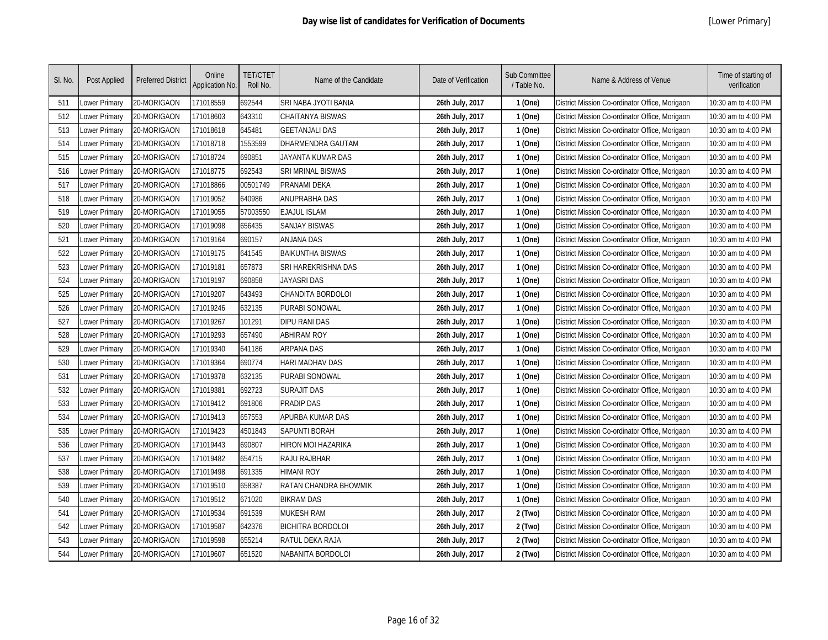| SI. No. | Post Applied         | <b>Preferred District</b> | Online<br>Application No. | <b>TET/CTET</b><br>Roll No. | Name of the Candidate     | Date of Verification | Sub Committee<br>/ Table No. | Name & Address of Venue                        | Time of starting of<br>verification |
|---------|----------------------|---------------------------|---------------------------|-----------------------------|---------------------------|----------------------|------------------------------|------------------------------------------------|-------------------------------------|
| 511     | Lower Primary        | 20-MORIGAON               | 171018559                 | 692544                      | SRI NABA JYOTI BANIA      | 26th July, 2017      | 1 (One)                      | District Mission Co-ordinator Office, Morigaon | 10:30 am to 4:00 PM                 |
| 512     | Lower Primary        | 20-MORIGAON               | 171018603                 | 643310                      | <b>CHAITANYA BISWAS</b>   | 26th July, 2017      | 1 (One)                      | District Mission Co-ordinator Office, Morigaon | 10:30 am to 4:00 PM                 |
| 513     | Lower Primary        | 20-MORIGAON               | 171018618                 | 645481                      | <b>GEETANJALI DAS</b>     | 26th July, 2017      | 1 (One)                      | District Mission Co-ordinator Office, Morigaon | 10:30 am to 4:00 PM                 |
| 514     | ower Primary         | 20-MORIGAON               | 171018718                 | 1553599                     | DHARMENDRA GAUTAM         | 26th July, 2017      | 1 (One)                      | District Mission Co-ordinator Office, Morigaon | 10:30 am to 4:00 PM                 |
| 515     | Lower Primary        | 20-MORIGAON               | 171018724                 | 690851                      | JAYANTA KUMAR DAS         | 26th July, 2017      | 1 (One)                      | District Mission Co-ordinator Office, Morigaon | 10:30 am to 4:00 PM                 |
| 516     | Lower Primary        | 20-MORIGAON               | 171018775                 | 692543                      | <b>SRI MRINAL BISWAS</b>  | 26th July, 2017      | 1 (One)                      | District Mission Co-ordinator Office, Morigaon | 10:30 am to 4:00 PM                 |
| 517     | Lower Primary        | 20-MORIGAON               | 171018866                 | 00501749                    | PRANAMI DEKA              | 26th July, 2017      | 1 (One)                      | District Mission Co-ordinator Office, Morigaon | 10:30 am to 4:00 PM                 |
| 518     | Lower Primary        | 20-MORIGAON               | 171019052                 | 640986                      | ANUPRABHA DAS             | 26th July, 2017      | 1 (One)                      | District Mission Co-ordinator Office, Morigaon | 10:30 am to 4:00 PM                 |
| 519     | Lower Primary        | 20-MORIGAON               | 171019055                 | 57003550                    | <b>EJAJUL ISLAM</b>       | 26th July, 2017      | 1 (One)                      | District Mission Co-ordinator Office, Morigaon | 10:30 am to 4:00 PM                 |
| 520     | Lower Primary        | 20-MORIGAON               | 171019098                 | 656435                      | <b>SANJAY BISWAS</b>      | 26th July, 2017      | 1 (One)                      | District Mission Co-ordinator Office, Morigaon | 10:30 am to 4:00 PM                 |
| 521     | Lower Primary        | 20-MORIGAON               | 171019164                 | 690157                      | <b>ANJANA DAS</b>         | 26th July, 2017      | 1 (One)                      | District Mission Co-ordinator Office, Morigaon | 10:30 am to 4:00 PM                 |
| 522     | Lower Primary        | 20-MORIGAON               | 171019175                 | 641545                      | <b>BAIKUNTHA BISWAS</b>   | 26th July, 2017      | 1 (One)                      | District Mission Co-ordinator Office, Morigaon | 10:30 am to 4:00 PM                 |
| 523     | Lower Primary        | 20-MORIGAON               | 171019181                 | 657873                      | SRI HAREKRISHNA DAS       | 26th July, 2017      | 1 (One)                      | District Mission Co-ordinator Office, Morigaon | 10:30 am to 4:00 PM                 |
| 524     | Lower Primary        | 20-MORIGAON               | 171019197                 | 690858                      | <b>JAYASRI DAS</b>        | 26th July, 2017      | 1 (One)                      | District Mission Co-ordinator Office, Morigaon | 10:30 am to 4:00 PM                 |
| 525     | Lower Primary        | 20-MORIGAON               | 171019207                 | 643493                      | CHANDITA BORDOLOI         | 26th July, 2017      | 1 (One)                      | District Mission Co-ordinator Office, Morigaon | 10:30 am to 4:00 PM                 |
| 526     | Lower Primary        | 20-MORIGAON               | 171019246                 | 632135                      | <b>PURABI SONOWAL</b>     | 26th July, 2017      | 1 (One)                      | District Mission Co-ordinator Office, Morigaon | 10:30 am to 4:00 PM                 |
| 527     | Lower Primary        | 20-MORIGAON               | 171019267                 | 101291                      | <b>DIPU RANI DAS</b>      | 26th July, 2017      | 1 (One)                      | District Mission Co-ordinator Office, Morigaon | 10:30 am to 4:00 PM                 |
| 528     | Lower Primary        | 20-MORIGAON               | 171019293                 | 657490                      | <b>ABHIRAM ROY</b>        | 26th July, 2017      | 1 (One)                      | District Mission Co-ordinator Office, Morigaon | 10:30 am to 4:00 PM                 |
| 529     | Lower Primary        | 20-MORIGAON               | 171019340                 | 641186                      | <b>ARPANA DAS</b>         | 26th July, 2017      | 1 (One)                      | District Mission Co-ordinator Office, Morigaon | 10:30 am to 4:00 PM                 |
| 530     | <b>Lower Primary</b> | 20-MORIGAON               | 171019364                 | 690774                      | <b>HARI MADHAV DAS</b>    | 26th July, 2017      | 1 (One)                      | District Mission Co-ordinator Office, Morigaon | 10:30 am to 4:00 PM                 |
| 531     | Lower Primary        | 20-MORIGAON               | 171019378                 | 632135                      | PURABI SONOWAL            | 26th July, 2017      | 1 (One)                      | District Mission Co-ordinator Office, Morigaon | 10:30 am to 4:00 PM                 |
| 532     | Lower Primary        | 20-MORIGAON               | 171019381                 | 692723                      | <b>SURAJIT DAS</b>        | 26th July, 2017      | 1 (One)                      | District Mission Co-ordinator Office, Morigaon | 10:30 am to 4:00 PM                 |
| 533     | Lower Primary        | 20-MORIGAON               | 171019412                 | 691806                      | PRADIP DAS                | 26th July, 2017      | 1 (One)                      | District Mission Co-ordinator Office, Morigaon | 10:30 am to 4:00 PM                 |
| 534     | Lower Primary        | 20-MORIGAON               | 171019413                 | 657553                      | APURBA KUMAR DAS          | 26th July, 2017      | 1 (One)                      | District Mission Co-ordinator Office, Morigaon | 10:30 am to 4:00 PM                 |
| 535     | Lower Primary        | 20-MORIGAON               | 171019423                 | 4501843                     | SAPUNTI BORAH             | 26th July, 2017      | 1 (One)                      | District Mission Co-ordinator Office, Morigaon | 10:30 am to 4:00 PM                 |
| 536     | Lower Primary        | 20-MORIGAON               | 171019443                 | 690807                      | <b>HIRON MOI HAZARIKA</b> | 26th July, 2017      | 1 (One)                      | District Mission Co-ordinator Office, Morigaon | 10:30 am to 4:00 PM                 |
| 537     | Lower Primary        | 20-MORIGAON               | 171019482                 | 654715                      | RAJU RAJBHAR              | 26th July, 2017      | 1 (One)                      | District Mission Co-ordinator Office, Morigaon | 10:30 am to 4:00 PM                 |
| 538     | Lower Primary        | 20-MORIGAON               | 171019498                 | 691335                      | <b>HIMANI ROY</b>         | 26th July, 2017      | 1 (One)                      | District Mission Co-ordinator Office, Morigaon | 10:30 am to 4:00 PM                 |
| 539     | Lower Primary        | 20-MORIGAON               | 171019510                 | 658387                      | RATAN CHANDRA BHOWMIK     | 26th July, 2017      | 1 (One)                      | District Mission Co-ordinator Office, Morigaon | 10:30 am to 4:00 PM                 |
| 540     | Lower Primary        | 20-MORIGAON               | 171019512                 | 671020                      | <b>BIKRAM DAS</b>         | 26th July, 2017      | 1 (One)                      | District Mission Co-ordinator Office, Morigaon | 10:30 am to 4:00 PM                 |
| 541     | Lower Primary        | 20-MORIGAON               | 171019534                 | 691539                      | <b>MUKESH RAM</b>         | 26th July, 2017      | 2 (Two)                      | District Mission Co-ordinator Office, Morigaon | 10:30 am to 4:00 PM                 |
| 542     | Lower Primary        | 20-MORIGAON               | 171019587                 | 642376                      | <b>BICHITRA BORDOLOI</b>  | 26th July, 2017      | 2 (Two)                      | District Mission Co-ordinator Office, Morigaon | 10:30 am to 4:00 PM                 |
| 543     | Lower Primary        | 20-MORIGAON               | 171019598                 | 655214                      | RATUL DEKA RAJA           | 26th July, 2017      | 2 (Two)                      | District Mission Co-ordinator Office, Morigaon | 10:30 am to 4:00 PM                 |
| 544     | Lower Primary        | 20-MORIGAON               | 171019607                 | 651520                      | NABANITA BORDOLOI         | 26th July, 2017      | 2 (Two)                      | District Mission Co-ordinator Office, Morigaon | 10:30 am to 4:00 PM                 |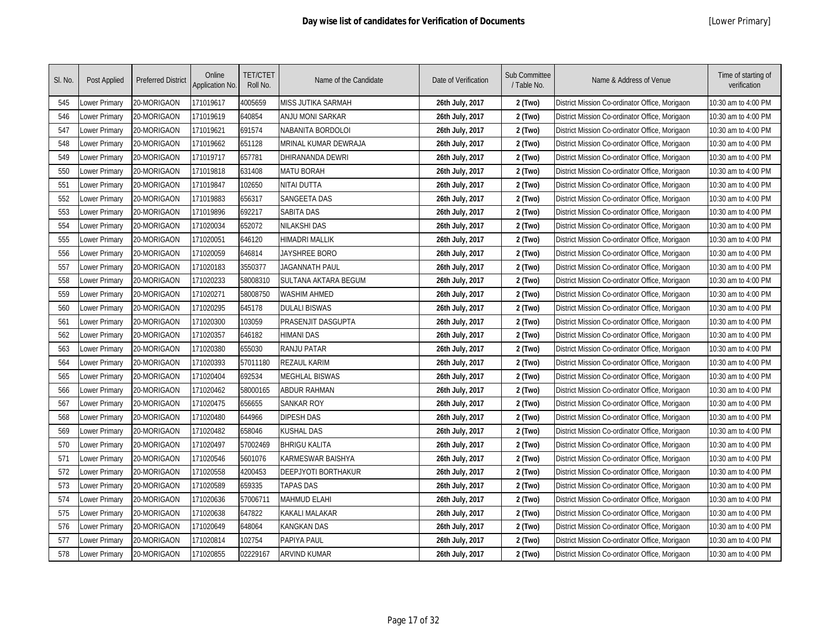| SI. No. | Post Applied  | <b>Preferred District</b> | Online<br>Application No. | <b>TET/CTET</b><br>Roll No. | Name of the Candidate       | Date of Verification | Sub Committee<br>/ Table No. | Name & Address of Venue                        | Time of starting of<br>verification |
|---------|---------------|---------------------------|---------------------------|-----------------------------|-----------------------------|----------------------|------------------------------|------------------------------------------------|-------------------------------------|
| 545     | Lower Primary | 20-MORIGAON               | 171019617                 | 4005659                     | MISS JUTIKA SARMAH          | 26th July, 2017      | 2 (Two)                      | District Mission Co-ordinator Office, Morigaon | 10:30 am to 4:00 PM                 |
| 546     | Lower Primary | 20-MORIGAON               | 171019619                 | 640854                      | ANJU MONI SARKAR            | 26th July, 2017      | 2 (Two)                      | District Mission Co-ordinator Office, Morigaon | 10:30 am to 4:00 PM                 |
| 547     | Lower Primary | 20-MORIGAON               | 171019621                 | 691574                      | NABANITA BORDOLOI           | 26th July, 2017      | 2 (Two)                      | District Mission Co-ordinator Office, Morigaon | 10:30 am to 4:00 PM                 |
| 548     | Lower Primary | 20-MORIGAON               | 171019662                 | 651128                      | MRINAL KUMAR DEWRAJA        | 26th July, 2017      | 2 (Two)                      | District Mission Co-ordinator Office, Morigaon | 10:30 am to 4:00 PM                 |
| 549     | Lower Primary | 20-MORIGAON               | 171019717                 | 657781                      | <b>DHIRANANDA DEWRI</b>     | 26th July, 2017      | 2 (Two)                      | District Mission Co-ordinator Office, Morigaon | 10:30 am to 4:00 PM                 |
| 550     | Lower Primary | 20-MORIGAON               | 171019818                 | 631408                      | <b>MATU BORAH</b>           | 26th July, 2017      | 2 (Two)                      | District Mission Co-ordinator Office, Morigaon | 10:30 am to 4:00 PM                 |
| 551     | Lower Primary | 20-MORIGAON               | 171019847                 | 102650                      | NITAI DUTTA                 | 26th July, 2017      | 2 (Two)                      | District Mission Co-ordinator Office, Morigaon | 10:30 am to 4:00 PM                 |
| 552     | Lower Primary | 20-MORIGAON               | 171019883                 | 656317                      | <b>SANGEETA DAS</b>         | 26th July, 2017      | 2 (Two)                      | District Mission Co-ordinator Office, Morigaon | 10:30 am to 4:00 PM                 |
| 553     | Lower Primary | 20-MORIGAON               | 171019896                 | 692217                      | <b>SABITA DAS</b>           | 26th July, 2017      | 2 (Two)                      | District Mission Co-ordinator Office, Morigaon | 10:30 am to 4:00 PM                 |
| 554     | Lower Primary | 20-MORIGAON               | 171020034                 | 652072                      | NILAKSHI DAS                | 26th July, 2017      | 2 (Two)                      | District Mission Co-ordinator Office, Morigaon | 10:30 am to 4:00 PM                 |
| 555     | Lower Primary | 20-MORIGAON               | 171020051                 | 646120                      | HIMADRI MALLIK              | 26th July, 2017      | 2 (Two)                      | District Mission Co-ordinator Office, Morigaon | 10:30 am to 4:00 PM                 |
| 556     | Lower Primary | 20-MORIGAON               | 171020059                 | 646814                      | JAYSHREE BORO               | 26th July, 2017      | 2 (Two)                      | District Mission Co-ordinator Office, Morigaon | 10:30 am to 4:00 PM                 |
| 557     | Lower Primary | 20-MORIGAON               | 171020183                 | 3550377                     | <b>JAGANNATH PAUL</b>       | 26th July, 2017      | 2 (Two)                      | District Mission Co-ordinator Office, Morigaon | 10:30 am to 4:00 PM                 |
| 558     | Lower Primary | 20-MORIGAON               | 171020233                 | 58008310                    | <b>SULTANA AKTARA BEGUM</b> | 26th July, 2017      | 2 (Two)                      | District Mission Co-ordinator Office, Morigaon | 10:30 am to 4:00 PM                 |
| 559     | Lower Primary | 20-MORIGAON               | 171020271                 | 58008750                    | <b>WASHIM AHMED</b>         | 26th July, 2017      | 2 (Two)                      | District Mission Co-ordinator Office, Morigaon | 10:30 am to 4:00 PM                 |
| 560     | Lower Primary | 20-MORIGAON               | 171020295                 | 645178                      | <b>DULALI BISWAS</b>        | 26th July, 2017      | 2 (Two)                      | District Mission Co-ordinator Office, Morigaon | 10:30 am to 4:00 PM                 |
| 561     | Lower Primary | 20-MORIGAON               | 171020300                 | 103059                      | PRASENJIT DASGUPTA          | 26th July, 2017      | 2 (Two)                      | District Mission Co-ordinator Office, Morigaon | 10:30 am to 4:00 PM                 |
| 562     | Lower Primary | 20-MORIGAON               | 171020357                 | 646182                      | HIMANI DAS                  | 26th July, 2017      | 2 (Two)                      | District Mission Co-ordinator Office, Morigaon | 10:30 am to 4:00 PM                 |
| 563     | Lower Primary | 20-MORIGAON               | 171020380                 | 655030                      | <b>RANJU PATAR</b>          | 26th July, 2017      | 2 (Two)                      | District Mission Co-ordinator Office, Morigaon | 10:30 am to 4:00 PM                 |
| 564     | Lower Primary | 20-MORIGAON               | 171020393                 | 57011180                    | <b>REZAUL KARIM</b>         | 26th July, 2017      | 2 (Two)                      | District Mission Co-ordinator Office, Morigaon | 10:30 am to 4:00 PM                 |
| 565     | Lower Primary | 20-MORIGAON               | 171020404                 | 692534                      | <b>MEGHLAL BISWAS</b>       | 26th July, 2017      | 2 (Two)                      | District Mission Co-ordinator Office, Morigaon | 10:30 am to 4:00 PM                 |
| 566     | Lower Primary | 20-MORIGAON               | 171020462                 | 58000165                    | <b>ABDUR RAHMAN</b>         | 26th July, 2017      | 2 (Two)                      | District Mission Co-ordinator Office, Morigaon | 10:30 am to 4:00 PM                 |
| 567     | Lower Primary | 20-MORIGAON               | 171020475                 | 656655                      | <b>SANKAR ROY</b>           | 26th July, 2017      | 2 (Two)                      | District Mission Co-ordinator Office, Morigaon | 10:30 am to 4:00 PM                 |
| 568     | Lower Primary | 20-MORIGAON               | 171020480                 | 644966                      | <b>DIPESH DAS</b>           | 26th July, 2017      | 2 (Two)                      | District Mission Co-ordinator Office, Morigaon | 10:30 am to 4:00 PM                 |
| 569     | Lower Primary | 20-MORIGAON               | 171020482                 | 658046                      | KUSHAL DAS                  | 26th July, 2017      | 2 (Two)                      | District Mission Co-ordinator Office, Morigaon | 10:30 am to 4:00 PM                 |
| 570     | Lower Primary | 20-MORIGAON               | 171020497                 | 57002469                    | <b>BHRIGU KALITA</b>        | 26th July, 2017      | 2 (Two)                      | District Mission Co-ordinator Office, Morigaon | 10:30 am to 4:00 PM                 |
| 571     | Lower Primary | 20-MORIGAON               | 171020546                 | 5601076                     | KARMESWAR BAISHYA           | 26th July, 2017      | 2 (Two)                      | District Mission Co-ordinator Office, Morigaon | 10:30 am to 4:00 PM                 |
| 572     | Lower Primary | 20-MORIGAON               | 171020558                 | 4200453                     | DEEPJYOTI BORTHAKUR         | 26th July, 2017      | 2 (Two)                      | District Mission Co-ordinator Office, Morigaon | 10:30 am to 4:00 PM                 |
| 573     | Lower Primary | 20-MORIGAON               | 171020589                 | 659335                      | <b>TAPAS DAS</b>            | 26th July, 2017      | 2 (Two)                      | District Mission Co-ordinator Office, Morigaon | 10:30 am to 4:00 PM                 |
| 574     | Lower Primary | 20-MORIGAON               | 171020636                 | 57006711                    | MAHMUD ELAHI                | 26th July, 2017      | 2 (Two)                      | District Mission Co-ordinator Office, Morigaon | 10:30 am to 4:00 PM                 |
| 575     | Lower Primary | 20-MORIGAON               | 171020638                 | 647822                      | KAKALI MALAKAR              | 26th July, 2017      | 2 (Two)                      | District Mission Co-ordinator Office, Morigaon | 10:30 am to 4:00 PM                 |
| 576     | Lower Primary | 20-MORIGAON               | 171020649                 | 648064                      | KANGKAN DAS                 | 26th July, 2017      | 2 (Two)                      | District Mission Co-ordinator Office, Morigaon | 10:30 am to 4:00 PM                 |
| 577     | Lower Primary | 20-MORIGAON               | 171020814                 | 102754                      | PAPIYA PAUL                 | 26th July, 2017      | 2 (Two)                      | District Mission Co-ordinator Office, Morigaon | 10:30 am to 4:00 PM                 |
| 578     | Lower Primary | 20-MORIGAON               | 171020855                 | 02229167                    | <b>ARVIND KUMAR</b>         | 26th July, 2017      | 2 (Two)                      | District Mission Co-ordinator Office, Morigaon | 10:30 am to 4:00 PM                 |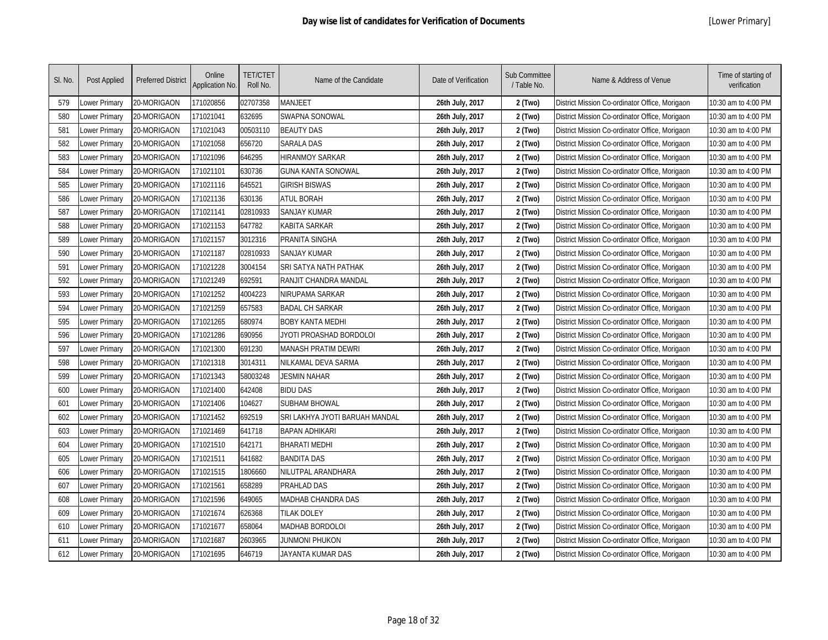| SI. No. | Post Applied  | <b>Preferred District</b> | Online<br><b>Application No.</b> | <b>TET/CTET</b><br>Roll No. | Name of the Candidate          | Date of Verification | Sub Committee<br>/ Table No. | Name & Address of Venue                        | Time of starting of<br>verification |
|---------|---------------|---------------------------|----------------------------------|-----------------------------|--------------------------------|----------------------|------------------------------|------------------------------------------------|-------------------------------------|
| 579     | Lower Primary | 20-MORIGAON               | 171020856                        | 02707358                    | MANJEET                        | 26th July, 2017      | 2 (Two)                      | District Mission Co-ordinator Office, Morigaon | 10:30 am to 4:00 PM                 |
| 580     | Lower Primary | 20-MORIGAON               | 171021041                        | 632695                      | SWAPNA SONOWAL                 | 26th July, 2017      | 2 (Two)                      | District Mission Co-ordinator Office, Morigaon | 10:30 am to 4:00 PM                 |
| 581     | Lower Primary | 20-MORIGAON               | 171021043                        | 00503110                    | <b>BEAUTY DAS</b>              | 26th July, 2017      | 2 (Two)                      | District Mission Co-ordinator Office, Morigaon | 10:30 am to 4:00 PM                 |
| 582     | Lower Primary | 20-MORIGAON               | 171021058                        | 656720                      | <b>SARALA DAS</b>              | 26th July, 2017      | 2 (Two)                      | District Mission Co-ordinator Office, Morigaon | 10:30 am to 4:00 PM                 |
| 583     | Lower Primary | 20-MORIGAON               | 171021096                        | 646295                      | <b>HIRANMOY SARKAR</b>         | 26th July, 2017      | 2 (Two)                      | District Mission Co-ordinator Office, Morigaon | 10:30 am to 4:00 PM                 |
| 584     | Lower Primary | 20-MORIGAON               | 171021101                        | 630736                      | GUNA KANTA SONOWAL             | 26th July, 2017      | 2 (Two)                      | District Mission Co-ordinator Office, Morigaon | 10:30 am to 4:00 PM                 |
| 585     | Lower Primary | 20-MORIGAON               | 171021116                        | 645521                      | <b>GIRISH BISWAS</b>           | 26th July, 2017      | 2 (Two)                      | District Mission Co-ordinator Office, Morigaon | 10:30 am to 4:00 PM                 |
| 586     | Lower Primary | 20-MORIGAON               | 171021136                        | 630136                      | <b>ATUL BORAH</b>              | 26th July, 2017      | 2 (Two)                      | District Mission Co-ordinator Office, Morigaon | 10:30 am to 4:00 PM                 |
| 587     | Lower Primary | 20-MORIGAON               | 171021141                        | 02810933                    | <b>SANJAY KUMAR</b>            | 26th July, 2017      | 2 (Two)                      | District Mission Co-ordinator Office, Morigaon | 10:30 am to 4:00 PM                 |
| 588     | Lower Primary | 20-MORIGAON               | 171021153                        | 647782                      | KABITA SARKAR                  | 26th July, 2017      | 2 (Two)                      | District Mission Co-ordinator Office, Morigaon | 10:30 am to 4:00 PM                 |
| 589     | Lower Primary | 20-MORIGAON               | 171021157                        | 3012316                     | PRANITA SINGHA                 | 26th July, 2017      | 2 (Two)                      | District Mission Co-ordinator Office, Morigaon | 10:30 am to 4:00 PM                 |
| 590     | Lower Primary | 20-MORIGAON               | 171021187                        | 02810933                    | <b>SANJAY KUMAR</b>            | 26th July, 2017      | 2 (Two)                      | District Mission Co-ordinator Office, Morigaon | 10:30 am to 4:00 PM                 |
| 591     | Lower Primary | 20-MORIGAON               | 171021228                        | 3004154                     | SRI SATYA NATH PATHAK          | 26th July, 2017      | 2 (Two)                      | District Mission Co-ordinator Office, Morigaon | 10:30 am to 4:00 PM                 |
| 592     | Lower Primary | 20-MORIGAON               | 171021249                        | 692591                      | RANJIT CHANDRA MANDAL          | 26th July, 2017      | 2 (Two)                      | District Mission Co-ordinator Office, Morigaon | 10:30 am to 4:00 PM                 |
| 593     | Lower Primary | 20-MORIGAON               | 171021252                        | 4004223                     | NIRUPAMA SARKAR                | 26th July, 2017      | 2 (Two)                      | District Mission Co-ordinator Office, Morigaon | 10:30 am to 4:00 PM                 |
| 594     | Lower Primary | 20-MORIGAON               | 171021259                        | 657583                      | <b>BADAL CH SARKAR</b>         | 26th July, 2017      | 2 (Two)                      | District Mission Co-ordinator Office, Morigaon | 10:30 am to 4:00 PM                 |
| 595     | Lower Primary | 20-MORIGAON               | 171021265                        | 680974                      | <b>BOBY KANTA MEDHI</b>        | 26th July, 2017      | 2 (Two)                      | District Mission Co-ordinator Office, Morigaon | 10:30 am to 4:00 PM                 |
| 596     | Lower Primary | 20-MORIGAON               | 171021286                        | 690956                      | JYOTI PROASHAD BORDOLOI        | 26th July, 2017      | 2 (Two)                      | District Mission Co-ordinator Office, Morigaon | 10:30 am to 4:00 PM                 |
| 597     | Lower Primary | 20-MORIGAON               | 171021300                        | 691230                      | MANASH PRATIM DEWRI            | 26th July, 2017      | 2 (Two)                      | District Mission Co-ordinator Office, Morigaon | 10:30 am to 4:00 PM                 |
| 598     | Lower Primary | 20-MORIGAON               | 171021318                        | 3014311                     | NILKAMAL DEVA SARMA            | 26th July, 2017      | 2 (Two)                      | District Mission Co-ordinator Office, Morigaon | 10:30 am to 4:00 PM                 |
| 599     | Lower Primary | 20-MORIGAON               | 171021343                        | 58003248                    | <b>JESMIN NAHAR</b>            | 26th July, 2017      | 2 (Two)                      | District Mission Co-ordinator Office, Morigaon | 10:30 am to 4:00 PM                 |
| 600     | Lower Primary | 20-MORIGAON               | 171021400                        | 642408                      | <b>BIDU DAS</b>                | 26th July, 2017      | 2 (Two)                      | District Mission Co-ordinator Office, Morigaon | 10:30 am to 4:00 PM                 |
| 601     | Lower Primary | 20-MORIGAON               | 171021406                        | 104627                      | <b>SUBHAM BHOWAL</b>           | 26th July, 2017      | 2 (Two)                      | District Mission Co-ordinator Office, Morigaon | 10:30 am to 4:00 PM                 |
| 602     | Lower Primary | 20-MORIGAON               | 171021452                        | 692519                      | SRI LAKHYA JYOTI BARUAH MANDAL | 26th July, 2017      | 2 (Two)                      | District Mission Co-ordinator Office, Morigaon | 10:30 am to 4:00 PM                 |
| 603     | Lower Primary | 20-MORIGAON               | 171021469                        | 641718                      | <b>BAPAN ADHIKARI</b>          | 26th July, 2017      | 2 (Two)                      | District Mission Co-ordinator Office, Morigaon | 10:30 am to 4:00 PM                 |
| 604     | Lower Primary | 20-MORIGAON               | 171021510                        | 642171                      | <b>BHARATI MEDHI</b>           | 26th July, 2017      | 2 (Two)                      | District Mission Co-ordinator Office, Morigaon | 10:30 am to 4:00 PM                 |
| 605     | Lower Primary | 20-MORIGAON               | 171021511                        | 641682                      | <b>BANDITA DAS</b>             | 26th July, 2017      | 2 (Two)                      | District Mission Co-ordinator Office, Morigaon | 10:30 am to 4:00 PM                 |
| 606     | Lower Primary | 20-MORIGAON               | 171021515                        | 1806660                     | NILUTPAL ARANDHARA             | 26th July, 2017      | 2 (Two)                      | District Mission Co-ordinator Office, Morigaon | 10:30 am to 4:00 PM                 |
| 607     | Lower Primary | 20-MORIGAON               | 171021561                        | 658289                      | PRAHLAD DAS                    | 26th July, 2017      | 2 (Two)                      | District Mission Co-ordinator Office, Morigaon | 10:30 am to 4:00 PM                 |
| 608     | Lower Primary | 20-MORIGAON               | 171021596                        | 649065                      | MADHAB CHANDRA DAS             | 26th July, 2017      | 2 (Two)                      | District Mission Co-ordinator Office, Morigaon | 10:30 am to 4:00 PM                 |
| 609     | Lower Primary | 20-MORIGAON               | 171021674                        | 626368                      | <b>TILAK DOLEY</b>             | 26th July, 2017      | 2 (Two)                      | District Mission Co-ordinator Office, Morigaon | 10:30 am to 4:00 PM                 |
| 610     | Lower Primary | 20-MORIGAON               | 171021677                        | 658064                      | MADHAB BORDOLOI                | 26th July, 2017      | 2 (Two)                      | District Mission Co-ordinator Office, Morigaon | 10:30 am to 4:00 PM                 |
| 611     | Lower Primary | 20-MORIGAON               | 171021687                        | 2603965                     | JUNMONI PHUKON                 | 26th July, 2017      | 2 (Two)                      | District Mission Co-ordinator Office, Morigaon | 10:30 am to 4:00 PM                 |
| 612     | Lower Primary | 20-MORIGAON               | 171021695                        | 646719                      | JAYANTA KUMAR DAS              | 26th July, 2017      | 2 (Two)                      | District Mission Co-ordinator Office, Morigaon | 10:30 am to 4:00 PM                 |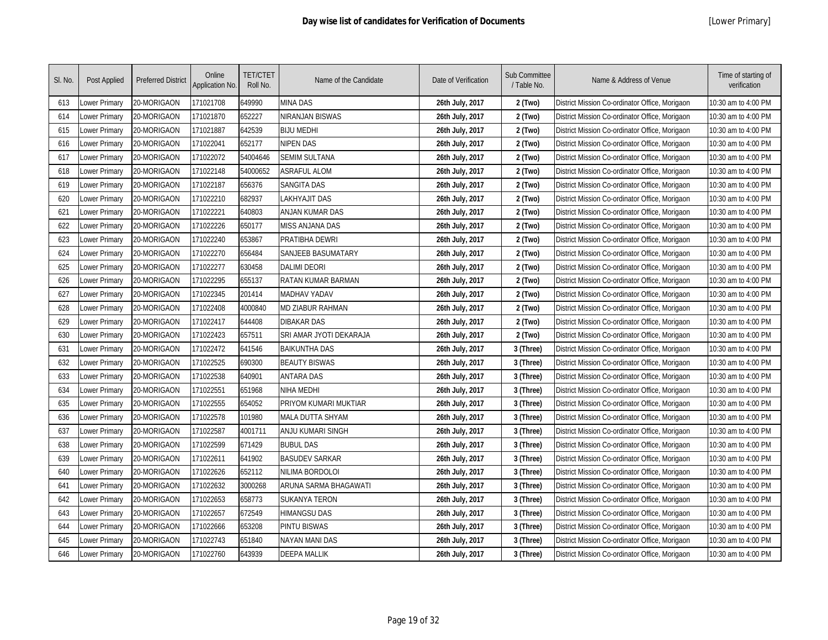| SI. No. | Post Applied  | <b>Preferred District</b> | Online<br>Application No. | <b>TET/CTET</b><br>Roll No. | Name of the Candidate   | Date of Verification | Sub Committee<br>/ Table No. | Name & Address of Venue                        | Time of starting of<br>verification |
|---------|---------------|---------------------------|---------------------------|-----------------------------|-------------------------|----------------------|------------------------------|------------------------------------------------|-------------------------------------|
| 613     | ower Primary  | 20-MORIGAON               | 171021708                 | 649990                      | <b>MINA DAS</b>         | 26th July, 2017      | 2 (Two)                      | District Mission Co-ordinator Office, Morigaon | 10:30 am to 4:00 PM                 |
| 614     | Lower Primary | 20-MORIGAON               | 171021870                 | 652227                      | <b>NIRANJAN BISWAS</b>  | 26th July, 2017      | 2 (Two)                      | District Mission Co-ordinator Office, Morigaon | 10:30 am to 4:00 PM                 |
| 615     | Lower Primary | 20-MORIGAON               | 171021887                 | 642539                      | <b>BIJU MEDHI</b>       | 26th July, 2017      | 2 (Two)                      | District Mission Co-ordinator Office, Morigaon | 10:30 am to 4:00 PM                 |
| 616     | Lower Primary | 20-MORIGAON               | 171022041                 | 652177                      | <b>NIPEN DAS</b>        | 26th July, 2017      | 2 (Two)                      | District Mission Co-ordinator Office, Morigaon | 10:30 am to 4:00 PM                 |
| 617     | Lower Primary | 20-MORIGAON               | 171022072                 | 54004646                    | <b>SEMIM SULTANA</b>    | 26th July, 2017      | 2 (Two)                      | District Mission Co-ordinator Office, Morigaon | 10:30 am to 4:00 PM                 |
| 618     | Lower Primary | 20-MORIGAON               | 171022148                 | 54000652                    | <b>ASRAFUL ALOM</b>     | 26th July, 2017      | 2 (Two)                      | District Mission Co-ordinator Office, Morigaon | 10:30 am to 4:00 PM                 |
| 619     | Lower Primary | 20-MORIGAON               | 171022187                 | 656376                      | <b>SANGITA DAS</b>      | 26th July, 2017      | 2 (Two)                      | District Mission Co-ordinator Office, Morigaon | 10:30 am to 4:00 PM                 |
| 620     | Lower Primary | 20-MORIGAON               | 171022210                 | 682937                      | LAKHYAJIT DAS           | 26th July, 2017      | 2 (Two)                      | District Mission Co-ordinator Office, Morigaon | 10:30 am to 4:00 PM                 |
| 621     | Lower Primary | 20-MORIGAON               | 171022221                 | 640803                      | ANJAN KUMAR DAS         | 26th July, 2017      | 2 (Two)                      | District Mission Co-ordinator Office, Morigaon | 10:30 am to 4:00 PM                 |
| 622     | Lower Primary | 20-MORIGAON               | 171022226                 | 650177                      | <b>MISS ANJANA DAS</b>  | 26th July, 2017      | 2 (Two)                      | District Mission Co-ordinator Office, Morigaon | 10:30 am to 4:00 PM                 |
| 623     | Lower Primary | 20-MORIGAON               | 171022240                 | 653867                      | PRATIBHA DEWRI          | 26th July, 2017      | 2 (Two)                      | District Mission Co-ordinator Office, Morigaon | 10:30 am to 4:00 PM                 |
| 624     | Lower Primary | 20-MORIGAON               | 171022270                 | 656484                      | SANJEEB BASUMATARY      | 26th July, 2017      | 2 (Two)                      | District Mission Co-ordinator Office, Morigaon | 10:30 am to 4:00 PM                 |
| 625     | Lower Primary | 20-MORIGAON               | 171022277                 | 630458                      | <b>DALIMI DEORI</b>     | 26th July, 2017      | 2 (Two)                      | District Mission Co-ordinator Office, Morigaon | 10:30 am to 4:00 PM                 |
| 626     | Lower Primary | 20-MORIGAON               | 171022295                 | 655137                      | RATAN KUMAR BARMAN      | 26th July, 2017      | 2 (Two)                      | District Mission Co-ordinator Office, Morigaon | 10:30 am to 4:00 PM                 |
| 627     | Lower Primary | 20-MORIGAON               | 171022345                 | 201414                      | <b>MADHAV YADAV</b>     | 26th July, 2017      | 2 (Two)                      | District Mission Co-ordinator Office, Morigaon | 10:30 am to 4:00 PM                 |
| 628     | Lower Primary | 20-MORIGAON               | 171022408                 | 4000840                     | <b>MD ZIABUR RAHMAN</b> | 26th July, 2017      | 2 (Two)                      | District Mission Co-ordinator Office, Morigaon | 10:30 am to 4:00 PM                 |
| 629     | Lower Primary | 20-MORIGAON               | 171022417                 | 644408                      | <b>DIBAKAR DAS</b>      | 26th July, 2017      | 2 (Two)                      | District Mission Co-ordinator Office, Morigaon | 10:30 am to 4:00 PM                 |
| 630     | Lower Primary | 20-MORIGAON               | 171022423                 | 657511                      | SRI AMAR JYOTI DEKARAJA | 26th July, 2017      | 2 (Two)                      | District Mission Co-ordinator Office, Morigaon | 10:30 am to 4:00 PM                 |
| 631     | Lower Primary | 20-MORIGAON               | 171022472                 | 641546                      | <b>BAIKUNTHA DAS</b>    | 26th July, 2017      | 3 (Three)                    | District Mission Co-ordinator Office, Morigaon | 10:30 am to 4:00 PM                 |
| 632     | Lower Primary | 20-MORIGAON               | 171022525                 | 690300                      | <b>BEAUTY BISWAS</b>    | 26th July, 2017      | 3 (Three)                    | District Mission Co-ordinator Office, Morigaon | 10:30 am to 4:00 PM                 |
| 633     | Lower Primary | 20-MORIGAON               | 171022538                 | 640901                      | <b>ANTARA DAS</b>       | 26th July, 2017      | 3 (Three)                    | District Mission Co-ordinator Office, Morigaon | 10:30 am to 4:00 PM                 |
| 634     | Lower Primary | 20-MORIGAON               | 171022551                 | 651968                      | NIHA MEDHI              | 26th July, 2017      | 3 (Three)                    | District Mission Co-ordinator Office, Morigaon | 10:30 am to 4:00 PM                 |
| 635     | Lower Primary | 20-MORIGAON               | 171022555                 | 654052                      | PRIYOM KUMARI MUKTIAR   | 26th July, 2017      | 3 (Three)                    | District Mission Co-ordinator Office, Morigaon | 10:30 am to 4:00 PM                 |
| 636     | Lower Primary | 20-MORIGAON               | 171022578                 | 101980                      | MALA DUTTA SHYAM        | 26th July, 2017      | 3 (Three)                    | District Mission Co-ordinator Office, Morigaon | 10:30 am to 4:00 PM                 |
| 637     | Lower Primary | 20-MORIGAON               | 171022587                 | 4001711                     | ANJU KUMARI SINGH       | 26th July, 2017      | 3 (Three)                    | District Mission Co-ordinator Office, Morigaon | 10:30 am to 4:00 PM                 |
| 638     | Lower Primary | 20-MORIGAON               | 171022599                 | 671429                      | <b>BUBUL DAS</b>        | 26th July, 2017      | 3 (Three)                    | District Mission Co-ordinator Office, Morigaon | 10:30 am to 4:00 PM                 |
| 639     | Lower Primary | 20-MORIGAON               | 171022611                 | 641902                      | <b>BASUDEV SARKAR</b>   | 26th July, 2017      | 3 (Three)                    | District Mission Co-ordinator Office, Morigaon | 10:30 am to 4:00 PM                 |
| 640     | Lower Primary | 20-MORIGAON               | 171022626                 | 652112                      | NILIMA BORDOLOI         | 26th July, 2017      | 3 (Three)                    | District Mission Co-ordinator Office, Morigaon | 10:30 am to 4:00 PM                 |
| 641     | ower Primary  | 20-MORIGAON               | 171022632                 | 3000268                     | ARUNA SARMA BHAGAWATI   | 26th July, 2017      | 3 (Three)                    | District Mission Co-ordinator Office, Morigaon | 10:30 am to 4:00 PM                 |
| 642     | ower Primary  | 20-MORIGAON               | 171022653                 | 658773                      | SUKANYA TERON           | 26th July, 2017      | 3 (Three)                    | District Mission Co-ordinator Office, Morigaon | 10:30 am to 4:00 PM                 |
| 643     | Lower Primary | 20-MORIGAON               | 171022657                 | 672549                      | <b>HIMANGSU DAS</b>     | 26th July, 2017      | 3 (Three)                    | District Mission Co-ordinator Office, Morigaon | 10:30 am to 4:00 PM                 |
| 644     | Lower Primary | 20-MORIGAON               | 171022666                 | 653208                      | <b>PINTU BISWAS</b>     | 26th July, 2017      | 3 (Three)                    | District Mission Co-ordinator Office, Morigaon | 10:30 am to 4:00 PM                 |
| 645     | Lower Primary | 20-MORIGAON               | 171022743                 | 651840                      | NAYAN MANI DAS          | 26th July, 2017      | 3 (Three)                    | District Mission Co-ordinator Office, Morigaon | 10:30 am to 4:00 PM                 |
| 646     | Lower Primary | 20-MORIGAON               | 171022760                 | 643939                      | <b>DEEPA MALLIK</b>     | 26th July, 2017      | 3 (Three)                    | District Mission Co-ordinator Office, Morigaon | 10:30 am to 4:00 PM                 |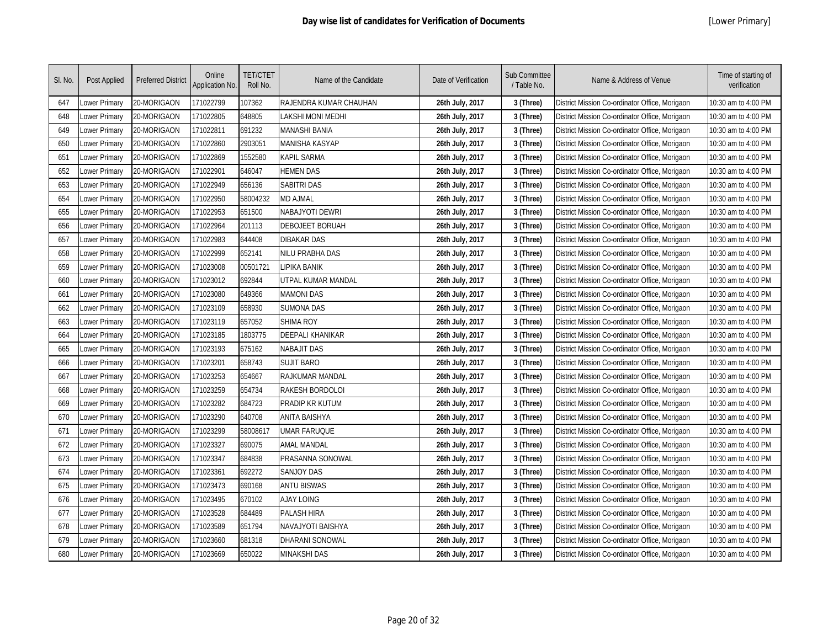| SI. No. | Post Applied  | <b>Preferred District</b> | Online<br>Application No. | <b>TET/CTET</b><br>Roll No. | Name of the Candidate   | Date of Verification | Sub Committee<br>/ Table No. | Name & Address of Venue                        | Time of starting of<br>verification |
|---------|---------------|---------------------------|---------------------------|-----------------------------|-------------------------|----------------------|------------------------------|------------------------------------------------|-------------------------------------|
| 647     | Lower Primary | 20-MORIGAON               | 171022799                 | 107362                      | RAJENDRA KUMAR CHAUHAN  | 26th July, 2017      | 3 (Three)                    | District Mission Co-ordinator Office, Morigaon | 10:30 am to 4:00 PM                 |
| 648     | Lower Primary | 20-MORIGAON               | 171022805                 | 648805                      | LAKSHI MONI MEDHI       | 26th July, 2017      | 3 (Three)                    | District Mission Co-ordinator Office, Morigaon | 10:30 am to 4:00 PM                 |
| 649     | Lower Primary | 20-MORIGAON               | 171022811                 | 691232                      | <b>MANASHI BANIA</b>    | 26th July, 2017      | 3 (Three)                    | District Mission Co-ordinator Office, Morigaon | 10:30 am to 4:00 PM                 |
| 650     | Lower Primary | 20-MORIGAON               | 171022860                 | 2903051                     | MANISHA KASYAP          | 26th July, 2017      | 3 (Three)                    | District Mission Co-ordinator Office, Morigaon | 10:30 am to 4:00 PM                 |
| 651     | Lower Primary | 20-MORIGAON               | 171022869                 | 1552580                     | Kapil Sarma             | 26th July, 2017      | 3 (Three)                    | District Mission Co-ordinator Office, Morigaon | 10:30 am to 4:00 PM                 |
| 652     | Lower Primary | 20-MORIGAON               | 171022901                 | 646047                      | <b>HEMEN DAS</b>        | 26th July, 2017      | 3 (Three)                    | District Mission Co-ordinator Office, Morigaon | 10:30 am to 4:00 PM                 |
| 653     | Lower Primary | 20-MORIGAON               | 171022949                 | 656136                      | <b>SABITRI DAS</b>      | 26th July, 2017      | 3 (Three)                    | District Mission Co-ordinator Office, Morigaon | 10:30 am to 4:00 PM                 |
| 654     | Lower Primary | 20-MORIGAON               | 171022950                 | 58004232                    | MD AJMAL                | 26th July, 2017      | 3 (Three)                    | District Mission Co-ordinator Office, Morigaon | 10:30 am to 4:00 PM                 |
| 655     | Lower Primary | 20-MORIGAON               | 171022953                 | 651500                      | NABAJYOTI DEWRI         | 26th July, 2017      | 3 (Three)                    | District Mission Co-ordinator Office, Morigaon | 10:30 am to 4:00 PM                 |
| 656     | Lower Primary | 20-MORIGAON               | 171022964                 | 201113                      | <b>DEBOJEET BORUAH</b>  | 26th July, 2017      | 3 (Three)                    | District Mission Co-ordinator Office, Morigaon | 10:30 am to 4:00 PM                 |
| 657     | Lower Primary | 20-MORIGAON               | 171022983                 | 644408                      | <b>DIBAKAR DAS</b>      | 26th July, 2017      | 3 (Three)                    | District Mission Co-ordinator Office, Morigaon | 10:30 am to 4:00 PM                 |
| 658     | Lower Primary | 20-MORIGAON               | 171022999                 | 652141                      | NILU PRABHA DAS         | 26th July, 2017      | 3 (Three)                    | District Mission Co-ordinator Office, Morigaon | 10:30 am to 4:00 PM                 |
| 659     | Lower Primary | 20-MORIGAON               | 171023008                 | 00501721                    | LIPIKA BANIK            | 26th July, 2017      | 3 (Three)                    | District Mission Co-ordinator Office, Morigaon | 10:30 am to 4:00 PM                 |
| 660     | Lower Primary | 20-MORIGAON               | 171023012                 | 692844                      | UTPAL KUMAR MANDAL      | 26th July, 2017      | 3 (Three)                    | District Mission Co-ordinator Office, Morigaon | 10:30 am to 4:00 PM                 |
| 661     | Lower Primary | 20-MORIGAON               | 171023080                 | 649366                      | <b>MAMONI DAS</b>       | 26th July, 2017      | 3 (Three)                    | District Mission Co-ordinator Office, Morigaon | 10:30 am to 4:00 PM                 |
| 662     | Lower Primary | 20-MORIGAON               | 171023109                 | 658930                      | <b>SUMONA DAS</b>       | 26th July, 2017      | 3 (Three)                    | District Mission Co-ordinator Office, Morigaon | 10:30 am to 4:00 PM                 |
| 663     | Lower Primary | 20-MORIGAON               | 171023119                 | 657052                      | <b>SHIMA ROY</b>        | 26th July, 2017      | 3 (Three)                    | District Mission Co-ordinator Office, Morigaon | 10:30 am to 4:00 PM                 |
| 664     | Lower Primary | 20-MORIGAON               | 171023185                 | 1803775                     | <b>DEEPALI KHANIKAR</b> | 26th July, 2017      | 3 (Three)                    | District Mission Co-ordinator Office, Morigaon | 10:30 am to 4:00 PM                 |
| 665     | Lower Primary | 20-MORIGAON               | 171023193                 | 675162                      | <b>NABAJIT DAS</b>      | 26th July, 2017      | 3 (Three)                    | District Mission Co-ordinator Office, Morigaon | 10:30 am to 4:00 PM                 |
| 666     | Lower Primary | 20-MORIGAON               | 171023201                 | 658743                      | <b>SUJIT BARO</b>       | 26th July, 2017      | 3 (Three)                    | District Mission Co-ordinator Office, Morigaon | 10:30 am to 4:00 PM                 |
| 667     | Lower Primary | 20-MORIGAON               | 171023253                 | 654667                      | RAJKUMAR MANDAL         | 26th July, 2017      | 3 (Three)                    | District Mission Co-ordinator Office, Morigaon | 10:30 am to 4:00 PM                 |
| 668     | Lower Primary | 20-MORIGAON               | 171023259                 | 654734                      | RAKESH BORDOLOI         | 26th July, 2017      | 3 (Three)                    | District Mission Co-ordinator Office, Morigaon | 10:30 am to 4:00 PM                 |
| 669     | Lower Primary | 20-MORIGAON               | 171023282                 | 684723                      | PRADIP KR KUTUM         | 26th July, 2017      | 3 (Three)                    | District Mission Co-ordinator Office, Morigaon | 10:30 am to 4:00 PM                 |
| 670     | Lower Primary | 20-MORIGAON               | 171023290                 | 640708                      | <b>ANITA BAISHYA</b>    | 26th July, 2017      | 3 (Three)                    | District Mission Co-ordinator Office, Morigaon | 10:30 am to 4:00 PM                 |
| 671     | Lower Primary | 20-MORIGAON               | 171023299                 | 58008617                    | <b>UMAR FARUQUE</b>     | 26th July, 2017      | 3 (Three)                    | District Mission Co-ordinator Office, Morigaon | 10:30 am to 4:00 PM                 |
| 672     | Lower Primary | 20-MORIGAON               | 171023327                 | 690075                      | <b>AMAL MANDAL</b>      | 26th July, 2017      | 3 (Three)                    | District Mission Co-ordinator Office, Morigaon | 10:30 am to 4:00 PM                 |
| 673     | Lower Primary | 20-MORIGAON               | 171023347                 | 684838                      | PRASANNA SONOWAL        | 26th July, 2017      | 3 (Three)                    | District Mission Co-ordinator Office, Morigaon | 10:30 am to 4:00 PM                 |
| 674     | Lower Primary | 20-MORIGAON               | 171023361                 | 692272                      | <b>SANJOY DAS</b>       | 26th July, 2017      | 3 (Three)                    | District Mission Co-ordinator Office, Morigaon | 10:30 am to 4:00 PM                 |
| 675     | Lower Primary | 20-MORIGAON               | 171023473                 | 690168                      | <b>ANTU BISWAS</b>      | 26th July, 2017      | 3 (Three)                    | District Mission Co-ordinator Office, Morigaon | 10:30 am to 4:00 PM                 |
| 676     | Lower Primary | 20-MORIGAON               | 171023495                 | 670102                      | <b>AJAY LOING</b>       | 26th July, 2017      | 3 (Three)                    | District Mission Co-ordinator Office, Morigaon | 10:30 am to 4:00 PM                 |
| 677     | Lower Primary | 20-MORIGAON               | 171023528                 | 684489                      | PALASH HIRA             | 26th July, 2017      | 3 (Three)                    | District Mission Co-ordinator Office, Morigaon | 10:30 am to 4:00 PM                 |
| 678     | Lower Primary | 20-MORIGAON               | 171023589                 | 651794                      | NAVAJYOTI BAISHYA       | 26th July, 2017      | 3 (Three)                    | District Mission Co-ordinator Office, Morigaon | 10:30 am to 4:00 PM                 |
| 679     | Lower Primary | 20-MORIGAON               | 171023660                 | 681318                      | DHARANI SONOWAL         | 26th July, 2017      | 3 (Three)                    | District Mission Co-ordinator Office, Morigaon | 10:30 am to 4:00 PM                 |
| 680     | Lower Primary | 20-MORIGAON               | 171023669                 | 650022                      | MINAKSHI DAS            | 26th July, 2017      | 3 (Three)                    | District Mission Co-ordinator Office, Morigaon | 10:30 am to 4:00 PM                 |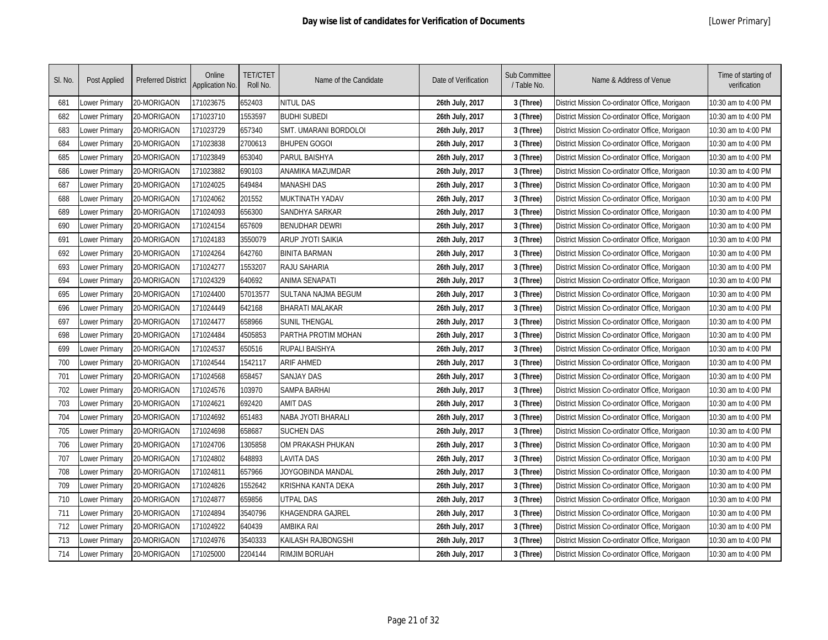| SI. No. | Post Applied  | <b>Preferred District</b> | Online<br>Application No. | <b>TET/CTET</b><br>Roll No. | Name of the Candidate        | Date of Verification | Sub Committee<br>/ Table No. | Name & Address of Venue                        | Time of starting of<br>verification |
|---------|---------------|---------------------------|---------------------------|-----------------------------|------------------------------|----------------------|------------------------------|------------------------------------------------|-------------------------------------|
| 681     | Lower Primary | 20-MORIGAON               | 171023675                 | 652403                      | NITUL DAS                    | 26th July, 2017      | 3 (Three)                    | District Mission Co-ordinator Office, Morigaon | 10:30 am to 4:00 PM                 |
| 682     | Lower Primary | 20-MORIGAON               | 171023710                 | 1553597                     | <b>BUDHI SUBEDI</b>          | 26th July, 2017      | 3 (Three)                    | District Mission Co-ordinator Office, Morigaon | 10:30 am to 4:00 PM                 |
| 683     | Lower Primary | 20-MORIGAON               | 171023729                 | 657340                      | <b>SMT. UMARANI BORDOLOI</b> | 26th July, 2017      | 3 (Three)                    | District Mission Co-ordinator Office, Morigaon | 10:30 am to 4:00 PM                 |
| 684     | Lower Primary | 20-MORIGAON               | 171023838                 | 2700613                     | <b>BHUPEN GOGOI</b>          | 26th July, 2017      | 3 (Three)                    | District Mission Co-ordinator Office, Morigaon | 10:30 am to 4:00 PM                 |
| 685     | Lower Primary | 20-MORIGAON               | 171023849                 | 653040                      | PARUL BAISHYA                | 26th July, 2017      | 3 (Three)                    | District Mission Co-ordinator Office, Morigaon | 10:30 am to 4:00 PM                 |
| 686     | Lower Primary | 20-MORIGAON               | 171023882                 | 690103                      | ANAMIKA MAZUMDAR             | 26th July, 2017      | 3 (Three)                    | District Mission Co-ordinator Office, Morigaon | 10:30 am to 4:00 PM                 |
| 687     | Lower Primary | 20-MORIGAON               | 171024025                 | 649484                      | <b>MANASHI DAS</b>           | 26th July, 2017      | 3 (Three)                    | District Mission Co-ordinator Office, Morigaon | 10:30 am to 4:00 PM                 |
| 688     | Lower Primary | 20-MORIGAON               | 171024062                 | 201552                      | MUKTINATH YADAV              | 26th July, 2017      | 3 (Three)                    | District Mission Co-ordinator Office, Morigaon | 10:30 am to 4:00 PM                 |
| 689     | Lower Primary | 20-MORIGAON               | 171024093                 | 656300                      | SANDHYA SARKAR               | 26th July, 2017      | 3 (Three)                    | District Mission Co-ordinator Office, Morigaon | 10:30 am to 4:00 PM                 |
| 690     | Lower Primary | 20-MORIGAON               | 171024154                 | 657609                      | <b>BENUDHAR DEWRI</b>        | 26th July, 2017      | 3 (Three)                    | District Mission Co-ordinator Office, Morigaon | 10:30 am to 4:00 PM                 |
| 691     | Lower Primary | 20-MORIGAON               | 171024183                 | 3550079                     | <b>ARUP JYOTI SAIKIA</b>     | 26th July, 2017      | 3 (Three)                    | District Mission Co-ordinator Office, Morigaon | 10:30 am to 4:00 PM                 |
| 692     | Lower Primary | 20-MORIGAON               | 171024264                 | 642760                      | <b>BINITA BARMAN</b>         | 26th July, 2017      | 3 (Three)                    | District Mission Co-ordinator Office, Morigaon | 10:30 am to 4:00 PM                 |
| 693     | Lower Primary | 20-MORIGAON               | 171024277                 | 1553207                     | RAJU SAHARIA                 | 26th July, 2017      | 3 (Three)                    | District Mission Co-ordinator Office, Morigaon | 10:30 am to 4:00 PM                 |
| 694     | Lower Primary | 20-MORIGAON               | 171024329                 | 640692                      | <b>ANIMA SENAPATI</b>        | 26th July, 2017      | 3 (Three)                    | District Mission Co-ordinator Office, Morigaon | 10:30 am to 4:00 PM                 |
| 695     | Lower Primary | 20-MORIGAON               | 171024400                 | 57013577                    | SULTANA NAJMA BEGUM          | 26th July, 2017      | 3 (Three)                    | District Mission Co-ordinator Office, Morigaon | 10:30 am to 4:00 PM                 |
| 696     | Lower Primary | 20-MORIGAON               | 171024449                 | 642168                      | <b>BHARATI MALAKAR</b>       | 26th July, 2017      | 3 (Three)                    | District Mission Co-ordinator Office, Morigaon | 10:30 am to 4:00 PM                 |
| 697     | Lower Primary | 20-MORIGAON               | 171024477                 | 658966                      | <b>SUNIL THENGAL</b>         | 26th July, 2017      | 3 (Three)                    | District Mission Co-ordinator Office, Morigaon | 10:30 am to 4:00 PM                 |
| 698     | Lower Primary | 20-MORIGAON               | 171024484                 | 4505853                     | PARTHA PROTIM MOHAN          | 26th July, 2017      | 3 (Three)                    | District Mission Co-ordinator Office, Morigaon | 10:30 am to 4:00 PM                 |
| 699     | Lower Primary | 20-MORIGAON               | 171024537                 | 650516                      | <b>RUPALI BAISHYA</b>        | 26th July, 2017      | 3 (Three)                    | District Mission Co-ordinator Office, Morigaon | 10:30 am to 4:00 PM                 |
| 700     | Lower Primary | 20-MORIGAON               | 171024544                 | 1542117                     | <b>ARIF AHMED</b>            | 26th July, 2017      | 3 (Three)                    | District Mission Co-ordinator Office, Morigaon | 10:30 am to 4:00 PM                 |
| 701     | Lower Primary | 20-MORIGAON               | 171024568                 | 658457                      | <b>SANJAY DAS</b>            | 26th July, 2017      | 3 (Three)                    | District Mission Co-ordinator Office, Morigaon | 10:30 am to 4:00 PM                 |
| 702     | Lower Primary | 20-MORIGAON               | 171024576                 | 103970                      | SAMPA BARHAI                 | 26th July, 2017      | 3 (Three)                    | District Mission Co-ordinator Office, Morigaon | 10:30 am to 4:00 PM                 |
| 703     | Lower Primary | 20-MORIGAON               | 171024621                 | 692420                      | <b>AMIT DAS</b>              | 26th July, 2017      | 3 (Three)                    | District Mission Co-ordinator Office, Morigaon | 10:30 am to 4:00 PM                 |
| 704     | Lower Primary | 20-MORIGAON               | 171024692                 | 651483                      | NABA JYOTI BHARALI           | 26th July, 2017      | 3 (Three)                    | District Mission Co-ordinator Office, Morigaon | 10:30 am to 4:00 PM                 |
| 705     | Lower Primary | 20-MORIGAON               | 171024698                 | 658687                      | <b>SUCHEN DAS</b>            | 26th July, 2017      | 3 (Three)                    | District Mission Co-ordinator Office, Morigaon | 10:30 am to 4:00 PM                 |
| 706     | Lower Primary | 20-MORIGAON               | 171024706                 | 1305858                     | OM PRAKASH PHUKAN            | 26th July, 2017      | 3 (Three)                    | District Mission Co-ordinator Office, Morigaon | 10:30 am to 4:00 PM                 |
| 707     | Lower Primary | 20-MORIGAON               | 171024802                 | 648893                      | LAVITA DAS                   | 26th July, 2017      | 3 (Three)                    | District Mission Co-ordinator Office, Morigaon | 10:30 am to 4:00 PM                 |
| 708     | Lower Primary | 20-MORIGAON               | 171024811                 | 657966                      | JOYGOBINDA MANDAL            | 26th July, 2017      | 3 (Three)                    | District Mission Co-ordinator Office, Morigaon | 10:30 am to 4:00 PM                 |
| 709     | Lower Primary | 20-MORIGAON               | 171024826                 | 1552642                     | KRISHNA KANTA DEKA           | 26th July, 2017      | 3 (Three)                    | District Mission Co-ordinator Office, Morigaon | 10:30 am to 4:00 PM                 |
| 710     | Lower Primary | 20-MORIGAON               | 171024877                 | 659856                      | <b>UTPAL DAS</b>             | 26th July, 2017      | 3 (Three)                    | District Mission Co-ordinator Office, Morigaon | 10:30 am to 4:00 PM                 |
| 711     | Lower Primary | 20-MORIGAON               | 171024894                 | 3540796                     | KHAGENDRA GAJREL             | 26th July, 2017      | 3 (Three)                    | District Mission Co-ordinator Office, Morigaon | 10:30 am to 4:00 PM                 |
| 712     | Lower Primary | 20-MORIGAON               | 171024922                 | 640439                      | <b>AMBIKA RAI</b>            | 26th July, 2017      | 3 (Three)                    | District Mission Co-ordinator Office, Morigaon | 10:30 am to 4:00 PM                 |
| 713     | Lower Primary | 20-MORIGAON               | 171024976                 | 3540333                     | KAILASH RAJBONGSHI           | 26th July, 2017      | 3 (Three)                    | District Mission Co-ordinator Office, Morigaon | 10:30 am to 4:00 PM                 |
| 714     | Lower Primary | 20-MORIGAON               | 171025000                 | 2204144                     | <b>RIMJIM BORUAH</b>         | 26th July, 2017      | 3 (Three)                    | District Mission Co-ordinator Office, Morigaon | 10:30 am to 4:00 PM                 |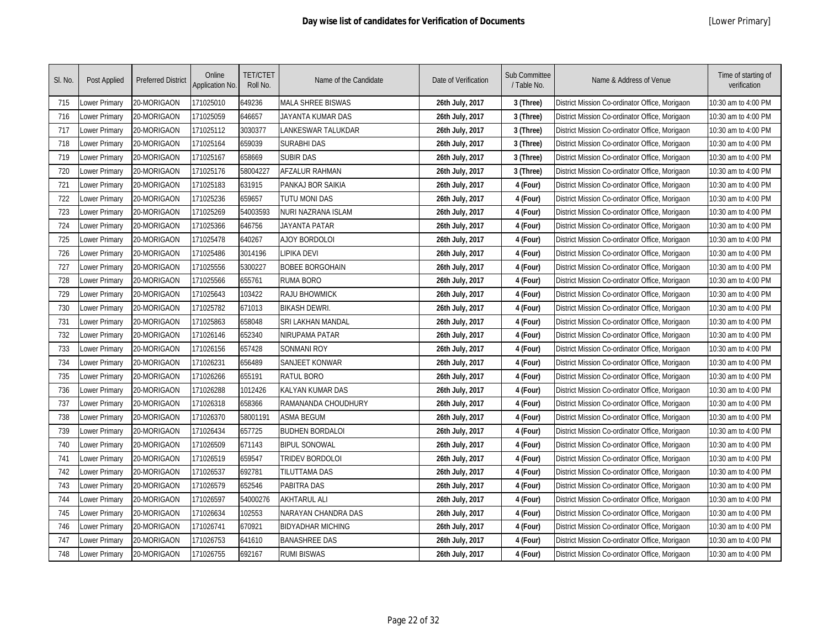| SI. No. | Post Applied  | <b>Preferred District</b> | Online<br>Application No. | <b>TET/CTET</b><br>Roll No. | Name of the Candidate    | Date of Verification | Sub Committee<br>/ Table No. | Name & Address of Venue                        | Time of starting of<br>verification |
|---------|---------------|---------------------------|---------------------------|-----------------------------|--------------------------|----------------------|------------------------------|------------------------------------------------|-------------------------------------|
| 715     | ower Primary  | 20-MORIGAON               | 171025010                 | 649236                      | MALA SHREE BISWAS        | 26th July, 2017      | 3 (Three)                    | District Mission Co-ordinator Office, Morigaon | 10:30 am to 4:00 PM                 |
| 716     | ower Primary  | 20-MORIGAON               | 171025059                 | 646657                      | JAYANTA KUMAR DAS        | 26th July, 2017      | 3 (Three)                    | District Mission Co-ordinator Office, Morigaon | 10:30 am to 4:00 PM                 |
| 717     | Lower Primary | 20-MORIGAON               | 171025112                 | 3030377                     | LANKESWAR TALUKDAR       | 26th July, 2017      | 3 (Three)                    | District Mission Co-ordinator Office, Morigaon | 10:30 am to 4:00 PM                 |
| 718     | Lower Primary | 20-MORIGAON               | 171025164                 | 659039                      | SURABHI DAS              | 26th July, 2017      | 3 (Three)                    | District Mission Co-ordinator Office, Morigaon | 10:30 am to 4:00 PM                 |
| 719     | Lower Primary | 20-MORIGAON               | 171025167                 | 658669                      | <b>SUBIR DAS</b>         | 26th July, 2017      | 3 (Three)                    | District Mission Co-ordinator Office, Morigaon | 10:30 am to 4:00 PM                 |
| 720     | Lower Primary | 20-MORIGAON               | 171025176                 | 58004227                    | <b>AFZALUR RAHMAN</b>    | 26th July, 2017      | 3 (Three)                    | District Mission Co-ordinator Office, Morigaon | 10:30 am to 4:00 PM                 |
| 721     | Lower Primary | 20-MORIGAON               | 171025183                 | 631915                      | PANKAJ BOR SAIKIA        | 26th July, 2017      | 4 (Four)                     | District Mission Co-ordinator Office, Morigaon | 10:30 am to 4:00 PM                 |
| 722     | Lower Primary | 20-MORIGAON               | 171025236                 | 659657                      | TUTU MONI DAS            | 26th July, 2017      | 4 (Four)                     | District Mission Co-ordinator Office, Morigaon | 10:30 am to 4:00 PM                 |
| 723     | Lower Primary | 20-MORIGAON               | 171025269                 | 54003593                    | NURI NAZRANA ISLAM       | 26th July, 2017      | 4 (Four)                     | District Mission Co-ordinator Office, Morigaon | 10:30 am to 4:00 PM                 |
| 724     | Lower Primary | 20-MORIGAON               | 171025366                 | 646756                      | <b>JAYANTA PATAR</b>     | 26th July, 2017      | 4 (Four)                     | District Mission Co-ordinator Office, Morigaon | 10:30 am to 4:00 PM                 |
| 725     | Lower Primary | 20-MORIGAON               | 171025478                 | 640267                      | <b>AJOY BORDOLOI</b>     | 26th July, 2017      | 4 (Four)                     | District Mission Co-ordinator Office, Morigaon | 10:30 am to 4:00 PM                 |
| 726     | Lower Primary | 20-MORIGAON               | 171025486                 | 3014196                     | LIPIKA DEVI              | 26th July, 2017      | 4 (Four)                     | District Mission Co-ordinator Office, Morigaon | 10:30 am to 4:00 PM                 |
| 727     | Lower Primary | 20-MORIGAON               | 171025556                 | 5300227                     | <b>BOBEE BORGOHAIN</b>   | 26th July, 2017      | 4 (Four)                     | District Mission Co-ordinator Office, Morigaon | 10:30 am to 4:00 PM                 |
| 728     | Lower Primary | 20-MORIGAON               | 171025566                 | 655761                      | <b>RUMA BORO</b>         | 26th July, 2017      | 4 (Four)                     | District Mission Co-ordinator Office, Morigaon | 10:30 am to 4:00 PM                 |
| 729     | Lower Primary | 20-MORIGAON               | 171025643                 | 103422                      | <b>RAJU BHOWMICK</b>     | 26th July, 2017      | 4 (Four)                     | District Mission Co-ordinator Office, Morigaon | 10:30 am to 4:00 PM                 |
| 730     | Lower Primary | 20-MORIGAON               | 171025782                 | 671013                      | <b>BIKASH DEWRI</b>      | 26th July, 2017      | 4 (Four)                     | District Mission Co-ordinator Office, Morigaon | 10:30 am to 4:00 PM                 |
| 731     | Lower Primary | 20-MORIGAON               | 171025863                 | 658048                      | SRI LAKHAN MANDAL        | 26th July, 2017      | 4 (Four)                     | District Mission Co-ordinator Office, Morigaon | 10:30 am to 4:00 PM                 |
| 732     | Lower Primary | 20-MORIGAON               | 171026146                 | 652340                      | NIRUPAMA PATAR           | 26th July, 2017      | 4 (Four)                     | District Mission Co-ordinator Office, Morigaon | 10:30 am to 4:00 PM                 |
| 733     | Lower Primary | 20-MORIGAON               | 171026156                 | 657428                      | <b>SONMANI ROY</b>       | 26th July, 2017      | 4 (Four)                     | District Mission Co-ordinator Office, Morigaon | 10:30 am to 4:00 PM                 |
| 734     | Lower Primary | 20-MORIGAON               | 171026231                 | 656489                      | <b>SANJEET KONWAR</b>    | 26th July, 2017      | 4 (Four)                     | District Mission Co-ordinator Office, Morigaon | 10:30 am to 4:00 PM                 |
| 735     | Lower Primary | 20-MORIGAON               | 171026266                 | 655191                      | RATUL BORO               | 26th July, 2017      | 4 (Four)                     | District Mission Co-ordinator Office, Morigaon | 10:30 am to 4:00 PM                 |
| 736     | Lower Primary | 20-MORIGAON               | 171026288                 | 1012426                     | KALYAN KUMAR DAS         | 26th July, 2017      | 4 (Four)                     | District Mission Co-ordinator Office, Morigaon | 10:30 am to 4:00 PM                 |
| 737     | Lower Primary | 20-MORIGAON               | 171026318                 | 658366                      | RAMANANDA CHOUDHURY      | 26th July, 2017      | 4 (Four)                     | District Mission Co-ordinator Office, Morigaon | 10:30 am to 4:00 PM                 |
| 738     | Lower Primary | 20-MORIGAON               | 171026370                 | 58001191                    | <b>ASMA BEGUM</b>        | 26th July, 2017      | 4 (Four)                     | District Mission Co-ordinator Office, Morigaon | 10:30 am to 4:00 PM                 |
| 739     | Lower Primary | 20-MORIGAON               | 171026434                 | 657725                      | <b>BUDHEN BORDALOI</b>   | 26th July, 2017      | 4 (Four)                     | District Mission Co-ordinator Office, Morigaon | 10:30 am to 4:00 PM                 |
| 740     | Lower Primary | 20-MORIGAON               | 171026509                 | 671143                      | <b>BIPUL SONOWAL</b>     | 26th July, 2017      | 4 (Four)                     | District Mission Co-ordinator Office, Morigaon | 10:30 am to 4:00 PM                 |
| 741     | Lower Primary | 20-MORIGAON               | 171026519                 | 659547                      | TRIDEV BORDOLOI          | 26th July, 2017      | 4 (Four)                     | District Mission Co-ordinator Office, Morigaon | 10:30 am to 4:00 PM                 |
| 742     | Lower Primary | 20-MORIGAON               | 171026537                 | 692781                      | TILUTTAMA DAS            | 26th July, 2017      | 4 (Four)                     | District Mission Co-ordinator Office, Morigaon | 10:30 am to 4:00 PM                 |
| 743     | Lower Primary | 20-MORIGAON               | 171026579                 | 652546                      | <b>PABITRA DAS</b>       | 26th July, 2017      | 4 (Four)                     | District Mission Co-ordinator Office, Morigaon | 10:30 am to 4:00 PM                 |
| 744     | Lower Primary | 20-MORIGAON               | 171026597                 | 54000276                    | <b>AKHTARUL ALI</b>      | 26th July, 2017      | 4 (Four)                     | District Mission Co-ordinator Office, Morigaon | 10:30 am to 4:00 PM                 |
| 745     | Lower Primary | 20-MORIGAON               | 171026634                 | 102553                      | NARAYAN CHANDRA DAS      | 26th July, 2017      | 4 (Four)                     | District Mission Co-ordinator Office, Morigaon | 10:30 am to 4:00 PM                 |
| 746     | Lower Primary | 20-MORIGAON               | 171026741                 | 670921                      | <b>BIDYADHAR MICHING</b> | 26th July, 2017      | 4 (Four)                     | District Mission Co-ordinator Office, Morigaon | 10:30 am to 4:00 PM                 |
| 747     | ower Primary  | 20-MORIGAON               | 171026753                 | 641610                      | <b>BANASHREE DAS</b>     | 26th July, 2017      | 4 (Four)                     | District Mission Co-ordinator Office, Morigaon | 10:30 am to 4:00 PM                 |
| 748     | Lower Primary | 20-MORIGAON               | 171026755                 | 692167                      | <b>RUMI BISWAS</b>       | 26th July, 2017      | 4 (Four)                     | District Mission Co-ordinator Office, Morigaon | 10:30 am to 4:00 PM                 |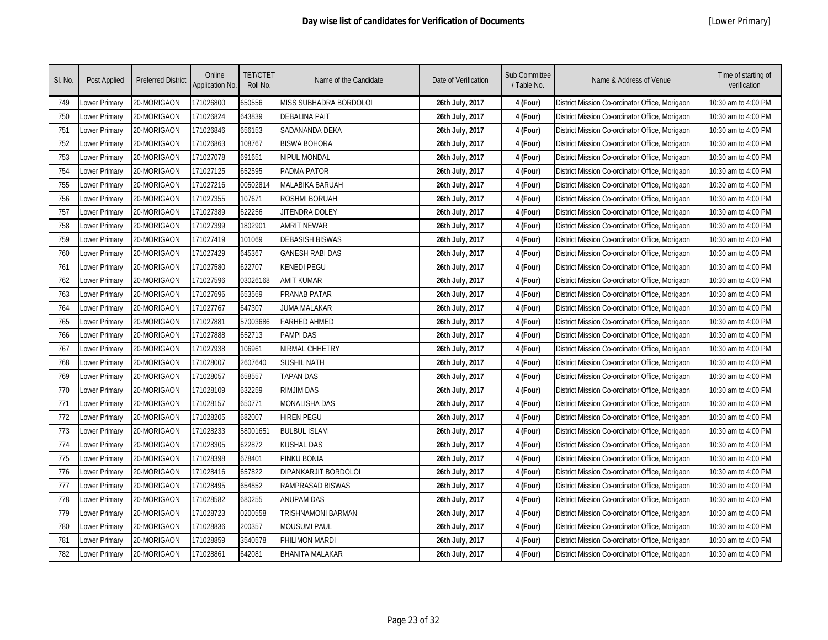| SI. No. | Post Applied  | <b>Preferred District</b> | Online<br>Application No. | <b>TET/CTET</b><br>Roll No. | Name of the Candidate  | Date of Verification | Sub Committee<br>/ Table No. | Name & Address of Venue                        | Time of starting of<br>verification |
|---------|---------------|---------------------------|---------------------------|-----------------------------|------------------------|----------------------|------------------------------|------------------------------------------------|-------------------------------------|
| 749     | Lower Primary | 20-MORIGAON               | 171026800                 | 650556                      | MISS SUBHADRA BORDOLOI | 26th July, 2017      | 4 (Four)                     | District Mission Co-ordinator Office, Morigaon | 10:30 am to 4:00 PM                 |
| 750     | Lower Primary | 20-MORIGAON               | 171026824                 | 643839                      | <b>DEBALINA PAIT</b>   | 26th July, 2017      | 4 (Four)                     | District Mission Co-ordinator Office, Morigaon | 10:30 am to 4:00 PM                 |
| 751     | Lower Primary | 20-MORIGAON               | 171026846                 | 656153                      | SADANANDA DEKA         | 26th July, 2017      | 4 (Four)                     | District Mission Co-ordinator Office, Morigaon | 10:30 am to 4:00 PM                 |
| 752     | Lower Primary | 20-MORIGAON               | 171026863                 | 108767                      | <b>BISWA BOHORA</b>    | 26th July, 2017      | 4 (Four)                     | District Mission Co-ordinator Office, Morigaon | 10:30 am to 4:00 PM                 |
| 753     | Lower Primary | 20-MORIGAON               | 171027078                 | 691651                      | NIPUL MONDAL           | 26th July, 2017      | 4 (Four)                     | District Mission Co-ordinator Office, Morigaon | 10:30 am to 4:00 PM                 |
| 754     | Lower Primary | 20-MORIGAON               | 171027125                 | 652595                      | PADMA PATOR            | 26th July, 2017      | 4 (Four)                     | District Mission Co-ordinator Office, Morigaon | 10:30 am to 4:00 PM                 |
| 755     | Lower Primary | 20-MORIGAON               | 171027216                 | 00502814                    | MALABIKA BARUAH        | 26th July, 2017      | 4 (Four)                     | District Mission Co-ordinator Office, Morigaon | 10:30 am to 4:00 PM                 |
| 756     | Lower Primary | 20-MORIGAON               | 171027355                 | 107671                      | ROSHMI BORUAH          | 26th July, 2017      | 4 (Four)                     | District Mission Co-ordinator Office, Morigaon | 10:30 am to 4:00 PM                 |
| 757     | Lower Primary | 20-MORIGAON               | 171027389                 | 622256                      | <b>JITENDRA DOLEY</b>  | 26th July, 2017      | 4 (Four)                     | District Mission Co-ordinator Office, Morigaon | 10:30 am to 4:00 PM                 |
| 758     | Lower Primary | 20-MORIGAON               | 171027399                 | 1802901                     | <b>AMRIT NEWAR</b>     | 26th July, 2017      | 4 (Four)                     | District Mission Co-ordinator Office, Morigaon | 10:30 am to 4:00 PM                 |
| 759     | Lower Primary | 20-MORIGAON               | 171027419                 | 101069                      | <b>DEBASISH BISWAS</b> | 26th July, 2017      | 4 (Four)                     | District Mission Co-ordinator Office, Morigaon | 10:30 am to 4:00 PM                 |
| 760     | Lower Primary | 20-MORIGAON               | 171027429                 | 645367                      | <b>GANESH RABI DAS</b> | 26th July, 2017      | 4 (Four)                     | District Mission Co-ordinator Office, Morigaon | 10:30 am to 4:00 PM                 |
| 761     | Lower Primary | 20-MORIGAON               | 171027580                 | 622707                      | KENEDI PEGU            | 26th July, 2017      | 4 (Four)                     | District Mission Co-ordinator Office, Morigaon | 10:30 am to 4:00 PM                 |
| 762     | Lower Primary | 20-MORIGAON               | 171027596                 | 03026168                    | <b>AMIT KUMAR</b>      | 26th July, 2017      | 4 (Four)                     | District Mission Co-ordinator Office, Morigaon | 10:30 am to 4:00 PM                 |
| 763     | Lower Primary | 20-MORIGAON               | 171027696                 | 653569                      | PRANAB PATAR           | 26th July, 2017      | 4 (Four)                     | District Mission Co-ordinator Office, Morigaon | 10:30 am to 4:00 PM                 |
| 764     | Lower Primary | 20-MORIGAON               | 171027767                 | 647307                      | <b>JUMA MALAKAR</b>    | 26th July, 2017      | 4 (Four)                     | District Mission Co-ordinator Office, Morigaon | 10:30 am to 4:00 PM                 |
| 765     | Lower Primary | 20-MORIGAON               | 171027881                 | 57003686                    | <b>FARHED AHMED</b>    | 26th July, 2017      | 4 (Four)                     | District Mission Co-ordinator Office, Morigaon | 10:30 am to 4:00 PM                 |
| 766     | Lower Primary | 20-MORIGAON               | 171027888                 | 652713                      | <b>PAMPI DAS</b>       | 26th July, 2017      | 4 (Four)                     | District Mission Co-ordinator Office, Morigaon | 10:30 am to 4:00 PM                 |
| 767     | Lower Primary | 20-MORIGAON               | 171027938                 | 106961                      | NIRMAL CHHETRY         | 26th July, 2017      | 4 (Four)                     | District Mission Co-ordinator Office, Morigaon | 10:30 am to 4:00 PM                 |
| 768     | Lower Primary | 20-MORIGAON               | 171028007                 | 2607640                     | <b>SUSHIL NATH</b>     | 26th July, 2017      | 4 (Four)                     | District Mission Co-ordinator Office, Morigaon | 10:30 am to 4:00 PM                 |
| 769     | Lower Primary | 20-MORIGAON               | 171028057                 | 658557                      | <b>TAPAN DAS</b>       | 26th July, 2017      | 4 (Four)                     | District Mission Co-ordinator Office, Morigaon | 10:30 am to 4:00 PM                 |
| 770     | Lower Primary | 20-MORIGAON               | 171028109                 | 632259                      | <b>RIMJIM DAS</b>      | 26th July, 2017      | 4 (Four)                     | District Mission Co-ordinator Office, Morigaon | 10:30 am to 4:00 PM                 |
| 771     | Lower Primary | 20-MORIGAON               | 171028157                 | 650771                      | <b>MONALISHA DAS</b>   | 26th July, 2017      | 4 (Four)                     | District Mission Co-ordinator Office, Morigaon | 10:30 am to 4:00 PM                 |
| 772     | Lower Primary | 20-MORIGAON               | 171028205                 | 682007                      | <b>HIREN PEGU</b>      | 26th July, 2017      | 4 (Four)                     | District Mission Co-ordinator Office, Morigaon | 10:30 am to 4:00 PM                 |
| 773     | Lower Primary | 20-MORIGAON               | 171028233                 | 58001651                    | <b>BULBUL ISLAM</b>    | 26th July, 2017      | 4 (Four)                     | District Mission Co-ordinator Office, Morigaon | 10:30 am to 4:00 PM                 |
| 774     | Lower Primary | 20-MORIGAON               | 171028305                 | 622872                      | KUSHAL DAS             | 26th July, 2017      | 4 (Four)                     | District Mission Co-ordinator Office, Morigaon | 10:30 am to 4:00 PM                 |
| 775     | Lower Primary | 20-MORIGAON               | 171028398                 | 678401                      | PINKU BONIA            | 26th July, 2017      | 4 (Four)                     | District Mission Co-ordinator Office, Morigaon | 10:30 am to 4:00 PM                 |
| 776     | Lower Primary | 20-MORIGAON               | 171028416                 | 657822                      | DIPANKARJIT BORDOLOI   | 26th July, 2017      | 4 (Four)                     | District Mission Co-ordinator Office, Morigaon | 10:30 am to 4:00 PM                 |
| 777     | Lower Primary | 20-MORIGAON               | 171028495                 | 654852                      | RAMPRASAD BISWAS       | 26th July, 2017      | 4 (Four)                     | District Mission Co-ordinator Office, Morigaon | 10:30 am to 4:00 PM                 |
| 778     | Lower Primary | 20-MORIGAON               | 171028582                 | 680255                      | <b>ANUPAM DAS</b>      | 26th July, 2017      | 4 (Four)                     | District Mission Co-ordinator Office, Morigaon | 10:30 am to 4:00 PM                 |
| 779     | Lower Primary | 20-MORIGAON               | 171028723                 | 0200558                     | TRISHNAMONI BARMAN     | 26th July, 2017      | 4 (Four)                     | District Mission Co-ordinator Office, Morigaon | 10:30 am to 4:00 PM                 |
| 780     | Lower Primary | 20-MORIGAON               | 171028836                 | 200357                      | MOUSUMI PAUL           | 26th July, 2017      | 4 (Four)                     | District Mission Co-ordinator Office, Morigaon | 10:30 am to 4:00 PM                 |
| 781     | Lower Primary | 20-MORIGAON               | 171028859                 | 3540578                     | PHILIMON MARDI         | 26th July, 2017      | 4 (Four)                     | District Mission Co-ordinator Office, Morigaon | 10:30 am to 4:00 PM                 |
| 782     | Lower Primary | 20-MORIGAON               | 171028861                 | 642081                      | <b>BHANITA MALAKAR</b> | 26th July, 2017      | 4 (Four)                     | District Mission Co-ordinator Office, Morigaon | 10:30 am to 4:00 PM                 |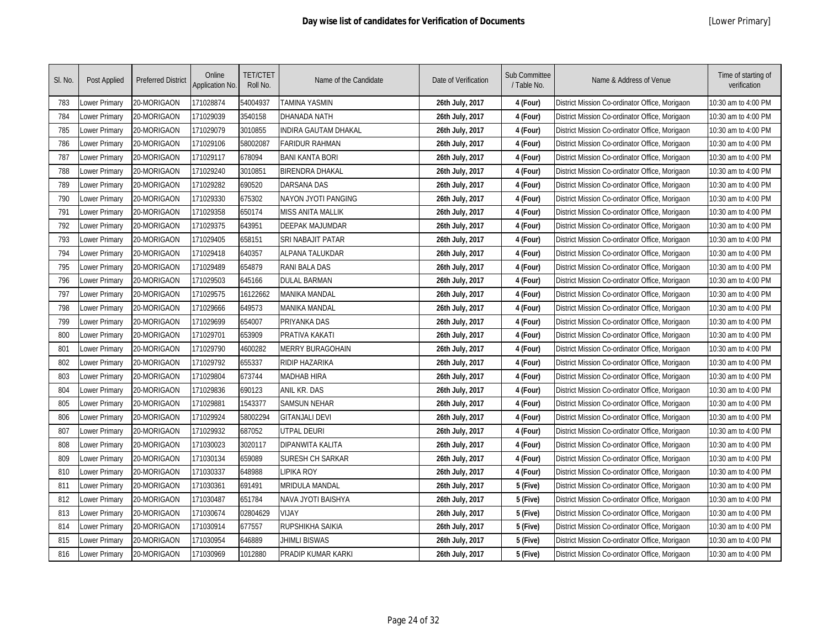| SI. No. | Post Applied  | <b>Preferred District</b> | Online<br>Application No. | <b>TET/CTET</b><br>Roll No. | Name of the Candidate   | Date of Verification | Sub Committee<br>/ Table No. | Name & Address of Venue                        | Time of starting of<br>verification |
|---------|---------------|---------------------------|---------------------------|-----------------------------|-------------------------|----------------------|------------------------------|------------------------------------------------|-------------------------------------|
| 783     | Lower Primary | 20-MORIGAON               | 171028874                 | 54004937                    | TAMINA YASMIN           | 26th July, 2017      | 4 (Four)                     | District Mission Co-ordinator Office, Morigaon | 10:30 am to 4:00 PM                 |
| 784     | Lower Primary | 20-MORIGAON               | 171029039                 | 3540158                     | DHANADA NATH            | 26th July, 2017      | 4 (Four)                     | District Mission Co-ordinator Office, Morigaon | 10:30 am to 4:00 PM                 |
| 785     | Lower Primary | 20-MORIGAON               | 171029079                 | 3010855                     | INDIRA GAUTAM DHAKAL    | 26th July, 2017      | 4 (Four)                     | District Mission Co-ordinator Office, Morigaon | 10:30 am to 4:00 PM                 |
| 786     | Lower Primary | 20-MORIGAON               | 171029106                 | 58002087                    | <b>FARIDUR RAHMAN</b>   | 26th July, 2017      | 4 (Four)                     | District Mission Co-ordinator Office, Morigaon | 10:30 am to 4:00 PM                 |
| 787     | Lower Primary | 20-MORIGAON               | 171029117                 | 678094                      | <b>BANI KANTA BORI</b>  | 26th July, 2017      | 4 (Four)                     | District Mission Co-ordinator Office, Morigaon | 10:30 am to 4:00 PM                 |
| 788     | Lower Primary | 20-MORIGAON               | 171029240                 | 3010851                     | <b>BIRENDRA DHAKAL</b>  | 26th July, 2017      | 4 (Four)                     | District Mission Co-ordinator Office, Morigaon | 10:30 am to 4:00 PM                 |
| 789     | Lower Primary | 20-MORIGAON               | 171029282                 | 690520                      | <b>DARSANA DAS</b>      | 26th July, 2017      | 4 (Four)                     | District Mission Co-ordinator Office, Morigaon | 10:30 am to 4:00 PM                 |
| 790     | Lower Primary | 20-MORIGAON               | 171029330                 | 675302                      | NAYON JYOTI PANGING     | 26th July, 2017      | 4 (Four)                     | District Mission Co-ordinator Office, Morigaon | 10:30 am to 4:00 PM                 |
| 791     | Lower Primary | 20-MORIGAON               | 171029358                 | 650174                      | MISS ANITA MALLIK       | 26th July, 2017      | 4 (Four)                     | District Mission Co-ordinator Office, Morigaon | 10:30 am to 4:00 PM                 |
| 792     | Lower Primary | 20-MORIGAON               | 171029375                 | 643951                      | <b>DEEPAK MAJUMDAR</b>  | 26th July, 2017      | 4 (Four)                     | District Mission Co-ordinator Office, Morigaon | 10:30 am to 4:00 PM                 |
| 793     | Lower Primary | 20-MORIGAON               | 171029405                 | 658151                      | SRI NABAJIT PATAR       | 26th July, 2017      | 4 (Four)                     | District Mission Co-ordinator Office, Morigaon | 10:30 am to 4:00 PM                 |
| 794     | Lower Primary | 20-MORIGAON               | 171029418                 | 640357                      | <b>ALPANA TALUKDAR</b>  | 26th July, 2017      | 4 (Four)                     | District Mission Co-ordinator Office, Morigaon | 10:30 am to 4:00 PM                 |
| 795     | Lower Primary | 20-MORIGAON               | 171029489                 | 654879                      | RANI BALA DAS           | 26th July, 2017      | 4 (Four)                     | District Mission Co-ordinator Office, Morigaon | 10:30 am to 4:00 PM                 |
| 796     | Lower Primary | 20-MORIGAON               | 171029503                 | 645166                      | <b>DULAL BARMAN</b>     | 26th July, 2017      | 4 (Four)                     | District Mission Co-ordinator Office, Morigaon | 10:30 am to 4:00 PM                 |
| 797     | Lower Primary | 20-MORIGAON               | 171029575                 | 16122662                    | MANIKA MANDAL           | 26th July, 2017      | 4 (Four)                     | District Mission Co-ordinator Office, Morigaon | 10:30 am to 4:00 PM                 |
| 798     | Lower Primary | 20-MORIGAON               | 171029666                 | 649573                      | MANIKA MANDAL           | 26th July, 2017      | 4 (Four)                     | District Mission Co-ordinator Office, Morigaon | 10:30 am to 4:00 PM                 |
| 799     | Lower Primary | 20-MORIGAON               | 171029699                 | 654007                      | PRIYANKA DAS            | 26th July, 2017      | 4 (Four)                     | District Mission Co-ordinator Office, Morigaon | 10:30 am to 4:00 PM                 |
| 800     | Lower Primary | 20-MORIGAON               | 171029701                 | 653909                      | PRATIVA KAKATI          | 26th July, 2017      | 4 (Four)                     | District Mission Co-ordinator Office, Morigaon | 10:30 am to 4:00 PM                 |
| 801     | Lower Primary | 20-MORIGAON               | 171029790                 | 4600282                     | <b>MERRY BURAGOHAIN</b> | 26th July, 2017      | 4 (Four)                     | District Mission Co-ordinator Office, Morigaon | 10:30 am to 4:00 PM                 |
| 802     | Lower Primary | 20-MORIGAON               | 171029792                 | 655337                      | <b>RIDIP HAZARIKA</b>   | 26th July, 2017      | 4 (Four)                     | District Mission Co-ordinator Office, Morigaon | 10:30 am to 4:00 PM                 |
| 803     | Lower Primary | 20-MORIGAON               | 171029804                 | 673744                      | MADHAB HIRA             | 26th July, 2017      | 4 (Four)                     | District Mission Co-ordinator Office, Morigaon | 10:30 am to 4:00 PM                 |
| 804     | Lower Primary | 20-MORIGAON               | 171029836                 | 690123                      | ANIL KR. DAS            | 26th July, 2017      | 4 (Four)                     | District Mission Co-ordinator Office, Morigaon | 10:30 am to 4:00 PM                 |
| 805     | Lower Primary | 20-MORIGAON               | 171029881                 | 1543377                     | <b>SAMSUN NEHAR</b>     | 26th July, 2017      | 4 (Four)                     | District Mission Co-ordinator Office, Morigaon | 10:30 am to 4:00 PM                 |
| 806     | Lower Primary | 20-MORIGAON               | 171029924                 | 58002294                    | <b>GITANJALI DEVI</b>   | 26th July, 2017      | 4 (Four)                     | District Mission Co-ordinator Office, Morigaon | 10:30 am to 4:00 PM                 |
| 807     | Lower Primary | 20-MORIGAON               | 171029932                 | 687052                      | UTPAL DEURI             | 26th July, 2017      | 4 (Four)                     | District Mission Co-ordinator Office, Morigaon | 10:30 am to 4:00 PM                 |
| 808     | Lower Primary | 20-MORIGAON               | 171030023                 | 3020117                     | <b>DIPANWITA KALITA</b> | 26th July, 2017      | 4 (Four)                     | District Mission Co-ordinator Office, Morigaon | 10:30 am to 4:00 PM                 |
| 809     | Lower Primary | 20-MORIGAON               | 171030134                 | 659089                      | SURESH CH SARKAR        | 26th July, 2017      | 4 (Four)                     | District Mission Co-ordinator Office, Morigaon | 10:30 am to 4:00 PM                 |
| 810     | Lower Primary | 20-MORIGAON               | 171030337                 | 648988                      | <b>IPIKA ROY</b>        | 26th July, 2017      | 4 (Four)                     | District Mission Co-ordinator Office, Morigaon | 10:30 am to 4:00 PM                 |
| 811     | Lower Primary | 20-MORIGAON               | 171030361                 | 691491                      | MRIDULA MANDAL          | 26th July, 2017      | 5 (Five)                     | District Mission Co-ordinator Office, Morigaon | 10:30 am to 4:00 PM                 |
| 812     | Lower Primary | 20-MORIGAON               | 171030487                 | 651784                      | NAVA JYOTI BAISHYA      | 26th July, 2017      | 5 (Five)                     | District Mission Co-ordinator Office, Morigaon | 10:30 am to 4:00 PM                 |
| 813     | Lower Primary | 20-MORIGAON               | 171030674                 | 02804629                    | <b>VIJAY</b>            | 26th July, 2017      | 5 (Five)                     | District Mission Co-ordinator Office, Morigaon | 10:30 am to 4:00 PM                 |
| 814     | Lower Primary | 20-MORIGAON               | 171030914                 | 677557                      | RUPSHIKHA SAIKIA        | 26th July, 2017      | 5 (Five)                     | District Mission Co-ordinator Office, Morigaon | 10:30 am to 4:00 PM                 |
| 815     | Lower Primary | 20-MORIGAON               | 171030954                 | 646889                      | <b>JHIMLI BISWAS</b>    | 26th July, 2017      | 5 (Five)                     | District Mission Co-ordinator Office, Morigaon | 10:30 am to 4:00 PM                 |
| 816     | Lower Primary | 20-MORIGAON               | 171030969                 | 1012880                     | PRADIP KUMAR KARKI      | 26th July, 2017      | 5 (Five)                     | District Mission Co-ordinator Office, Morigaon | 10:30 am to 4:00 PM                 |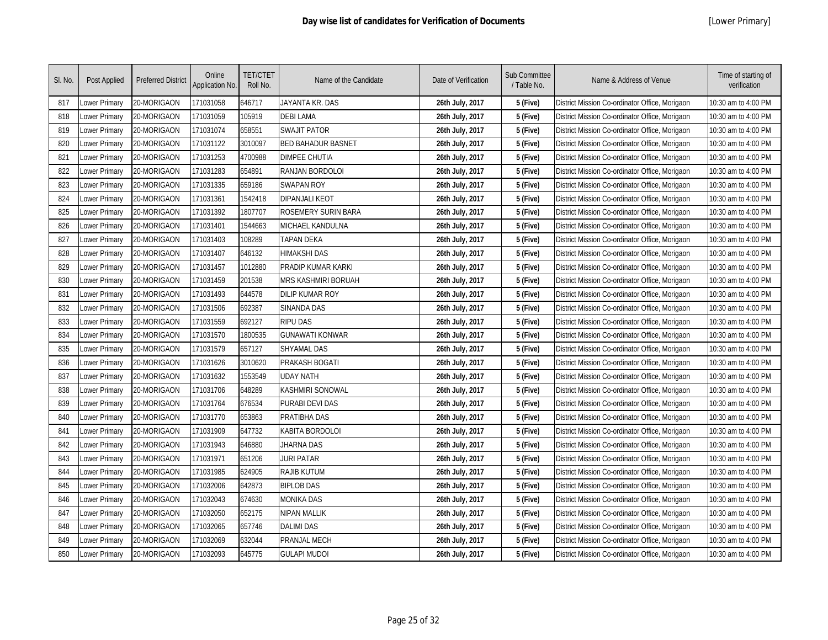| SI. No. | <b>Post Applied</b> | <b>Preferred District</b> | Online<br>Application No. | <b>TET/CTET</b><br>Roll No. | Name of the Candidate     | Date of Verification | Sub Committee<br>/ Table No. | Name & Address of Venue                        | Time of starting of<br>verification |
|---------|---------------------|---------------------------|---------------------------|-----------------------------|---------------------------|----------------------|------------------------------|------------------------------------------------|-------------------------------------|
| 817     | Lower Primary       | 20-MORIGAON               | 171031058                 | 646717                      | JAYANTA KR. DAS           | 26th July, 2017      | 5 (Five)                     | District Mission Co-ordinator Office, Morigaon | 10:30 am to 4:00 PM                 |
| 818     | ower Primary        | 20-MORIGAON               | 171031059                 | 105919                      | <b>DEBI LAMA</b>          | 26th July, 2017      | 5 (Five)                     | District Mission Co-ordinator Office, Morigaon | 10:30 am to 4:00 PM                 |
| 819     | ower Primary        | 20-MORIGAON               | 171031074                 | 658551                      | <b>SWAJIT PATOR</b>       | 26th July, 2017      | 5 (Five)                     | District Mission Co-ordinator Office, Morigaon | 10:30 am to 4:00 PM                 |
| 820     | ower Primary        | 20-MORIGAON               | 171031122                 | 3010097                     | <b>BED BAHADUR BASNET</b> | 26th July, 2017      | 5 (Five)                     | District Mission Co-ordinator Office, Morigaon | 10:30 am to 4:00 PM                 |
| 821     | Lower Primary       | 20-MORIGAON               | 171031253                 | 4700988                     | <b>DIMPEE CHUTIA</b>      | 26th July, 2017      | 5 (Five)                     | District Mission Co-ordinator Office, Morigaon | 10:30 am to 4:00 PM                 |
| 822     | Lower Primary       | 20-MORIGAON               | 171031283                 | 654891                      | <b>RANJAN BORDOLOI</b>    | 26th July, 2017      | 5 (Five)                     | District Mission Co-ordinator Office, Morigaon | 10:30 am to 4:00 PM                 |
| 823     | Lower Primary       | 20-MORIGAON               | 171031335                 | 659186                      | <b>SWAPAN ROY</b>         | 26th July, 2017      | 5 (Five)                     | District Mission Co-ordinator Office, Morigaon | 10:30 am to 4:00 PM                 |
| 824     | Lower Primary       | 20-MORIGAON               | 171031361                 | 1542418                     | <b>DIPANJALI KEOT</b>     | 26th July, 2017      | 5 (Five)                     | District Mission Co-ordinator Office, Morigaon | 10:30 am to 4:00 PM                 |
| 825     | Lower Primary       | 20-MORIGAON               | 171031392                 | 1807707                     | ROSEMERY SURIN BARA       | 26th July, 2017      | 5 (Five)                     | District Mission Co-ordinator Office, Morigaon | 10:30 am to 4:00 PM                 |
| 826     | Lower Primary       | 20-MORIGAON               | 171031401                 | 1544663                     | MICHAEL KANDULNA          | 26th July, 2017      | 5 (Five)                     | District Mission Co-ordinator Office, Morigaon | 10:30 am to 4:00 PM                 |
| 827     | Lower Primary       | 20-MORIGAON               | 171031403                 | 108289                      | TAPAN DEKA                | 26th July, 2017      | 5 (Five)                     | District Mission Co-ordinator Office, Morigaon | 10:30 am to 4:00 PM                 |
| 828     | Lower Primary       | 20-MORIGAON               | 171031407                 | 646132                      | HIMAKSHI DAS              | 26th July, 2017      | 5 (Five)                     | District Mission Co-ordinator Office, Morigaon | 10:30 am to 4:00 PM                 |
| 829     | Lower Primary       | 20-MORIGAON               | 171031457                 | 1012880                     | PRADIP KUMAR KARKI        | 26th July, 2017      | 5 (Five)                     | District Mission Co-ordinator Office, Morigaon | 10:30 am to 4:00 PM                 |
| 830     | Lower Primary       | 20-MORIGAON               | 171031459                 | 201538                      | MRS KASHMIRI BORUAH       | 26th July, 2017      | 5 (Five)                     | District Mission Co-ordinator Office, Morigaon | 10:30 am to 4:00 PM                 |
| 831     | Lower Primary       | 20-MORIGAON               | 171031493                 | 644578                      | <b>DILIP KUMAR ROY</b>    | 26th July, 2017      | 5 (Five)                     | District Mission Co-ordinator Office, Morigaon | 10:30 am to 4:00 PM                 |
| 832     | Lower Primary       | 20-MORIGAON               | 171031506                 | 692387                      | <b>SINANDA DAS</b>        | 26th July, 2017      | 5 (Five)                     | District Mission Co-ordinator Office, Morigaon | 10:30 am to 4:00 PM                 |
| 833     | Lower Primary       | 20-MORIGAON               | 171031559                 | 692127                      | <b>RIPU DAS</b>           | 26th July, 2017      | 5 (Five)                     | District Mission Co-ordinator Office, Morigaon | 10:30 am to 4:00 PM                 |
| 834     | Lower Primary       | 20-MORIGAON               | 171031570                 | 1800535                     | <b>GUNAWATI KONWAR</b>    | 26th July, 2017      | 5 (Five)                     | District Mission Co-ordinator Office, Morigaon | 10:30 am to 4:00 PM                 |
| 835     | Lower Primary       | 20-MORIGAON               | 171031579                 | 657127                      | <b>SHYAMAL DAS</b>        | 26th July, 2017      | 5 (Five)                     | District Mission Co-ordinator Office, Morigaon | 10:30 am to 4:00 PM                 |
| 836     | Lower Primary       | 20-MORIGAON               | 171031626                 | 3010620                     | <b>PRAKASH BOGATI</b>     | 26th July, 2017      | 5 (Five)                     | District Mission Co-ordinator Office, Morigaon | 10:30 am to 4:00 PM                 |
| 837     | Lower Primary       | 20-MORIGAON               | 171031632                 | 1553549                     | <b>UDAY NATH</b>          | 26th July, 2017      | 5 (Five)                     | District Mission Co-ordinator Office, Morigaon | 10:30 am to 4:00 PM                 |
| 838     | Lower Primary       | 20-MORIGAON               | 171031706                 | 648289                      | KASHMIRI SONOWAL          | 26th July, 2017      | 5 (Five)                     | District Mission Co-ordinator Office, Morigaon | 10:30 am to 4:00 PM                 |
| 839     | ower Primary        | 20-MORIGAON               | 171031764                 | 676534                      | PURABI DEVI DAS           | 26th July, 2017      | 5 (Five)                     | District Mission Co-ordinator Office, Morigaon | 10:30 am to 4:00 PM                 |
| 840     | Lower Primary       | 20-MORIGAON               | 171031770                 | 653863                      | PRATIBHA DAS              | 26th July, 2017      | 5 (Five)                     | District Mission Co-ordinator Office, Morigaon | 10:30 am to 4:00 PM                 |
| 841     | Lower Primary       | 20-MORIGAON               | 171031909                 | 647732                      | KABITA BORDOLOI           | 26th July, 2017      | 5 (Five)                     | District Mission Co-ordinator Office, Morigaon | 10:30 am to 4:00 PM                 |
| 842     | Lower Primary       | 20-MORIGAON               | 171031943                 | 646880                      | JHARNA DAS                | 26th July, 2017      | 5 (Five)                     | District Mission Co-ordinator Office, Morigaon | 10:30 am to 4:00 PM                 |
| 843     | Lower Primary       | 20-MORIGAON               | 171031971                 | 651206                      | <b>JURI PATAR</b>         | 26th July, 2017      | 5 (Five)                     | District Mission Co-ordinator Office, Morigaon | 10:30 am to 4:00 PM                 |
| 844     | Lower Primary       | 20-MORIGAON               | 171031985                 | 624905                      | <b>RAJIB KUTUM</b>        | 26th July, 2017      | 5 (Five)                     | District Mission Co-ordinator Office, Morigaon | 10:30 am to 4:00 PM                 |
| 845     | Lower Primary       | 20-MORIGAON               | 171032006                 | 642873                      | <b>BIPLOB DAS</b>         | 26th July, 2017      | 5 (Five)                     | District Mission Co-ordinator Office, Morigaon | 10:30 am to 4:00 PM                 |
| 846     | Lower Primary       | 20-MORIGAON               | 171032043                 | 674630                      | <b>MONIKA DAS</b>         | 26th July, 2017      | 5 (Five)                     | District Mission Co-ordinator Office, Morigaon | 10:30 am to 4:00 PM                 |
| 847     | ower Primary        | 20-MORIGAON               | 171032050                 | 652175                      | <b>NIPAN MALLIK</b>       | 26th July, 2017      | 5 (Five)                     | District Mission Co-ordinator Office, Morigaon | 10:30 am to 4:00 PM                 |
| 848     | ower Primary        | 20-MORIGAON               | 171032065                 | 657746                      | <b>DALIMI DAS</b>         | 26th July, 2017      | 5 (Five)                     | District Mission Co-ordinator Office, Morigaon | 10:30 am to 4:00 PM                 |
| 849     | ower Primary        | 20-MORIGAON               | 171032069                 | 632044                      | <b>PRANJAL MECH</b>       | 26th July, 2017      | 5 (Five)                     | District Mission Co-ordinator Office, Morigaon | 10:30 am to 4:00 PM                 |
| 850     | Lower Primary       | 20-MORIGAON               | 171032093                 | 645775                      | <b>GULAPI MUDOI</b>       | 26th July, 2017      | 5 (Five)                     | District Mission Co-ordinator Office, Morigaon | 10:30 am to 4:00 PM                 |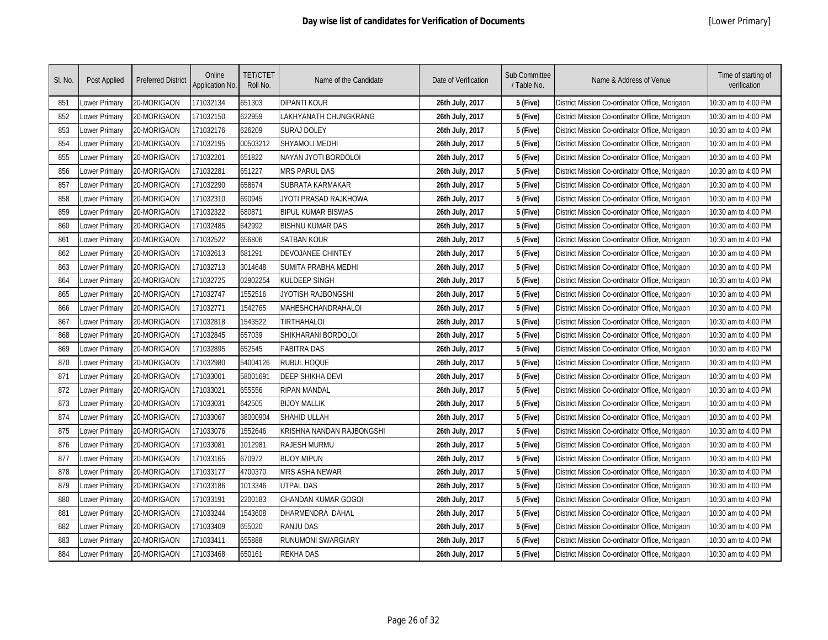| SI. No. | Post Applied  | <b>Preferred District</b> | Online<br>Application No. | <b>TET/CTET</b><br>Roll No. | Name of the Candidate     | Date of Verification | Sub Committee<br>/ Table No. | Name & Address of Venue                        | Time of starting of<br>verification |
|---------|---------------|---------------------------|---------------------------|-----------------------------|---------------------------|----------------------|------------------------------|------------------------------------------------|-------------------------------------|
| 851     | Lower Primary | 20-MORIGAON               | 171032134                 | 651303                      | DIPANTI KOUR              | 26th July, 2017      | 5 (Five)                     | District Mission Co-ordinator Office, Morigaon | 10:30 am to 4:00 PM                 |
| 852     | Lower Primary | 20-MORIGAON               | 171032150                 | 622959                      | LAKHYANATH CHUNGKRANG     | 26th July, 2017      | 5 (Five)                     | District Mission Co-ordinator Office, Morigaon | 10:30 am to 4:00 PM                 |
| 853     | Lower Primary | 20-MORIGAON               | 171032176                 | 626209                      | <b>SURAJ DOLEY</b>        | 26th July, 2017      | 5 (Five)                     | District Mission Co-ordinator Office, Morigaon | 10:30 am to 4:00 PM                 |
| 854     | Lower Primary | 20-MORIGAON               | 171032195                 | 00503212                    | <b>SHYAMOLI MEDHI</b>     | 26th July, 2017      | 5 (Five)                     | District Mission Co-ordinator Office, Morigaon | 10:30 am to 4:00 PM                 |
| 855     | Lower Primary | 20-MORIGAON               | 171032201                 | 651822                      | NAYAN JYOTI BORDOLOI      | 26th July, 2017      | 5 (Five)                     | District Mission Co-ordinator Office, Morigaon | 10:30 am to 4:00 PM                 |
| 856     | Lower Primary | 20-MORIGAON               | 171032281                 | 651227                      | <b>MRS PARUL DAS</b>      | 26th July, 2017      | 5 (Five)                     | District Mission Co-ordinator Office, Morigaon | 10:30 am to 4:00 PM                 |
| 857     | Lower Primary | 20-MORIGAON               | 171032290                 | 658674                      | SUBRATA KARMAKAR          | 26th July, 2017      | 5 (Five)                     | District Mission Co-ordinator Office, Morigaon | 10:30 am to 4:00 PM                 |
| 858     | Lower Primary | 20-MORIGAON               | 171032310                 | 690945                      | JYOTI PRASAD RAJKHOWA     | 26th July, 2017      | 5 (Five)                     | District Mission Co-ordinator Office, Morigaon | 10:30 am to 4:00 PM                 |
| 859     | Lower Primary | 20-MORIGAON               | 171032322                 | 680871                      | <b>BIPUL KUMAR BISWAS</b> | 26th July, 2017      | 5 (Five)                     | District Mission Co-ordinator Office, Morigaon | 10:30 am to 4:00 PM                 |
| 860     | Lower Primary | 20-MORIGAON               | 171032485                 | 642992                      | <b>BISHNU KUMAR DAS</b>   | 26th July, 2017      | 5 (Five)                     | District Mission Co-ordinator Office, Morigaon | 10:30 am to 4:00 PM                 |
| 861     | Lower Primary | 20-MORIGAON               | 171032522                 | 656806                      | <b>SATBAN KOUR</b>        | 26th July, 2017      | 5 (Five)                     | District Mission Co-ordinator Office, Morigaon | 10:30 am to 4:00 PM                 |
| 862     | Lower Primary | 20-MORIGAON               | 171032613                 | 681291                      | DEVOJANEE CHINTEY         | 26th July, 2017      | 5 (Five)                     | District Mission Co-ordinator Office, Morigaon | 10:30 am to 4:00 PM                 |
| 863     | Lower Primary | 20-MORIGAON               | 171032713                 | 3014648                     | SUMITA PRABHA MEDHI       | 26th July, 2017      | 5 (Five)                     | District Mission Co-ordinator Office, Morigaon | 10:30 am to 4:00 PM                 |
| 864     | Lower Primary | 20-MORIGAON               | 171032725                 | 02902254                    | KULDEEP SINGH             | 26th July, 2017      | 5 (Five)                     | District Mission Co-ordinator Office, Morigaon | 10:30 am to 4:00 PM                 |
| 865     | Lower Primary | 20-MORIGAON               | 171032747                 | 1552516                     | JYOTISH RAJBONGSHI        | 26th July, 2017      | 5 (Five)                     | District Mission Co-ordinator Office, Morigaon | 10:30 am to 4:00 PM                 |
| 866     | Lower Primary | 20-MORIGAON               | 171032771                 | 1542765                     | MAHESHCHANDRAHALOI        | 26th July, 2017      | 5 (Five)                     | District Mission Co-ordinator Office, Morigaon | 10:30 am to 4:00 PM                 |
| 867     | Lower Primary | 20-MORIGAON               | 171032818                 | 1543522                     | <b>TIRTHAHALOI</b>        | 26th July, 2017      | 5 (Five)                     | District Mission Co-ordinator Office, Morigaon | 10:30 am to 4:00 PM                 |
| 868     | Lower Primary | 20-MORIGAON               | 171032845                 | 657039                      | SHIKHARANI BORDOLOI       | 26th July, 2017      | 5 (Five)                     | District Mission Co-ordinator Office, Morigaon | 10:30 am to 4:00 PM                 |
| 869     | Lower Primary | 20-MORIGAON               | 171032895                 | 652545                      | <b>PABITRA DAS</b>        | 26th July, 2017      | 5 (Five)                     | District Mission Co-ordinator Office, Morigaon | 10:30 am to 4:00 PM                 |
| 870     | Lower Primary | 20-MORIGAON               | 171032980                 | 54004126                    | <b>RUBUL HOQUE</b>        | 26th July, 2017      | 5 (Five)                     | District Mission Co-ordinator Office, Morigaon | 10:30 am to 4:00 PM                 |
| 871     | Lower Primary | 20-MORIGAON               | 171033001                 | 58001691                    | <b>DEEP SHIKHA DEVI</b>   | 26th July, 2017      | 5 (Five)                     | District Mission Co-ordinator Office, Morigaon | 10:30 am to 4:00 PM                 |
| 872     | Lower Primary | 20-MORIGAON               | 171033021                 | 655556                      | <b>RIPAN MANDAL</b>       | 26th July, 2017      | 5 (Five)                     | District Mission Co-ordinator Office, Morigaon | 10:30 am to 4:00 PM                 |
| 873     | Lower Primary | 20-MORIGAON               | 171033031                 | 642505                      | <b>BIJOY MALLIK</b>       | 26th July, 2017      | 5 (Five)                     | District Mission Co-ordinator Office, Morigaon | 10:30 am to 4:00 PM                 |
| 874     | Lower Primary | 20-MORIGAON               | 171033067                 | 38000904                    | SHAHID ULLAH              | 26th July, 2017      | 5 (Five)                     | District Mission Co-ordinator Office, Morigaon | 10:30 am to 4:00 PM                 |
| 875     | Lower Primary | 20-MORIGAON               | 171033076                 | 1552646                     | KRISHNA NANDAN RAJBONGSHI | 26th July, 2017      | 5 (Five)                     | District Mission Co-ordinator Office, Morigaon | 10:30 am to 4:00 PM                 |
| 876     | Lower Primary | 20-MORIGAON               | 171033081                 | 1012981                     | <b>RAJESH MURMU</b>       | 26th July, 2017      | 5 (Five)                     | District Mission Co-ordinator Office, Morigaon | 10:30 am to 4:00 PM                 |
| 877     | Lower Primary | 20-MORIGAON               | 171033165                 | 670972                      | <b>BIJOY MIPUN</b>        | 26th July, 2017      | 5 (Five)                     | District Mission Co-ordinator Office, Morigaon | 10:30 am to 4:00 PM                 |
| 878     | Lower Primary | 20-MORIGAON               | 171033177                 | 4700370                     | MRS ASHA NEWAR            | 26th July, 2017      | 5 (Five)                     | District Mission Co-ordinator Office, Morigaon | 10:30 am to 4:00 PM                 |
| 879     | Lower Primary | 20-MORIGAON               | 171033186                 | 1013346                     | UTPAL DAS                 | 26th July, 2017      | 5 (Five)                     | District Mission Co-ordinator Office, Morigaon | 10:30 am to 4:00 PM                 |
| 880     | Lower Primary | 20-MORIGAON               | 171033191                 | 2200183                     | CHANDAN KUMAR GOGOI       | 26th July, 2017      | 5 (Five)                     | District Mission Co-ordinator Office, Morigaon | 10:30 am to 4:00 PM                 |
| 881     | Lower Primary | 20-MORIGAON               | 171033244                 | 1543608                     | DHARMENDRA DAHAL          | 26th July, 2017      | 5 (Five)                     | District Mission Co-ordinator Office, Morigaon | 10:30 am to 4:00 PM                 |
| 882     | Lower Primary | 20-MORIGAON               | 171033409                 | 655020                      | <b>RANJU DAS</b>          | 26th July, 2017      | 5 (Five)                     | District Mission Co-ordinator Office, Morigaon | 10:30 am to 4:00 PM                 |
| 883     | Lower Primary | 20-MORIGAON               | 171033411                 | 655888                      | RUNUMONI SWARGIARY        | 26th July, 2017      | 5 (Five)                     | District Mission Co-ordinator Office, Morigaon | 10:30 am to 4:00 PM                 |
| 884     | Lower Primary | 20-MORIGAON               | 171033468                 | 650161                      | <b>REKHA DAS</b>          | 26th July, 2017      | 5 (Five)                     | District Mission Co-ordinator Office, Morigaon | 10:30 am to 4:00 PM                 |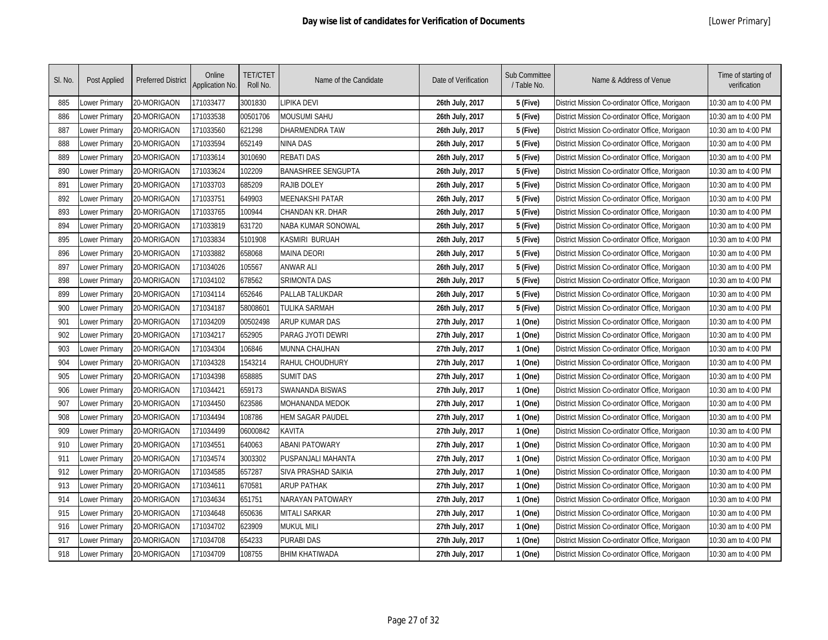| SI. No. | Post Applied  | <b>Preferred District</b> | Online<br>Application No. | <b>TET/CTET</b><br>Roll No. | Name of the Candidate     | Date of Verification | Sub Committee<br>/ Table No. | Name & Address of Venue                        | Time of starting of<br>verification |
|---------|---------------|---------------------------|---------------------------|-----------------------------|---------------------------|----------------------|------------------------------|------------------------------------------------|-------------------------------------|
| 885     | Lower Primary | 20-MORIGAON               | 171033477                 | 3001830                     | <b>IPIKA DEVI</b>         | 26th July, 2017      | 5 (Five)                     | District Mission Co-ordinator Office, Morigaon | 10:30 am to 4:00 PM                 |
| 886     | Lower Primary | 20-MORIGAON               | 171033538                 | 00501706                    | MOUSUMI SAHU              | 26th July, 2017      | 5 (Five)                     | District Mission Co-ordinator Office, Morigaon | 10:30 am to 4:00 PM                 |
| 887     | Lower Primary | 20-MORIGAON               | 171033560                 | 621298                      | DHARMENDRA TAW            | 26th July, 2017      | 5 (Five)                     | District Mission Co-ordinator Office, Morigaon | 10:30 am to 4:00 PM                 |
| 888     | Lower Primary | 20-MORIGAON               | 171033594                 | 652149                      | NINA DAS                  | 26th July, 2017      | 5 (Five)                     | District Mission Co-ordinator Office, Morigaon | 10:30 am to 4:00 PM                 |
| 889     | Lower Primary | 20-MORIGAON               | 171033614                 | 3010690                     | <b>REBATI DAS</b>         | 26th July, 2017      | 5 (Five)                     | District Mission Co-ordinator Office, Morigaon | 10:30 am to 4:00 PM                 |
| 890     | Lower Primary | 20-MORIGAON               | 171033624                 | 102209                      | <b>BANASHREE SENGUPTA</b> | 26th July, 2017      | 5 (Five)                     | District Mission Co-ordinator Office, Morigaon | 10:30 am to 4:00 PM                 |
| 891     | Lower Primary | 20-MORIGAON               | 171033703                 | 685209                      | <b>RAJIB DOLEY</b>        | 26th July, 2017      | 5 (Five)                     | District Mission Co-ordinator Office, Morigaon | 10:30 am to 4:00 PM                 |
| 892     | Lower Primary | 20-MORIGAON               | 171033751                 | 649903                      | <b>MEENAKSHI PATAR</b>    | 26th July, 2017      | 5 (Five)                     | District Mission Co-ordinator Office, Morigaon | 10:30 am to 4:00 PM                 |
| 893     | Lower Primary | 20-MORIGAON               | 171033765                 | 100944                      | CHANDAN KR. DHAR          | 26th July, 2017      | 5 (Five)                     | District Mission Co-ordinator Office, Morigaon | 10:30 am to 4:00 PM                 |
| 894     | Lower Primary | 20-MORIGAON               | 171033819                 | 631720                      | NABA KUMAR SONOWAL        | 26th July, 2017      | 5 (Five)                     | District Mission Co-ordinator Office, Morigaon | 10:30 am to 4:00 PM                 |
| 895     | Lower Primary | 20-MORIGAON               | 171033834                 | 5101908                     | KASMIRI BURUAH            | 26th July, 2017      | 5 (Five)                     | District Mission Co-ordinator Office, Morigaon | 10:30 am to 4:00 PM                 |
| 896     | Lower Primary | 20-MORIGAON               | 171033882                 | 658068                      | <b>MAINA DEORI</b>        | 26th July, 2017      | 5 (Five)                     | District Mission Co-ordinator Office, Morigaon | 10:30 am to 4:00 PM                 |
| 897     | Lower Primary | 20-MORIGAON               | 171034026                 | 105567                      | <b>ANWAR ALI</b>          | 26th July, 2017      | 5 (Five)                     | District Mission Co-ordinator Office, Morigaon | 10:30 am to 4:00 PM                 |
| 898     | Lower Primary | 20-MORIGAON               | 171034102                 | 678562                      | <b>SRIMONTA DAS</b>       | 26th July, 2017      | 5 (Five)                     | District Mission Co-ordinator Office, Morigaon | 10:30 am to 4:00 PM                 |
| 899     | Lower Primary | 20-MORIGAON               | 171034114                 | 652646                      | PALLAB TALUKDAR           | 26th July, 2017      | 5 (Five)                     | District Mission Co-ordinator Office, Morigaon | 10:30 am to 4:00 PM                 |
| 900     | Lower Primary | 20-MORIGAON               | 171034187                 | 58008601                    | <b>TULIKA SARMAH</b>      | 26th July, 2017      | 5 (Five)                     | District Mission Co-ordinator Office, Morigaon | 10:30 am to 4:00 PM                 |
| 901     | Lower Primary | 20-MORIGAON               | 171034209                 | 00502498                    | <b>ARUP KUMAR DAS</b>     | 27th July, 2017      | 1 (One)                      | District Mission Co-ordinator Office, Morigaon | 10:30 am to 4:00 PM                 |
| 902     | Lower Primary | 20-MORIGAON               | 171034217                 | 652905                      | PARAG JYOTI DEWRI         | 27th July, 2017      | 1 (One)                      | District Mission Co-ordinator Office, Morigaon | 10:30 am to 4:00 PM                 |
| 903     | Lower Primary | 20-MORIGAON               | 171034304                 | 106846                      | MUNNA CHAUHAN             | 27th July, 2017      | 1 (One)                      | District Mission Co-ordinator Office, Morigaon | 10:30 am to 4:00 PM                 |
| 904     | Lower Primary | 20-MORIGAON               | 171034328                 | 1543214                     | RAHUL CHOUDHURY           | 27th July, 2017      | 1 (One)                      | District Mission Co-ordinator Office, Morigaon | 10:30 am to 4:00 PM                 |
| 905     | Lower Primary | 20-MORIGAON               | 171034398                 | 658885                      | <b>SUMIT DAS</b>          | 27th July, 2017      | 1 (One)                      | District Mission Co-ordinator Office, Morigaon | 10:30 am to 4:00 PM                 |
| 906     | Lower Primary | 20-MORIGAON               | 171034421                 | 659173                      | <b>SWANANDA BISWAS</b>    | 27th July, 2017      | 1 (One)                      | District Mission Co-ordinator Office, Morigaon | 10:30 am to 4:00 PM                 |
| 907     | Lower Primary | 20-MORIGAON               | 171034450                 | 623586                      | MOHANANDA MEDOK           | 27th July, 2017      | 1 (One)                      | District Mission Co-ordinator Office, Morigaon | 10:30 am to 4:00 PM                 |
| 908     | Lower Primary | 20-MORIGAON               | 171034494                 | 108786                      | HEM SAGAR PAUDEL          | 27th July, 2017      | 1 (One)                      | District Mission Co-ordinator Office, Morigaon | 10:30 am to 4:00 PM                 |
| 909     | Lower Primary | 20-MORIGAON               | 171034499                 | 06000842                    | KAVITA                    | 27th July, 2017      | 1 (One)                      | District Mission Co-ordinator Office, Morigaon | 10:30 am to 4:00 PM                 |
| 910     | Lower Primary | 20-MORIGAON               | 171034551                 | 640063                      | <b>ABANI PATOWARY</b>     | 27th July, 2017      | 1 (One)                      | District Mission Co-ordinator Office, Morigaon | 10:30 am to 4:00 PM                 |
| 911     | Lower Primary | 20-MORIGAON               | 171034574                 | 3003302                     | PUSPANJALI MAHANTA        | 27th July, 2017      | 1 (One)                      | District Mission Co-ordinator Office, Morigaon | 10:30 am to 4:00 PM                 |
| 912     | Lower Primary | 20-MORIGAON               | 171034585                 | 657287                      | SIVA PRASHAD SAIKIA       | 27th July, 2017      | 1 (One)                      | District Mission Co-ordinator Office, Morigaon | 10:30 am to 4:00 PM                 |
| 913     | Lower Primary | 20-MORIGAON               | 171034611                 | 670581                      | <b>ARUP PATHAK</b>        | 27th July, 2017      | 1 (One)                      | District Mission Co-ordinator Office, Morigaon | 10:30 am to 4:00 PM                 |
| 914     | Lower Primary | 20-MORIGAON               | 171034634                 | 651751                      | NARAYAN PATOWARY          | 27th July, 2017      | 1 (One)                      | District Mission Co-ordinator Office, Morigaon | 10:30 am to 4:00 PM                 |
| 915     | Lower Primary | 20-MORIGAON               | 171034648                 | 650636                      | MITALI SARKAR             | 27th July, 2017      | 1 (One)                      | District Mission Co-ordinator Office, Morigaon | 10:30 am to 4:00 PM                 |
| 916     | Lower Primary | 20-MORIGAON               | 171034702                 | 623909                      | <b>MUKUL MILI</b>         | 27th July, 2017      | 1 (One)                      | District Mission Co-ordinator Office, Morigaon | 10:30 am to 4:00 PM                 |
| 917     | Lower Primary | 20-MORIGAON               | 171034708                 | 654233                      | <b>PURABI DAS</b>         | 27th July, 2017      | 1 (One)                      | District Mission Co-ordinator Office, Morigaon | 10:30 am to 4:00 PM                 |
| 918     | Lower Primary | 20-MORIGAON               | 171034709                 | 108755                      | <b>BHIM KHATIWADA</b>     | 27th July, 2017      | 1 (One)                      | District Mission Co-ordinator Office, Morigaon | 10:30 am to 4:00 PM                 |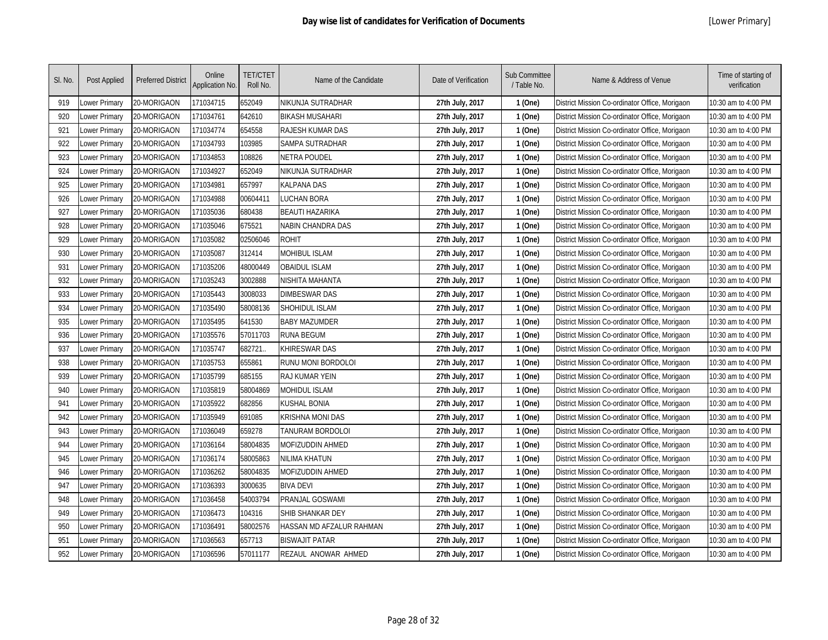| SI. No. | Post Applied  | <b>Preferred District</b> | Online<br><b>Application No.</b> | <b>TET/CTET</b><br>Roll No. | Name of the Candidate    | Date of Verification | Sub Committee<br>/ Table No. | Name & Address of Venue                        | Time of starting of<br>verification |
|---------|---------------|---------------------------|----------------------------------|-----------------------------|--------------------------|----------------------|------------------------------|------------------------------------------------|-------------------------------------|
| 919     | Lower Primary | 20-MORIGAON               | 171034715                        | 652049                      | NIKUNJA SUTRADHAR        | 27th July, 2017      | 1 (One)                      | District Mission Co-ordinator Office, Morigaon | 10:30 am to 4:00 PM                 |
| 920     | Lower Primary | 20-MORIGAON               | 171034761                        | 642610                      | <b>BIKASH MUSAHARI</b>   | 27th July, 2017      | 1 (One)                      | District Mission Co-ordinator Office, Morigaon | 10:30 am to 4:00 PM                 |
| 921     | Lower Primary | 20-MORIGAON               | 171034774                        | 654558                      | <b>RAJESH KUMAR DAS</b>  | 27th July, 2017      | 1 (One)                      | District Mission Co-ordinator Office, Morigaon | 10:30 am to 4:00 PM                 |
| 922     | Lower Primary | 20-MORIGAON               | 171034793                        | 103985                      | SAMPA SUTRADHAR          | 27th July, 2017      | 1 (One)                      | District Mission Co-ordinator Office, Morigaon | 10:30 am to 4:00 PM                 |
| 923     | Lower Primary | 20-MORIGAON               | 171034853                        | 108826                      | NETRA POUDEL             | 27th July, 2017      | 1 (One)                      | District Mission Co-ordinator Office, Morigaon | 10:30 am to 4:00 PM                 |
| 924     | Lower Primary | 20-MORIGAON               | 171034927                        | 652049                      | NIKUNJA SUTRADHAR        | 27th July, 2017      | 1 (One)                      | District Mission Co-ordinator Office, Morigaon | 10:30 am to 4:00 PM                 |
| 925     | Lower Primary | 20-MORIGAON               | 17103498                         | 657997                      | KALPANA DAS              | 27th July, 2017      | 1 (One)                      | District Mission Co-ordinator Office, Morigaon | 10:30 am to 4:00 PM                 |
| 926     | Lower Primary | 20-MORIGAON               | 171034988                        | 00604411                    | LUCHAN BORA              | 27th July, 2017      | 1 (One)                      | District Mission Co-ordinator Office, Morigaon | 10:30 am to 4:00 PM                 |
| 927     | Lower Primary | 20-MORIGAON               | 171035036                        | 680438                      | <b>BEAUTI HAZARIKA</b>   | 27th July, 2017      | 1 (One)                      | District Mission Co-ordinator Office, Morigaon | 10:30 am to 4:00 PM                 |
| 928     | Lower Primary | 20-MORIGAON               | 171035046                        | 675521                      | NABIN CHANDRA DAS        | 27th July, 2017      | 1 (One)                      | District Mission Co-ordinator Office, Morigaon | 10:30 am to 4:00 PM                 |
| 929     | Lower Primary | 20-MORIGAON               | 171035082                        | 02506046                    | <b>ROHIT</b>             | 27th July, 2017      | 1 (One)                      | District Mission Co-ordinator Office, Morigaon | 10:30 am to 4:00 PM                 |
| 930     | Lower Primary | 20-MORIGAON               | 171035087                        | 312414                      | <b>MOHIBUL ISLAM</b>     | 27th July, 2017      | 1 (One)                      | District Mission Co-ordinator Office, Morigaon | 10:30 am to 4:00 PM                 |
| 931     | Lower Primary | 20-MORIGAON               | 171035206                        | 48000449                    | <b>OBAIDUL ISLAM</b>     | 27th July, 2017      | 1 (One)                      | District Mission Co-ordinator Office, Morigaon | 10:30 am to 4:00 PM                 |
| 932     | Lower Primary | 20-MORIGAON               | 171035243                        | 3002888                     | NISHITA MAHANTA          | 27th July, 2017      | 1 (One)                      | District Mission Co-ordinator Office, Morigaon | 10:30 am to 4:00 PM                 |
| 933     | Lower Primary | 20-MORIGAON               | 171035443                        | 3008033                     | <b>DIMBESWAR DAS</b>     | 27th July, 2017      | 1 (One)                      | District Mission Co-ordinator Office, Morigaon | 10:30 am to 4:00 PM                 |
| 934     | Lower Primary | 20-MORIGAON               | 171035490                        | 58008136                    | SHOHIDUL ISLAM           | 27th July, 2017      | 1 (One)                      | District Mission Co-ordinator Office, Morigaon | 10:30 am to 4:00 PM                 |
| 935     | Lower Primary | 20-MORIGAON               | 171035495                        | 641530                      | <b>BABY MAZUMDER</b>     | 27th July, 2017      | 1 (One)                      | District Mission Co-ordinator Office, Morigaon | 10:30 am to 4:00 PM                 |
| 936     | Lower Primary | 20-MORIGAON               | 171035576                        | 57011703                    | <b>RUNA BEGUM</b>        | 27th July, 2017      | 1 (One)                      | District Mission Co-ordinator Office, Morigaon | 10:30 am to 4:00 PM                 |
| 937     | Lower Primary | 20-MORIGAON               | 171035747                        | 682721                      | KHIRESWAR DAS            | 27th July, 2017      | 1 (One)                      | District Mission Co-ordinator Office, Morigaon | 10:30 am to 4:00 PM                 |
| 938     | Lower Primary | 20-MORIGAON               | 171035753                        | 655861                      | RUNU MONI BORDOLOI       | 27th July, 2017      | 1 (One)                      | District Mission Co-ordinator Office, Morigaon | 10:30 am to 4:00 PM                 |
| 939     | Lower Primary | 20-MORIGAON               | 171035799                        | 685155                      | <b>RAJ KUMAR YEIN</b>    | 27th July, 2017      | 1 (One)                      | District Mission Co-ordinator Office, Morigaon | 10:30 am to 4:00 PM                 |
| 940     | Lower Primary | 20-MORIGAON               | 171035819                        | 58004869                    | MOHIDUL ISLAM            | 27th July, 2017      | 1 (One)                      | District Mission Co-ordinator Office, Morigaon | 10:30 am to 4:00 PM                 |
| 941     | Lower Primary | 20-MORIGAON               | 171035922                        | 682856                      | KUSHAL BONIA             | 27th July, 2017      | 1 (One)                      | District Mission Co-ordinator Office, Morigaon | 10:30 am to 4:00 PM                 |
| 942     | Lower Primary | 20-MORIGAON               | 171035949                        | 691085                      | KRISHNA MONI DAS         | 27th July, 2017      | 1 (One)                      | District Mission Co-ordinator Office, Morigaon | 10:30 am to 4:00 PM                 |
| 943     | Lower Primary | 20-MORIGAON               | 171036049                        | 659278                      | TANURAM BORDOLOI         | 27th July, 2017      | 1 (One)                      | District Mission Co-ordinator Office, Morigaon | 10:30 am to 4:00 PM                 |
| 944     | Lower Primary | 20-MORIGAON               | 171036164                        | 58004835                    | MOFIZUDDIN AHMED         | 27th July, 2017      | 1 (One)                      | District Mission Co-ordinator Office, Morigaon | 10:30 am to 4:00 PM                 |
| 945     | Lower Primary | 20-MORIGAON               | 171036174                        | 58005863                    | NILIMA KHATUN            | 27th July, 2017      | 1 (One)                      | District Mission Co-ordinator Office, Morigaon | 10:30 am to 4:00 PM                 |
| 946     | Lower Primary | 20-MORIGAON               | 171036262                        | 58004835                    | MOFIZUDDIN AHMED         | 27th July, 2017      | 1 (One)                      | District Mission Co-ordinator Office, Morigaon | 10:30 am to 4:00 PM                 |
| 947     | Lower Primary | 20-MORIGAON               | 171036393                        | 3000635                     | <b>BIVA DEVI</b>         | 27th July, 2017      | 1 (One)                      | District Mission Co-ordinator Office, Morigaon | 10:30 am to 4:00 PM                 |
| 948     | Lower Primary | 20-MORIGAON               | 171036458                        | 54003794                    | PRANJAL GOSWAMI          | 27th July, 2017      | 1 (One)                      | District Mission Co-ordinator Office, Morigaon | 10:30 am to 4:00 PM                 |
| 949     | Lower Primary | 20-MORIGAON               | 171036473                        | 104316                      | SHIB SHANKAR DEY         | 27th July, 2017      | 1 (One)                      | District Mission Co-ordinator Office, Morigaon | 10:30 am to 4:00 PM                 |
| 950     | Lower Primary | 20-MORIGAON               | 171036491                        | 58002576                    | HASSAN MD AFZALUR RAHMAN | 27th July, 2017      | 1 (One)                      | District Mission Co-ordinator Office, Morigaon | 10:30 am to 4:00 PM                 |
| 951     | Lower Primary | 20-MORIGAON               | 171036563                        | 657713                      | <b>BISWAJIT PATAR</b>    | 27th July, 2017      | 1 (One)                      | District Mission Co-ordinator Office, Morigaon | 10:30 am to 4:00 PM                 |
| 952     | Lower Primary | 20-MORIGAON               | 171036596                        | 57011177                    | REZAUL ANOWAR AHMED      | 27th July, 2017      | 1 (One)                      | District Mission Co-ordinator Office, Morigaon | 10:30 am to 4:00 PM                 |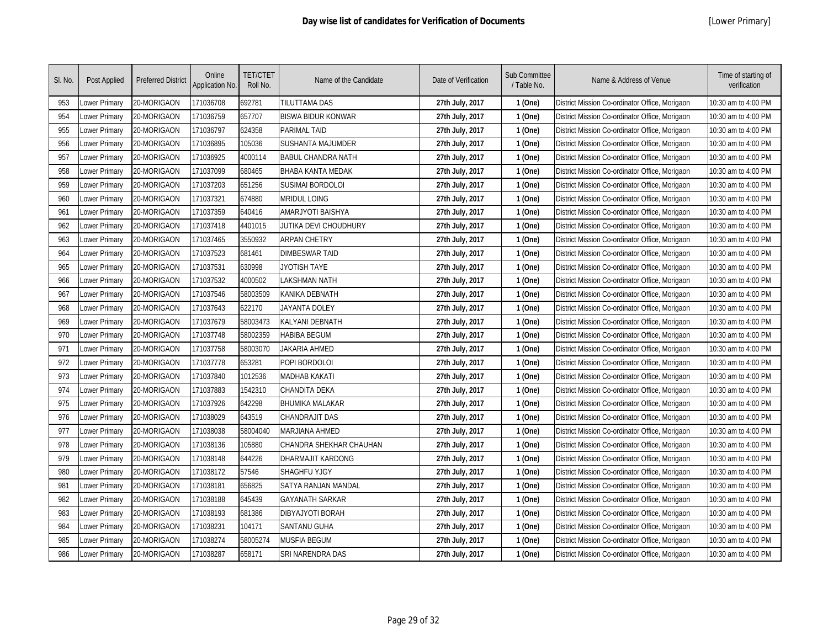| SI. No. | Post Applied  | <b>Preferred District</b> | Online<br>Application No. | <b>TET/CTET</b><br>Roll No. | Name of the Candidate     | Date of Verification | Sub Committee<br>/ Table No. | Name & Address of Venue                        | Time of starting of<br>verification |
|---------|---------------|---------------------------|---------------------------|-----------------------------|---------------------------|----------------------|------------------------------|------------------------------------------------|-------------------------------------|
| 953     | Lower Primary | 20-MORIGAON               | 171036708                 | 692781                      | TILUTTAMA DAS             | 27th July, 2017      | 1 (One)                      | District Mission Co-ordinator Office, Morigaon | 10:30 am to 4:00 PM                 |
| 954     | Lower Primary | 20-MORIGAON               | 171036759                 | 657707                      | <b>BISWA BIDUR KONWAR</b> | 27th July, 2017      | 1 (One)                      | District Mission Co-ordinator Office, Morigaon | 10:30 am to 4:00 PM                 |
| 955     | Lower Primary | 20-MORIGAON               | 171036797                 | 624358                      | <b>PARIMAL TAID</b>       | 27th July, 2017      | 1 (One)                      | District Mission Co-ordinator Office, Morigaon | 10:30 am to 4:00 PM                 |
| 956     | Lower Primary | 20-MORIGAON               | 171036895                 | 105036                      | <b>SUSHANTA MAJUMDER</b>  | 27th July, 2017      | 1 (One)                      | District Mission Co-ordinator Office, Morigaon | 10:30 am to 4:00 PM                 |
| 957     | Lower Primary | 20-MORIGAON               | 171036925                 | 4000114                     | <b>BABUL CHANDRA NATH</b> | 27th July, 2017      | 1 (One)                      | District Mission Co-ordinator Office, Morigaon | 10:30 am to 4:00 PM                 |
| 958     | Lower Primary | 20-MORIGAON               | 171037099                 | 680465                      | <b>BHABA KANTA MEDAK</b>  | 27th July, 2017      | 1 (One)                      | District Mission Co-ordinator Office, Morigaon | 10:30 am to 4:00 PM                 |
| 959     | Lower Primary | 20-MORIGAON               | 171037203                 | 651256                      | <b>SUSIMAI BORDOLOI</b>   | 27th July, 2017      | 1 (One)                      | District Mission Co-ordinator Office, Morigaon | 10:30 am to 4:00 PM                 |
| 960     | Lower Primary | 20-MORIGAON               | 171037321                 | 674880                      | Mridul Loing              | 27th July, 2017      | 1 (One)                      | District Mission Co-ordinator Office, Morigaon | 10:30 am to 4:00 PM                 |
| 961     | Lower Primary | 20-MORIGAON               | 171037359                 | 640416                      | AMARJYOTI BAISHYA         | 27th July, 2017      | 1 (One)                      | District Mission Co-ordinator Office, Morigaon | 10:30 am to 4:00 PM                 |
| 962     | Lower Primary | 20-MORIGAON               | 171037418                 | 4401015                     | JUTIKA DEVI CHOUDHURY     | 27th July, 2017      | 1 (One)                      | District Mission Co-ordinator Office, Morigaon | 10:30 am to 4:00 PM                 |
| 963     | Lower Primary | 20-MORIGAON               | 171037465                 | 3550932                     | <b>ARPAN CHETRY</b>       | 27th July, 2017      | 1 (One)                      | District Mission Co-ordinator Office, Morigaon | 10:30 am to 4:00 PM                 |
| 964     | Lower Primary | 20-MORIGAON               | 171037523                 | 681461                      | <b>DIMBESWAR TAID</b>     | 27th July, 2017      | 1 (One)                      | District Mission Co-ordinator Office, Morigaon | 10:30 am to 4:00 PM                 |
| 965     | Lower Primary | 20-MORIGAON               | 171037531                 | 630998                      | JYOTISH TAYE              | 27th July, 2017      | 1 (One)                      | District Mission Co-ordinator Office, Morigaon | 10:30 am to 4:00 PM                 |
| 966     | Lower Primary | 20-MORIGAON               | 171037532                 | 4000502                     | LAKSHMAN NATH             | 27th July, 2017      | 1 (One)                      | District Mission Co-ordinator Office, Morigaon | 10:30 am to 4:00 PM                 |
| 967     | Lower Primary | 20-MORIGAON               | 171037546                 | 58003509                    | KANIKA DEBNATH            | 27th July, 2017      | 1 (One)                      | District Mission Co-ordinator Office, Morigaon | 10:30 am to 4:00 PM                 |
| 968     | Lower Primary | 20-MORIGAON               | 171037643                 | 622170                      | <b>JAYANTA DOLEY</b>      | 27th July, 2017      | 1 (One)                      | District Mission Co-ordinator Office, Morigaon | 10:30 am to 4:00 PM                 |
| 969     | Lower Primary | 20-MORIGAON               | 171037679                 | 58003473                    | KALYANI DEBNATH           | 27th July, 2017      | 1 (One)                      | District Mission Co-ordinator Office, Morigaon | 10:30 am to 4:00 PM                 |
| 970     | Lower Primary | 20-MORIGAON               | 171037748                 | 58002359                    | <b>HABIBA BEGUM</b>       | 27th July, 2017      | 1 (One)                      | District Mission Co-ordinator Office, Morigaon | 10:30 am to 4:00 PM                 |
| 971     | Lower Primary | 20-MORIGAON               | 171037758                 | 58003070                    | JAKARIA AHMED             | 27th July, 2017      | 1 (One)                      | District Mission Co-ordinator Office, Morigaon | 10:30 am to 4:00 PM                 |
| 972     | Lower Primary | 20-MORIGAON               | 171037778                 | 653281                      | POPI BORDOLOI             | 27th July, 2017      | 1 (One)                      | District Mission Co-ordinator Office, Morigaon | 10:30 am to 4:00 PM                 |
| 973     | Lower Primary | 20-MORIGAON               | 171037840                 | 1012536                     | MADHAB KAKATI             | 27th July, 2017      | 1 (One)                      | District Mission Co-ordinator Office, Morigaon | 10:30 am to 4:00 PM                 |
| 974     | Lower Primary | 20-MORIGAON               | 171037883                 | 1542310                     | CHANDITA DEKA             | 27th July, 2017      | 1 (One)                      | District Mission Co-ordinator Office, Morigaon | 10:30 am to 4:00 PM                 |
| 975     | Lower Primary | 20-MORIGAON               | 171037926                 | 642298                      | <b>BHUMIKA MALAKAR</b>    | 27th July, 2017      | 1 (One)                      | District Mission Co-ordinator Office, Morigaon | 10:30 am to 4:00 PM                 |
| 976     | Lower Primary | 20-MORIGAON               | 171038029                 | 643519                      | CHANDRAJIT DAS            | 27th July, 2017      | 1 (One)                      | District Mission Co-ordinator Office, Morigaon | 10:30 am to 4:00 PM                 |
| 977     | Lower Primary | 20-MORIGAON               | 171038038                 | 58004040                    | MARJIANA AHMED            | 27th July, 2017      | 1 (One)                      | District Mission Co-ordinator Office, Morigaon | 10:30 am to 4:00 PM                 |
| 978     | Lower Primary | 20-MORIGAON               | 171038136                 | 105880                      | CHANDRA SHEKHAR CHAUHAN   | 27th July, 2017      | 1 (One)                      | District Mission Co-ordinator Office, Morigaon | 10:30 am to 4:00 PM                 |
| 979     | Lower Primary | 20-MORIGAON               | 171038148                 | 644226                      | DHARMAJIT KARDONG         | 27th July, 2017      | 1 (One)                      | District Mission Co-ordinator Office, Morigaon | 10:30 am to 4:00 PM                 |
| 980     | Lower Primary | 20-MORIGAON               | 171038172                 | 57546                       | SHAGHFU YJGY              | 27th July, 2017      | 1 (One)                      | District Mission Co-ordinator Office, Morigaon | 10:30 am to 4:00 PM                 |
| 981     | Lower Primary | 20-MORIGAON               | 171038181                 | 656825                      | SATYA RANJAN MANDAL       | 27th July, 2017      | 1 (One)                      | District Mission Co-ordinator Office, Morigaon | 10:30 am to 4:00 PM                 |
| 982     | Lower Primary | 20-MORIGAON               | 171038188                 | 645439                      | <b>GAYANATH SARKAR</b>    | 27th July, 2017      | 1 (One)                      | District Mission Co-ordinator Office, Morigaon | 10:30 am to 4:00 PM                 |
| 983     | Lower Primary | 20-MORIGAON               | 171038193                 | 681386                      | DIBYAJYOTI BORAH          | 27th July, 2017      | 1 (One)                      | District Mission Co-ordinator Office, Morigaon | 10:30 am to 4:00 PM                 |
| 984     | Lower Primary | 20-MORIGAON               | 171038231                 | 104171                      | <b>SANTANU GUHA</b>       | 27th July, 2017      | 1 (One)                      | District Mission Co-ordinator Office, Morigaon | 10:30 am to 4:00 PM                 |
| 985     | Lower Primary | 20-MORIGAON               | 171038274                 | 58005274                    | MUSFIA BEGUM              | 27th July, 2017      | 1 (One)                      | District Mission Co-ordinator Office, Morigaon | 10:30 am to 4:00 PM                 |
| 986     | Lower Primary | 20-MORIGAON               | 171038287                 | 658171                      | SRI NARENDRA DAS          | 27th July, 2017      | 1 (One)                      | District Mission Co-ordinator Office, Morigaon | 10:30 am to 4:00 PM                 |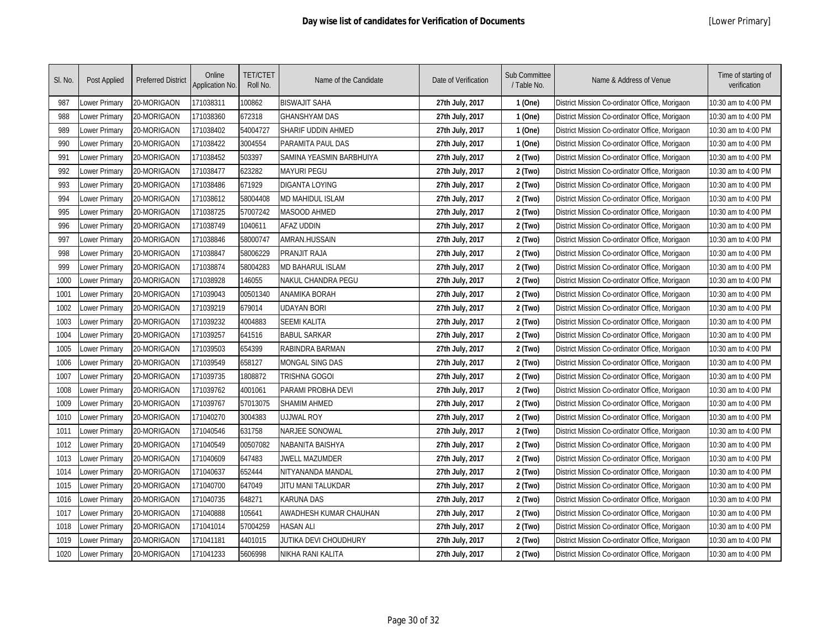| SI. No. | Post Applied  | <b>Preferred District</b> | Online<br>Application No. | <b>TET/CTET</b><br>Roll No. | Name of the Candidate    | Date of Verification | Sub Committee<br>/ Table No. | Name & Address of Venue                        | Time of starting of<br>verification |
|---------|---------------|---------------------------|---------------------------|-----------------------------|--------------------------|----------------------|------------------------------|------------------------------------------------|-------------------------------------|
| 987     | Lower Primary | 20-MORIGAON               | 171038311                 | 100862                      | <b>BISWAJIT SAHA</b>     | 27th July, 2017      | 1 (One)                      | District Mission Co-ordinator Office, Morigaon | 10:30 am to 4:00 PM                 |
| 988     | Lower Primary | 20-MORIGAON               | 171038360                 | 672318                      | <b>GHANSHYAM DAS</b>     | 27th July, 2017      | 1 (One)                      | District Mission Co-ordinator Office, Morigaon | 10:30 am to 4:00 PM                 |
| 989     | Lower Primary | 20-MORIGAON               | 171038402                 | 54004727                    | SHARIF UDDIN AHMED       | 27th July, 2017      | 1 (One)                      | District Mission Co-ordinator Office, Morigaon | 10:30 am to 4:00 PM                 |
| 990     | Lower Primary | 20-MORIGAON               | 171038422                 | 3004554                     | PARAMITA PAUL DAS        | 27th July, 2017      | 1 (One)                      | District Mission Co-ordinator Office, Morigaon | 10:30 am to 4:00 PM                 |
| 991     | Lower Primary | 20-MORIGAON               | 171038452                 | 503397                      | SAMINA YEASMIN BARBHUIYA | 27th July, 2017      | 2 (Two)                      | District Mission Co-ordinator Office, Morigaon | 10:30 am to 4:00 PM                 |
| 992     | Lower Primary | 20-MORIGAON               | 171038477                 | 623282                      | <b>MAYURI PEGU</b>       | 27th July, 2017      | 2 (Two)                      | District Mission Co-ordinator Office, Morigaon | 10:30 am to 4:00 PM                 |
| 993     | Lower Primary | 20-MORIGAON               | 171038486                 | 671929                      | <b>DIGANTA LOYING</b>    | 27th July, 2017      | 2 (Two)                      | District Mission Co-ordinator Office, Morigaon | 10:30 am to 4:00 PM                 |
| 994     | Lower Primary | 20-MORIGAON               | 171038612                 | 58004408                    | MD MAHIDUL ISLAM         | 27th July, 2017      | 2 (Two)                      | District Mission Co-ordinator Office, Morigaon | 10:30 am to 4:00 PM                 |
| 995     | Lower Primary | 20-MORIGAON               | 171038725                 | 57007242                    | <b>MASOOD AHMED</b>      | 27th July, 2017      | 2 (Two)                      | District Mission Co-ordinator Office, Morigaon | 10:30 am to 4:00 PM                 |
| 996     | Lower Primary | 20-MORIGAON               | 171038749                 | 1040611                     | <b>AFAZ UDDIN</b>        | 27th July, 2017      | 2 (Two)                      | District Mission Co-ordinator Office, Morigaon | 10:30 am to 4:00 PM                 |
| 997     | Lower Primary | 20-MORIGAON               | 171038846                 | 58000747                    | <b>AMRAN.HUSSAIN</b>     | 27th July, 2017      | 2 (Two)                      | District Mission Co-ordinator Office, Morigaon | 10:30 am to 4:00 PM                 |
| 998     | Lower Primary | 20-MORIGAON               | 171038847                 | 58006229                    | PRANJIT RAJA             | 27th July, 2017      | 2 (Two)                      | District Mission Co-ordinator Office, Morigaon | 10:30 am to 4:00 PM                 |
| 999     | Lower Primary | 20-MORIGAON               | 171038874                 | 58004283                    | <b>MD BAHARUL ISLAM</b>  | 27th July, 2017      | 2 (Two)                      | District Mission Co-ordinator Office, Morigaon | 10:30 am to 4:00 PM                 |
| 1000    | Lower Primary | 20-MORIGAON               | 171038928                 | 146055                      | NAKUL CHANDRA PEGU       | 27th July, 2017      | 2 (Two)                      | District Mission Co-ordinator Office, Morigaon | 10:30 am to 4:00 PM                 |
| 1001    | Lower Primary | 20-MORIGAON               | 171039043                 | 00501340                    | <b>ANAMIKA BORAH</b>     | 27th July, 2017      | 2 (Two)                      | District Mission Co-ordinator Office, Morigaon | 10:30 am to 4:00 PM                 |
| 1002    | Lower Primary | 20-MORIGAON               | 171039219                 | 679014                      | <b>UDAYAN BORI</b>       | 27th July, 2017      | 2 (Two)                      | District Mission Co-ordinator Office, Morigaon | 10:30 am to 4:00 PM                 |
| 1003    | Lower Primary | 20-MORIGAON               | 171039232                 | 4004883                     | <b>SEEMI KALITA</b>      | 27th July, 2017      | 2 (Two)                      | District Mission Co-ordinator Office, Morigaon | 10:30 am to 4:00 PM                 |
| 1004    | Lower Primary | 20-MORIGAON               | 171039257                 | 641516                      | <b>BABUL SARKAR</b>      | 27th July, 2017      | 2 (Two)                      | District Mission Co-ordinator Office, Morigaon | 10:30 am to 4:00 PM                 |
| 1005    | Lower Primary | 20-MORIGAON               | 171039503                 | 654399                      | RABINDRA BARMAN          | 27th July, 2017      | 2 (Two)                      | District Mission Co-ordinator Office, Morigaon | 10:30 am to 4:00 PM                 |
| 1006    | Lower Primary | 20-MORIGAON               | 171039549                 | 658127                      | MONGAL SING DAS          | 27th July, 2017      | 2 (Two)                      | District Mission Co-ordinator Office, Morigaon | 10:30 am to 4:00 PM                 |
| 1007    | Lower Primary | 20-MORIGAON               | 171039735                 | 1808872                     | <b>TRISHNA GOGOI</b>     | 27th July, 2017      | 2 (Two)                      | District Mission Co-ordinator Office, Morigaon | 10:30 am to 4:00 PM                 |
| 1008    | Lower Primary | 20-MORIGAON               | 171039762                 | 4001061                     | PARAMI PROBHA DEVI       | 27th July, 2017      | 2 (Two)                      | District Mission Co-ordinator Office, Morigaon | 10:30 am to 4:00 PM                 |
| 1009    | Lower Primary | 20-MORIGAON               | 171039767                 | 57013075                    | <b>SHAMIM AHMED</b>      | 27th July, 2017      | 2 (Two)                      | District Mission Co-ordinator Office, Morigaon | 10:30 am to 4:00 PM                 |
| 1010    | Lower Primary | 20-MORIGAON               | 171040270                 | 3004383                     | <b>UJJWAL ROY</b>        | 27th July, 2017      | 2 (Two)                      | District Mission Co-ordinator Office, Morigaon | 10:30 am to 4:00 PM                 |
| 1011    | Lower Primary | 20-MORIGAON               | 171040546                 | 631758                      | <b>NARJEE SONOWAL</b>    | 27th July, 2017      | 2 (Two)                      | District Mission Co-ordinator Office, Morigaon | 10:30 am to 4:00 PM                 |
| 1012    | Lower Primary | 20-MORIGAON               | 171040549                 | 00507082                    | NABANITA BAISHYA         | 27th July, 2017      | 2 (Two)                      | District Mission Co-ordinator Office, Morigaon | 10:30 am to 4:00 PM                 |
| 1013    | Lower Primary | 20-MORIGAON               | 171040609                 | 647483                      | JWELL MAZUMDER           | 27th July, 2017      | 2 (Two)                      | District Mission Co-ordinator Office, Morigaon | 10:30 am to 4:00 PM                 |
| 1014    | Lower Primary | 20-MORIGAON               | 171040637                 | 652444                      | NITYANANDA MANDAL        | 27th July, 2017      | 2 (Two)                      | District Mission Co-ordinator Office, Morigaon | 10:30 am to 4:00 PM                 |
| 1015    | Lower Primary | 20-MORIGAON               | 171040700                 | 647049                      | JITU MANI TALUKDAR       | 27th July, 2017      | 2 (Two)                      | District Mission Co-ordinator Office, Morigaon | 10:30 am to 4:00 PM                 |
| 1016    | Lower Primary | 20-MORIGAON               | 171040735                 | 648271                      | <b>KARUNA DAS</b>        | 27th July, 2017      | 2 (Two)                      | District Mission Co-ordinator Office, Morigaon | 10:30 am to 4:00 PM                 |
| 1017    | Lower Primary | 20-MORIGAON               | 171040888                 | 105641                      | AWADHESH KUMAR CHAUHAN   | 27th July, 2017      | 2 (Two)                      | District Mission Co-ordinator Office, Morigaon | 10:30 am to 4:00 PM                 |
| 1018    | Lower Primary | 20-MORIGAON               | 171041014                 | 57004259                    | <b>HASAN ALI</b>         | 27th July, 2017      | 2 (Two)                      | District Mission Co-ordinator Office, Morigaon | 10:30 am to 4:00 PM                 |
| 1019    | ower Primary  | 20-MORIGAON               | 171041181                 | 4401015                     | JUTIKA DEVI CHOUDHURY    | 27th July, 2017      | 2 (Two)                      | District Mission Co-ordinator Office, Morigaon | 10:30 am to 4:00 PM                 |
| 1020    | Lower Primary | 20-MORIGAON               | 171041233                 | 5606998                     | NIKHA RANI KALITA        | 27th July, 2017      | 2 (Two)                      | District Mission Co-ordinator Office, Morigaon | 10:30 am to 4:00 PM                 |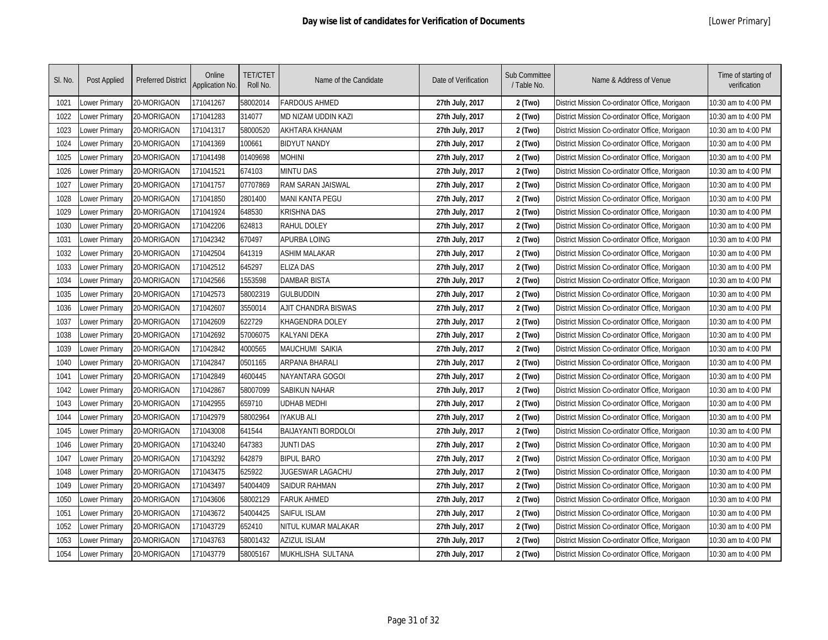| SI. No. | Post Applied  | <b>Preferred District</b> | Online<br><b>Application No.</b> | <b>TET/CTET</b><br>Roll No. | Name of the Candidate      | Date of Verification | Sub Committee<br>/ Table No. | Name & Address of Venue                        | Time of starting of<br>verification |
|---------|---------------|---------------------------|----------------------------------|-----------------------------|----------------------------|----------------------|------------------------------|------------------------------------------------|-------------------------------------|
| 1021    | Lower Primary | 20-MORIGAON               | 171041267                        | 58002014                    | <b>FARDOUS AHMED</b>       | 27th July, 2017      | 2 (Two)                      | District Mission Co-ordinator Office, Morigaon | 10:30 am to 4:00 PM                 |
| 1022    | Lower Primary | 20-MORIGAON               | 171041283                        | 314077                      | MD NIZAM UDDIN KAZI        | 27th July, 2017      | 2 (Two)                      | District Mission Co-ordinator Office, Morigaon | 10:30 am to 4:00 PM                 |
| 1023    | Lower Primary | 20-MORIGAON               | 171041317                        | 58000520                    | AKHTARA KHANAM             | 27th July, 2017      | 2 (Two)                      | District Mission Co-ordinator Office, Morigaon | 10:30 am to 4:00 PM                 |
| 1024    | Lower Primary | 20-MORIGAON               | 171041369                        | 100661                      | <b>BIDYUT NANDY</b>        | 27th July, 2017      | 2 (Two)                      | District Mission Co-ordinator Office, Morigaon | 10:30 am to 4:00 PM                 |
| 1025    | Lower Primary | 20-MORIGAON               | 171041498                        | 01409698                    | MOHINI                     | 27th July, 2017      | 2 (Two)                      | District Mission Co-ordinator Office, Morigaon | 10:30 am to 4:00 PM                 |
| 1026    | Lower Primary | 20-MORIGAON               | 171041521                        | 674103                      | <b>MINTU DAS</b>           | 27th July, 2017      | 2 (Two)                      | District Mission Co-ordinator Office, Morigaon | 10:30 am to 4:00 PM                 |
| 1027    | Lower Primary | 20-MORIGAON               | 171041757                        | 07707869                    | RAM SARAN JAISWAL          | 27th July, 2017      | 2 (Two)                      | District Mission Co-ordinator Office, Morigaon | 10:30 am to 4:00 PM                 |
| 1028    | Lower Primary | 20-MORIGAON               | 171041850                        | 2801400                     | <b>MANI KANTA PEGU</b>     | 27th July, 2017      | 2 (Two)                      | District Mission Co-ordinator Office, Morigaon | 10:30 am to 4:00 PM                 |
| 1029    | Lower Primary | 20-MORIGAON               | 171041924                        | 648530                      | KRISHNA DAS                | 27th July, 2017      | 2 (Two)                      | District Mission Co-ordinator Office, Morigaon | 10:30 am to 4:00 PM                 |
| 1030    | Lower Primary | 20-MORIGAON               | 171042206                        | 624813                      | RAHUL DOLEY                | 27th July, 2017      | 2 (Two)                      | District Mission Co-ordinator Office, Morigaon | 10:30 am to 4:00 PM                 |
| 1031    | Lower Primary | 20-MORIGAON               | 171042342                        | 670497                      | APURBA LOING               | 27th July, 2017      | 2 (Two)                      | District Mission Co-ordinator Office, Morigaon | 10:30 am to 4:00 PM                 |
| 1032    | Lower Primary | 20-MORIGAON               | 171042504                        | 641319                      | <b>ASHIM MALAKAR</b>       | 27th July, 2017      | 2 (Two)                      | District Mission Co-ordinator Office, Morigaon | 10:30 am to 4:00 PM                 |
| 1033    | Lower Primary | 20-MORIGAON               | 171042512                        | 645297                      | <b>ELIZA DAS</b>           | 27th July, 2017      | 2 (Two)                      | District Mission Co-ordinator Office, Morigaon | 10:30 am to 4:00 PM                 |
| 1034    | Lower Primary | 20-MORIGAON               | 171042566                        | 1553598                     | <b>DAMBAR BISTA</b>        | 27th July, 2017      | 2 (Two)                      | District Mission Co-ordinator Office, Morigaon | 10:30 am to 4:00 PM                 |
| 1035    | Lower Primary | 20-MORIGAON               | 171042573                        | 58002319                    | <b>GULBUDDIN</b>           | 27th July, 2017      | 2 (Two)                      | District Mission Co-ordinator Office, Morigaon | 10:30 am to 4:00 PM                 |
| 1036    | Lower Primary | 20-MORIGAON               | 171042607                        | 3550014                     | <b>AJIT CHANDRA BISWAS</b> | 27th July, 2017      | 2 (Two)                      | District Mission Co-ordinator Office, Morigaon | 10:30 am to 4:00 PM                 |
| 1037    | Lower Primary | 20-MORIGAON               | 171042609                        | 622729                      | KHAGENDRA DOLEY            | 27th July, 2017      | 2 (Two)                      | District Mission Co-ordinator Office, Morigaon | 10:30 am to 4:00 PM                 |
| 1038    | Lower Primary | 20-MORIGAON               | 171042692                        | 57006075                    | <b>KALYANI DEKA</b>        | 27th July, 2017      | 2 (Two)                      | District Mission Co-ordinator Office, Morigaon | 10:30 am to 4:00 PM                 |
| 1039    | Lower Primary | 20-MORIGAON               | 171042842                        | 4000565                     | <b>MAUCHUMI SAIKIA</b>     | 27th July, 2017      | 2 (Two)                      | District Mission Co-ordinator Office, Morigaon | 10:30 am to 4:00 PM                 |
| 1040    | Lower Primary | 20-MORIGAON               | 171042847                        | 0501165                     | <b>ARPANA BHARALI</b>      | 27th July, 2017      | 2 (Two)                      | District Mission Co-ordinator Office, Morigaon | 10:30 am to 4:00 PM                 |
| 1041    | Lower Primary | 20-MORIGAON               | 171042849                        | 4600445                     | NAYANTARA GOGOI            | 27th July, 2017      | 2 (Two)                      | District Mission Co-ordinator Office, Morigaon | 10:30 am to 4:00 PM                 |
| 1042    | Lower Primary | 20-MORIGAON               | 171042867                        | 58007099                    | SABIKUN NAHAR              | 27th July, 2017      | 2 (Two)                      | District Mission Co-ordinator Office, Morigaon | 10:30 am to 4:00 PM                 |
| 1043    | Lower Primary | 20-MORIGAON               | 171042955                        | 659710                      | UDHAB MEDHI                | 27th July, 2017      | 2 (Two)                      | District Mission Co-ordinator Office, Morigaon | 10:30 am to 4:00 PM                 |
| 1044    | Lower Primary | 20-MORIGAON               | 171042979                        | 58002964                    | IYAKUB ALI                 | 27th July, 2017      | 2 (Two)                      | District Mission Co-ordinator Office, Morigaon | 10:30 am to 4:00 PM                 |
| 1045    | Lower Primary | 20-MORIGAON               | 171043008                        | 641544                      | <b>BAIJAYANTI BORDOLOI</b> | 27th July, 2017      | 2 (Two)                      | District Mission Co-ordinator Office, Morigaon | 10:30 am to 4:00 PM                 |
| 1046    | Lower Primary | 20-MORIGAON               | 171043240                        | 647383                      | <b>JUNTI DAS</b>           | 27th July, 2017      | 2 (Two)                      | District Mission Co-ordinator Office, Morigaon | 10:30 am to 4:00 PM                 |
| 1047    | Lower Primary | 20-MORIGAON               | 171043292                        | 642879                      | <b>BIPUL BARO</b>          | 27th July, 2017      | 2 (Two)                      | District Mission Co-ordinator Office, Morigaon | 10:30 am to 4:00 PM                 |
| 1048    | Lower Primary | 20-MORIGAON               | 171043475                        | 625922                      | JUGESWAR LAGACHU           | 27th July, 2017      | 2 (Two)                      | District Mission Co-ordinator Office, Morigaon | 10:30 am to 4:00 PM                 |
| 1049    | Lower Primary | 20-MORIGAON               | 171043497                        | 54004409                    | SAIDUR RAHMAN              | 27th July, 2017      | 2 (Two)                      | District Mission Co-ordinator Office, Morigaon | 10:30 am to 4:00 PM                 |
| 1050    | Lower Primary | 20-MORIGAON               | 171043606                        | 58002129                    | <b>FARUK AHMED</b>         | 27th July, 2017      | 2 (Two)                      | District Mission Co-ordinator Office, Morigaon | 10:30 am to 4:00 PM                 |
| 1051    | Lower Primary | 20-MORIGAON               | 171043672                        | 54004425                    | SAIFUL ISLAM               | 27th July, 2017      | 2 (Two)                      | District Mission Co-ordinator Office, Morigaon | 10:30 am to 4:00 PM                 |
| 1052    | Lower Primary | 20-MORIGAON               | 171043729                        | 652410                      | NITUL KUMAR MALAKAR        | 27th July, 2017      | 2 (Two)                      | District Mission Co-ordinator Office, Morigaon | 10:30 am to 4:00 PM                 |
| 1053    | ower Primary  | 20-MORIGAON               | 171043763                        | 58001432                    | <b>AZIZUL ISLAM</b>        | 27th July, 2017      | 2 (Two)                      | District Mission Co-ordinator Office, Morigaon | 10:30 am to 4:00 PM                 |
| 1054    | Lower Primary | 20-MORIGAON               | 171043779                        | 58005167                    | MUKHLISHA SULTANA          | 27th July, 2017      | 2 (Two)                      | District Mission Co-ordinator Office, Morigaon | 10:30 am to 4:00 PM                 |